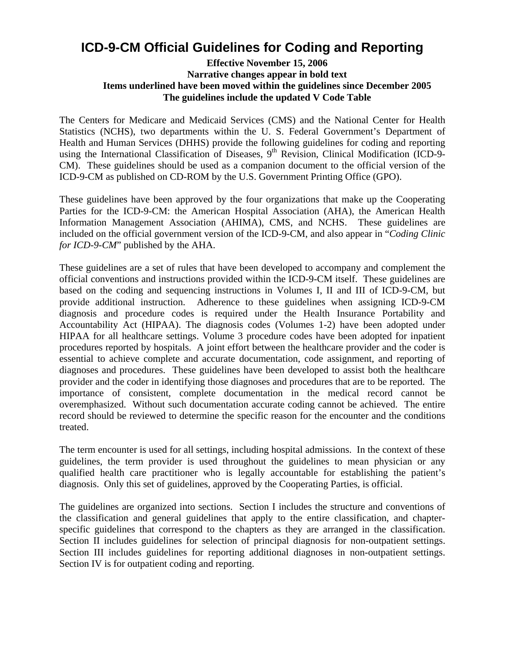# <span id="page-0-0"></span>**ICD-9-CM Official Guidelines for Coding and Reporting**

#### **Effective November 15, 2006 Narrative changes appear in bold text Items underlined have been moved within the guidelines since December 2005 The guidelines include the updated V Code Table**

The Centers for Medicare and Medicaid Services (CMS) and the National Center for Health Statistics (NCHS), two departments within the U. S. Federal Government's Department of Health and Human Services (DHHS) provide the following guidelines for coding and reporting using the International Classification of Diseases,  $9<sup>th</sup>$  Revision, Clinical Modification (ICD-9-CM). These guidelines should be used as a companion document to the official version of the ICD-9-CM as published on CD-ROM by the U.S. Government Printing Office (GPO).

These guidelines have been approved by the four organizations that make up the Cooperating Parties for the ICD-9-CM: the American Hospital Association (AHA), the American Health Information Management Association (AHIMA), CMS, and NCHS. These guidelines are included on the official government version of the ICD-9-CM, and also appear in "*Coding Clinic for ICD-9-CM*" published by the AHA.

These guidelines are a set of rules that have been developed to accompany and complement the official conventions and instructions provided within the ICD-9-CM itself. These guidelines are based on the coding and sequencing instructions in Volumes I, II and III of ICD-9-CM, but provide additional instruction. Adherence to these guidelines when assigning ICD-9-CM diagnosis and procedure codes is required under the Health Insurance Portability and Accountability Act (HIPAA). The diagnosis codes (Volumes 1-2) have been adopted under HIPAA for all healthcare settings. Volume 3 procedure codes have been adopted for inpatient procedures reported by hospitals. A joint effort between the healthcare provider and the coder is essential to achieve complete and accurate documentation, code assignment, and reporting of diagnoses and procedures. These guidelines have been developed to assist both the healthcare provider and the coder in identifying those diagnoses and procedures that are to be reported. The importance of consistent, complete documentation in the medical record cannot be overemphasized. Without such documentation accurate coding cannot be achieved. The entire record should be reviewed to determine the specific reason for the encounter and the conditions treated.

The term encounter is used for all settings, including hospital admissions. In the context of these guidelines, the term provider is used throughout the guidelines to mean physician or any qualified health care practitioner who is legally accountable for establishing the patient's diagnosis. Only this set of guidelines, approved by the Cooperating Parties, is official.

The guidelines are organized into sections. Section I includes the structure and conventions of the classification and general guidelines that apply to the entire classification, and chapterspecific guidelines that correspond to the chapters as they are arranged in the classification. Section II includes guidelines for selection of principal diagnosis for non-outpatient settings. Section III includes guidelines for reporting additional diagnoses in non-outpatient settings. Section IV is for outpatient coding and reporting.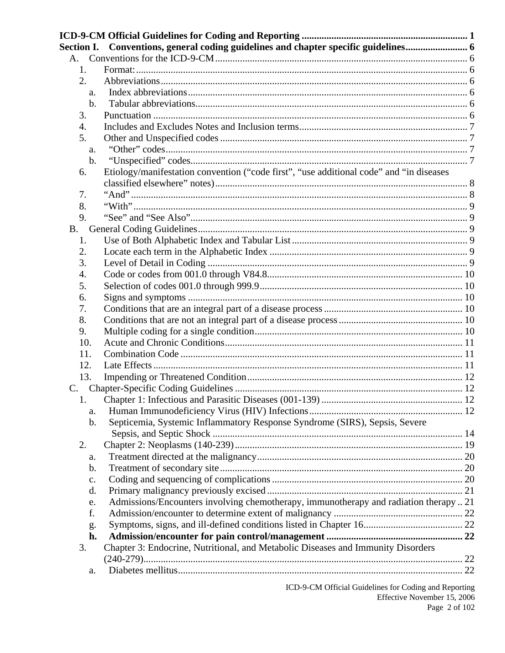|                | Section I. Conventions, general coding guidelines and chapter specific guidelines 6     |  |
|----------------|-----------------------------------------------------------------------------------------|--|
|                |                                                                                         |  |
| 1.             |                                                                                         |  |
| 2.             |                                                                                         |  |
| a.             |                                                                                         |  |
| $\mathbf{b}$ . |                                                                                         |  |
| 3.             |                                                                                         |  |
| 4.             |                                                                                         |  |
| 5.             |                                                                                         |  |
| a.             |                                                                                         |  |
| $\mathbf b$ .  |                                                                                         |  |
| 6.             | Etiology/manifestation convention ("code first", "use additional code" and "in diseases |  |
|                |                                                                                         |  |
| 7.             |                                                                                         |  |
| 8.             |                                                                                         |  |
| 9.             |                                                                                         |  |
| <b>B</b> .     |                                                                                         |  |
| 1.             |                                                                                         |  |
| 2.             |                                                                                         |  |
| 3.             |                                                                                         |  |
| 4.             |                                                                                         |  |
| 5.             |                                                                                         |  |
| 6.             |                                                                                         |  |
| 7.             |                                                                                         |  |
| 8.             |                                                                                         |  |
| 9.             |                                                                                         |  |
| 10.            |                                                                                         |  |
| 11.            |                                                                                         |  |
| 12.            |                                                                                         |  |
| 13.            |                                                                                         |  |
|                |                                                                                         |  |
|                |                                                                                         |  |
| a.             |                                                                                         |  |
| $\mathbf b$ .  | Septicemia, Systemic Inflammatory Response Syndrome (SIRS), Sepsis, Severe              |  |
|                |                                                                                         |  |
| 2.             |                                                                                         |  |
| a.             |                                                                                         |  |
| $\mathbf b$ .  |                                                                                         |  |
| c.             |                                                                                         |  |
| d.             |                                                                                         |  |
| e.             | Admissions/Encounters involving chemotherapy, immunotherapy and radiation therapy  21   |  |
| f.             |                                                                                         |  |
| g.             |                                                                                         |  |
| h.             |                                                                                         |  |
| 3.             | Chapter 3: Endocrine, Nutritional, and Metabolic Diseases and Immunity Disorders        |  |
|                |                                                                                         |  |
| a.             |                                                                                         |  |
|                | ICD 0 CM Official Guidelines for Coding and Peperting                                   |  |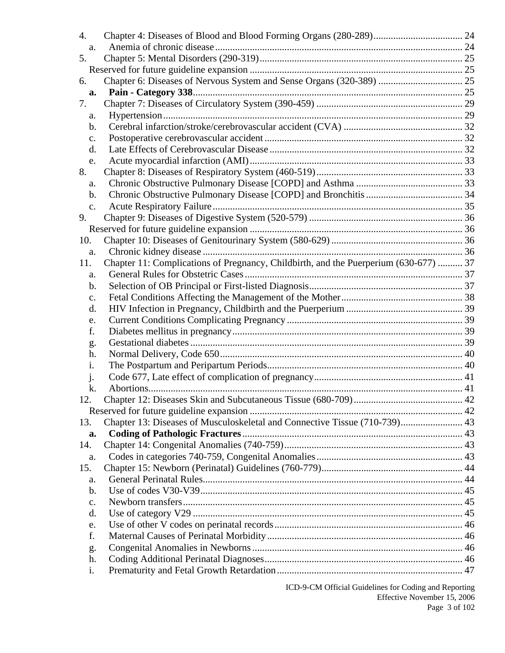| 4.             |                                                                                      |  |
|----------------|--------------------------------------------------------------------------------------|--|
| a.             |                                                                                      |  |
| 5.             |                                                                                      |  |
|                |                                                                                      |  |
| 6.             |                                                                                      |  |
| a.             |                                                                                      |  |
| 7.             |                                                                                      |  |
| a.             |                                                                                      |  |
| $\mathbf b$ .  |                                                                                      |  |
| c.             |                                                                                      |  |
| d.             |                                                                                      |  |
| e.             |                                                                                      |  |
| 8.             |                                                                                      |  |
| a.             |                                                                                      |  |
| b.             |                                                                                      |  |
| $\mathbf{c}$ . |                                                                                      |  |
| 9.             |                                                                                      |  |
|                |                                                                                      |  |
| 10.            |                                                                                      |  |
| a.             |                                                                                      |  |
| 11.            | Chapter 11: Complications of Pregnancy, Childbirth, and the Puerperium (630-677)  37 |  |
| a.             |                                                                                      |  |
| b.             |                                                                                      |  |
| c.             |                                                                                      |  |
| d.             |                                                                                      |  |
| e.             |                                                                                      |  |
| f.             |                                                                                      |  |
| g.             |                                                                                      |  |
| h.             |                                                                                      |  |
| 1.             |                                                                                      |  |
| j.             |                                                                                      |  |
| k.             |                                                                                      |  |
| 12.            |                                                                                      |  |
|                |                                                                                      |  |
| 13.            | Chapter 13: Diseases of Musculoskeletal and Connective Tissue (710-739) 43           |  |
| a.             |                                                                                      |  |
| 14.            |                                                                                      |  |
| a.             |                                                                                      |  |
| 15.            |                                                                                      |  |
| a.             |                                                                                      |  |
| $\mathbf b$ .  |                                                                                      |  |
| c.             |                                                                                      |  |
| d.             |                                                                                      |  |
| e.             |                                                                                      |  |
| f.             |                                                                                      |  |
| g.             |                                                                                      |  |
| h.             |                                                                                      |  |
| 1.             |                                                                                      |  |

ICD-9-CM Official Guidelines for Coding and Reporting Effective November 15, 2006 Page 3 of 102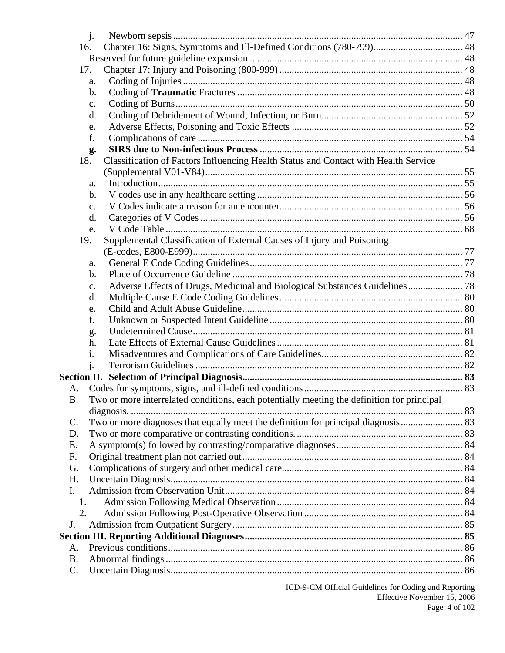|                | j.             |                                                                                            |  |
|----------------|----------------|--------------------------------------------------------------------------------------------|--|
| 16.            |                |                                                                                            |  |
|                |                |                                                                                            |  |
| 17.            |                |                                                                                            |  |
|                | a.             |                                                                                            |  |
|                | b.             |                                                                                            |  |
|                | $\mathbf{c}$ . |                                                                                            |  |
|                | d.             |                                                                                            |  |
|                | e.             |                                                                                            |  |
|                | f.             |                                                                                            |  |
|                | g.             |                                                                                            |  |
| 18.            |                | Classification of Factors Influencing Health Status and Contact with Health Service        |  |
|                |                |                                                                                            |  |
|                | a.             |                                                                                            |  |
|                | b.             |                                                                                            |  |
|                | $\mathbf{c}$ . |                                                                                            |  |
|                | d.             |                                                                                            |  |
|                | e.             |                                                                                            |  |
| 19.            |                | Supplemental Classification of External Causes of Injury and Poisoning                     |  |
|                |                |                                                                                            |  |
|                | a.             |                                                                                            |  |
|                | $\mathbf b$ .  |                                                                                            |  |
|                | $\mathbf{C}$ . | Adverse Effects of Drugs, Medicinal and Biological Substances Guidelines  78               |  |
|                | $\mathbf{d}$ . |                                                                                            |  |
|                | e.             |                                                                                            |  |
|                | f.             |                                                                                            |  |
|                | g.             |                                                                                            |  |
|                | h.             |                                                                                            |  |
|                | İ.             |                                                                                            |  |
|                |                |                                                                                            |  |
|                |                |                                                                                            |  |
| А.             |                |                                                                                            |  |
| <b>B.</b>      |                | Two or more interrelated conditions, each potentially meeting the definition for principal |  |
|                |                |                                                                                            |  |
| $\mathsf{C}$ . |                | Two or more diagnoses that equally meet the definition for principal diagnosis 83          |  |
| D.             |                |                                                                                            |  |
| E.             |                |                                                                                            |  |
| F.             |                |                                                                                            |  |
| G.             |                |                                                                                            |  |
| Η.             |                |                                                                                            |  |
| I.             |                |                                                                                            |  |
| 1.             |                |                                                                                            |  |
| 2.             |                |                                                                                            |  |
| J.             |                |                                                                                            |  |
|                |                |                                                                                            |  |
| А.             |                |                                                                                            |  |
| <b>B.</b>      |                |                                                                                            |  |
| C.             |                |                                                                                            |  |
|                |                |                                                                                            |  |

ICD-9-CM Official Guidelines for Coding and Reporting Effective November 15, 2006 Page 4 of 102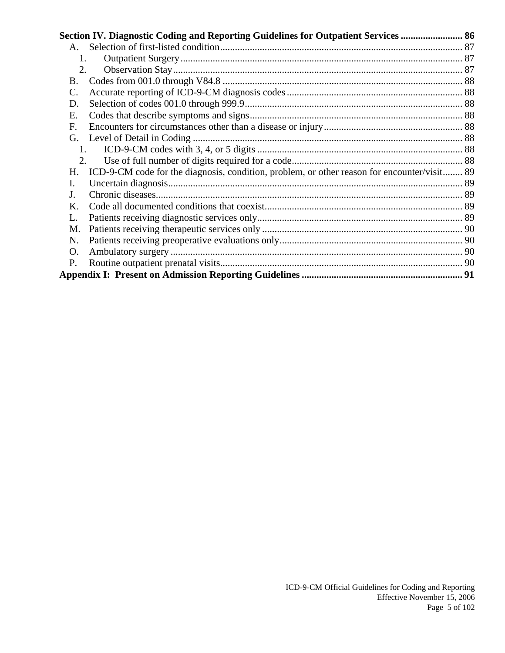|         | 86 Section IV. Diagnostic Coding and Reporting Guidelines for Outpatient Services  86       |  |  |
|---------|---------------------------------------------------------------------------------------------|--|--|
| $A_{1}$ |                                                                                             |  |  |
| 1.      |                                                                                             |  |  |
| 2.      |                                                                                             |  |  |
| B.      |                                                                                             |  |  |
| C.      |                                                                                             |  |  |
| D.      |                                                                                             |  |  |
| Ε.      |                                                                                             |  |  |
| F.      |                                                                                             |  |  |
| G.      |                                                                                             |  |  |
| $1_{-}$ |                                                                                             |  |  |
| 2.      |                                                                                             |  |  |
| Н.      | ICD-9-CM code for the diagnosis, condition, problem, or other reason for encounter/visit 89 |  |  |
| L.      |                                                                                             |  |  |
| $J_{-}$ |                                                                                             |  |  |
| Κ.      |                                                                                             |  |  |
| L.      |                                                                                             |  |  |
| M.      |                                                                                             |  |  |
| N.      |                                                                                             |  |  |
| Ο.      |                                                                                             |  |  |
| Ρ.      |                                                                                             |  |  |
|         |                                                                                             |  |  |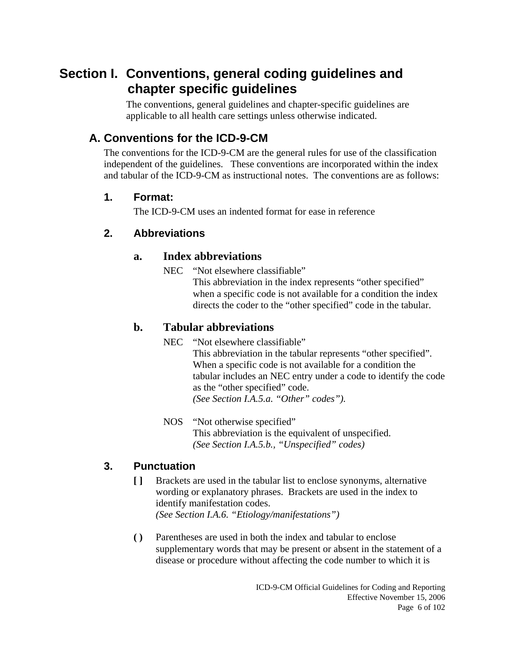# **Section I. Conventions, general coding guidelines and chapter specific guidelines**

<span id="page-5-0"></span>The conventions, general guidelines and chapter-specific guidelines are applicable to all health care settings unless otherwise indicated.

# <span id="page-5-1"></span>**A. Conventions for the ICD-9-CM**

The conventions for the ICD-9-CM are the general rules for use of the classification independent of the guidelines. These conventions are incorporated within the index and tabular of the ICD-9-CM as instructional notes. The conventions are as follows:

### **1. Format:**

<span id="page-5-3"></span><span id="page-5-2"></span>The ICD-9-CM uses an indented format for ease in reference

# **2. Abbreviations**

## **a. Index abbreviations**

<span id="page-5-4"></span>NEC "Not elsewhere classifiable"

This abbreviation in the index represents "other specified" when a specific code is not available for a condition the index directs the coder to the "other specified" code in the tabular.

# **b. Tabular abbreviations**

- <span id="page-5-5"></span>NEC "Not elsewhere classifiable"
	- This abbreviation in the tabular represents "other specified". When a specific code is not available for a condition the tabular includes an NEC entry under a code to identify the code as the "other specified" code. *(See Section I.A.5.a. "Other" codes").*
- NOS "Not otherwise specified" This abbreviation is the equivalent of unspecified. *(See Section I.A.5.b., "Unspecified" codes)*

# **3. Punctuation**

- <span id="page-5-6"></span>**[ ]** Brackets are used in the tabular list to enclose synonyms, alternative wording or explanatory phrases. Brackets are used in the index to identify manifestation codes. *(See Section I.A.6. "Etiology/manifestations")*
- **( )** Parentheses are used in both the index and tabular to enclose supplementary words that may be present or absent in the statement of a disease or procedure without affecting the code number to which it is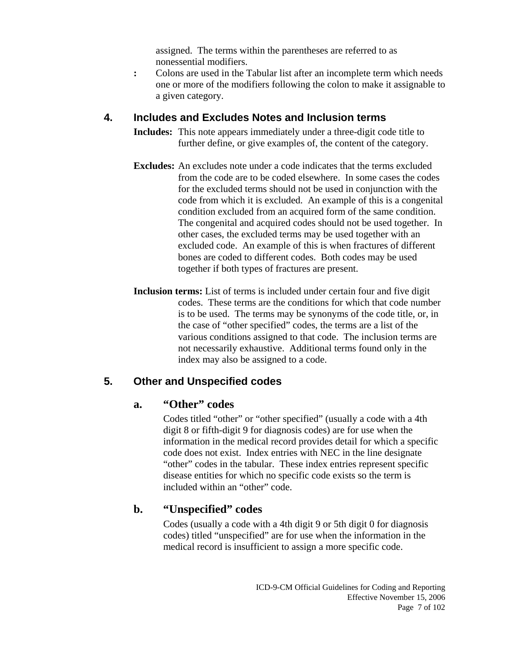assigned. The terms within the parentheses are referred to as nonessential modifiers.

**:** Colons are used in the Tabular list after an incomplete term which needs one or more of the modifiers following the colon to make it assignable to a given category.

### **4. Includes and Excludes Notes and Inclusion terms**

- <span id="page-6-0"></span>**Includes:** This note appears immediately under a three-digit code title to further define, or give examples of, the content of the category.
- **Excludes:** An excludes note under a code indicates that the terms excluded from the code are to be coded elsewhere. In some cases the codes for the excluded terms should not be used in conjunction with the code from which it is excluded. An example of this is a congenital condition excluded from an acquired form of the same condition. The congenital and acquired codes should not be used together. In other cases, the excluded terms may be used together with an excluded code. An example of this is when fractures of different bones are coded to different codes. Both codes may be used together if both types of fractures are present.
- **Inclusion terms:** List of terms is included under certain four and five digit codes. These terms are the conditions for which that code number is to be used. The terms may be synonyms of the code title, or, in the case of "other specified" codes, the terms are a list of the various conditions assigned to that code. The inclusion terms are not necessarily exhaustive. Additional terms found only in the index may also be assigned to a code.

## **5. Other and Unspecified codes**

## <span id="page-6-1"></span>**a. "Other" codes**

<span id="page-6-2"></span>Codes titled "other" or "other specified" (usually a code with a 4th digit 8 or fifth-digit 9 for diagnosis codes) are for use when the information in the medical record provides detail for which a specific code does not exist. Index entries with NEC in the line designate "other" codes in the tabular. These index entries represent specific disease entities for which no specific code exists so the term is included within an "other" code.

# **b. "Unspecified" codes**

<span id="page-6-3"></span>Codes (usually a code with a 4th digit 9 or 5th digit 0 for diagnosis codes) titled "unspecified" are for use when the information in the medical record is insufficient to assign a more specific code.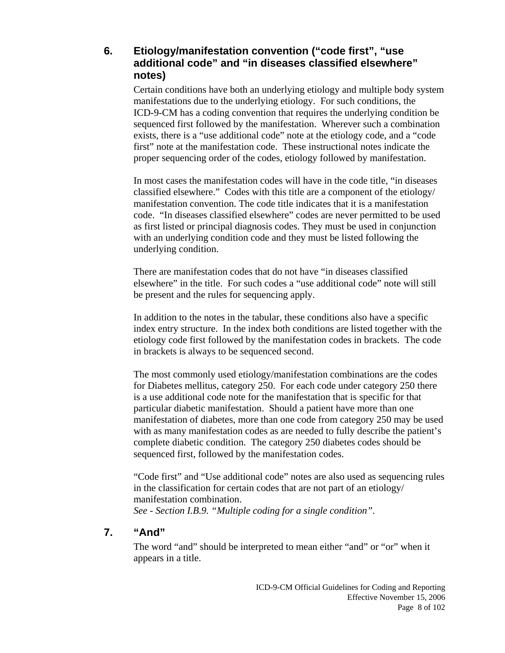## <span id="page-7-0"></span>**6. Etiology/manifestation convention ("code first", "use additional code" and "in diseases classified elsewhere" notes)**

Certain conditions have both an underlying etiology and multiple body system manifestations due to the underlying etiology. For such conditions, the ICD-9-CM has a coding convention that requires the underlying condition be sequenced first followed by the manifestation. Wherever such a combination exists, there is a "use additional code" note at the etiology code, and a "code first" note at the manifestation code. These instructional notes indicate the proper sequencing order of the codes, etiology followed by manifestation.

In most cases the manifestation codes will have in the code title, "in diseases classified elsewhere." Codes with this title are a component of the etiology/ manifestation convention. The code title indicates that it is a manifestation code. "In diseases classified elsewhere" codes are never permitted to be used as first listed or principal diagnosis codes. They must be used in conjunction with an underlying condition code and they must be listed following the underlying condition.

There are manifestation codes that do not have "in diseases classified elsewhere" in the title. For such codes a "use additional code" note will still be present and the rules for sequencing apply.

In addition to the notes in the tabular, these conditions also have a specific index entry structure. In the index both conditions are listed together with the etiology code first followed by the manifestation codes in brackets. The code in brackets is always to be sequenced second.

The most commonly used etiology/manifestation combinations are the codes for Diabetes mellitus, category 250. For each code under category 250 there is a use additional code note for the manifestation that is specific for that particular diabetic manifestation. Should a patient have more than one manifestation of diabetes, more than one code from category 250 may be used with as many manifestation codes as are needed to fully describe the patient's complete diabetic condition. The category 250 diabetes codes should be sequenced first, followed by the manifestation codes.

"Code first" and "Use additional code" notes are also used as sequencing rules in the classification for certain codes that are not part of an etiology/ manifestation combination.

*See - Section I.B.9. "Multiple coding for a single condition".* 

### **7. "And"**

<span id="page-7-1"></span>The word "and" should be interpreted to mean either "and" or "or" when it appears in a title.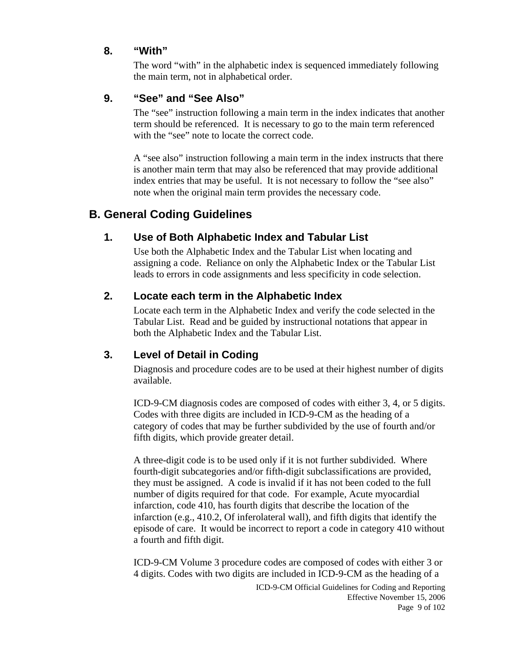### **8. "With"**

<span id="page-8-0"></span>The word "with" in the alphabetic index is sequenced immediately following the main term, not in alphabetical order.

## **9. "See" and "See Also"**

<span id="page-8-1"></span>The "see" instruction following a main term in the index indicates that another term should be referenced. It is necessary to go to the main term referenced with the "see" note to locate the correct code.

A "see also" instruction following a main term in the index instructs that there is another main term that may also be referenced that may provide additional index entries that may be useful. It is not necessary to follow the "see also" note when the original main term provides the necessary code.

# <span id="page-8-2"></span>**B. General Coding Guidelines**

# **1. Use of Both Alphabetic Index and Tabular List**

<span id="page-8-3"></span>Use both the Alphabetic Index and the Tabular List when locating and assigning a code. Reliance on only the Alphabetic Index or the Tabular List leads to errors in code assignments and less specificity in code selection.

# **2. Locate each term in the Alphabetic Index**

<span id="page-8-4"></span>Locate each term in the Alphabetic Index and verify the code selected in the Tabular List. Read and be guided by instructional notations that appear in both the Alphabetic Index and the Tabular List.

## **3. Level of Detail in Coding**

<span id="page-8-5"></span>Diagnosis and procedure codes are to be used at their highest number of digits available.

ICD-9-CM diagnosis codes are composed of codes with either 3, 4, or 5 digits. Codes with three digits are included in ICD-9-CM as the heading of a category of codes that may be further subdivided by the use of fourth and/or fifth digits, which provide greater detail.

A three-digit code is to be used only if it is not further subdivided. Where fourth-digit subcategories and/or fifth-digit subclassifications are provided, they must be assigned. A code is invalid if it has not been coded to the full number of digits required for that code. For example, Acute myocardial infarction, code 410, has fourth digits that describe the location of the infarction (e.g., 410.2, Of inferolateral wall), and fifth digits that identify the episode of care. It would be incorrect to report a code in category 410 without a fourth and fifth digit.

ICD-9-CM Volume 3 procedure codes are composed of codes with either 3 or 4 digits. Codes with two digits are included in ICD-9-CM as the heading of a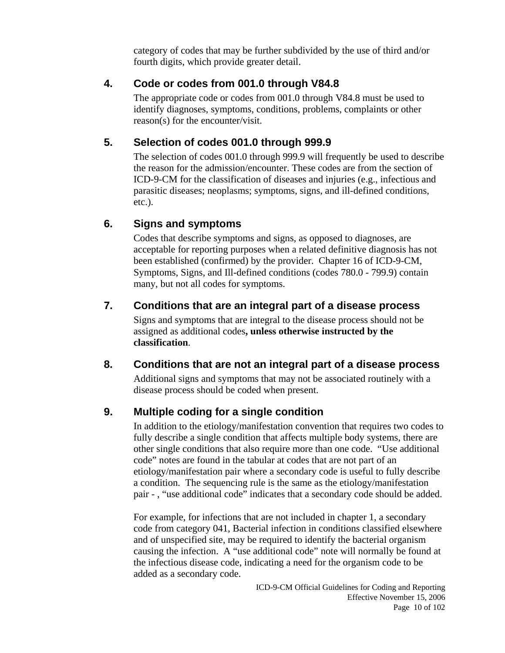category of codes that may be further subdivided by the use of third and/or fourth digits, which provide greater detail.

## **4. Code or codes from 001.0 through V84.8**

<span id="page-9-0"></span>The appropriate code or codes from 001.0 through V84.8 must be used to identify diagnoses, symptoms, conditions, problems, complaints or other reason(s) for the encounter/visit.

## **5. Selection of codes 001.0 through 999.9**

<span id="page-9-1"></span>The selection of codes 001.0 through 999.9 will frequently be used to describe the reason for the admission/encounter. These codes are from the section of ICD-9-CM for the classification of diseases and injuries (e.g., infectious and parasitic diseases; neoplasms; symptoms, signs, and ill-defined conditions, etc.).

# **6. Signs and symptoms**

<span id="page-9-2"></span>Codes that describe symptoms and signs, as opposed to diagnoses, are acceptable for reporting purposes when a related definitive diagnosis has not been established (confirmed) by the provider. Chapter 16 of ICD-9-CM, Symptoms, Signs, and Ill-defined conditions (codes 780.0 - 799.9) contain many, but not all codes for symptoms.

# **7. Conditions that are an integral part of a disease process**

<span id="page-9-3"></span>Signs and symptoms that are integral to the disease process should not be assigned as additional codes**, unless otherwise instructed by the classification**.

## **8. Conditions that are not an integral part of a disease process**

<span id="page-9-4"></span>Additional signs and symptoms that may not be associated routinely with a disease process should be coded when present.

# **9. Multiple coding for a single condition**

<span id="page-9-5"></span>In addition to the etiology/manifestation convention that requires two codes to fully describe a single condition that affects multiple body systems, there are other single conditions that also require more than one code. "Use additional code" notes are found in the tabular at codes that are not part of an etiology/manifestation pair where a secondary code is useful to fully describe a condition. The sequencing rule is the same as the etiology/manifestation pair - , "use additional code" indicates that a secondary code should be added.

For example, for infections that are not included in chapter 1, a secondary code from category 041, Bacterial infection in conditions classified elsewhere and of unspecified site, may be required to identify the bacterial organism causing the infection. A "use additional code" note will normally be found at the infectious disease code, indicating a need for the organism code to be added as a secondary code.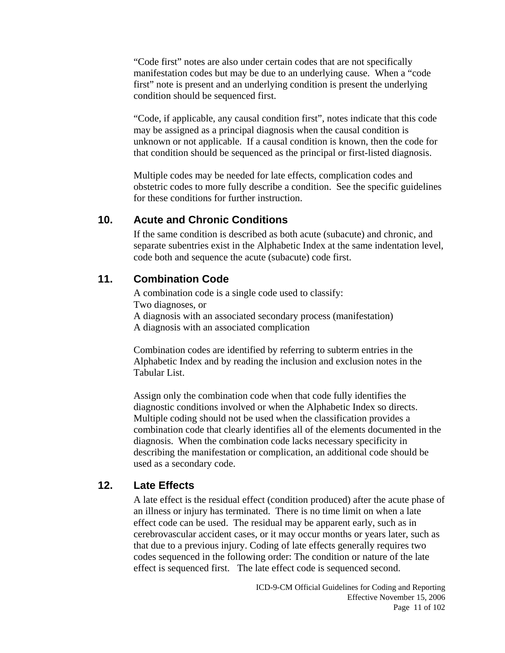"Code first" notes are also under certain codes that are not specifically manifestation codes but may be due to an underlying cause. When a "code first" note is present and an underlying condition is present the underlying condition should be sequenced first.

"Code, if applicable, any causal condition first", notes indicate that this code may be assigned as a principal diagnosis when the causal condition is unknown or not applicable. If a causal condition is known, then the code for that condition should be sequenced as the principal or first-listed diagnosis.

Multiple codes may be needed for late effects, complication codes and obstetric codes to more fully describe a condition. See the specific guidelines for these conditions for further instruction.

### **10. Acute and Chronic Conditions**

<span id="page-10-0"></span>If the same condition is described as both acute (subacute) and chronic, and separate subentries exist in the Alphabetic Index at the same indentation level, code both and sequence the acute (subacute) code first.

### **11. Combination Code**

<span id="page-10-1"></span>A combination code is a single code used to classify: Two diagnoses, or A diagnosis with an associated secondary process (manifestation) A diagnosis with an associated complication

Combination codes are identified by referring to subterm entries in the Alphabetic Index and by reading the inclusion and exclusion notes in the Tabular List.

Assign only the combination code when that code fully identifies the diagnostic conditions involved or when the Alphabetic Index so directs. Multiple coding should not be used when the classification provides a combination code that clearly identifies all of the elements documented in the diagnosis. When the combination code lacks necessary specificity in describing the manifestation or complication, an additional code should be used as a secondary code.

### **12. Late Effects**

<span id="page-10-2"></span>A late effect is the residual effect (condition produced) after the acute phase of an illness or injury has terminated. There is no time limit on when a late effect code can be used. The residual may be apparent early, such as in cerebrovascular accident cases, or it may occur months or years later, such as that due to a previous injury. Coding of late effects generally requires two codes sequenced in the following order: The condition or nature of the late effect is sequenced first. The late effect code is sequenced second.

> ICD-9-CM Official Guidelines for Coding and Reporting Effective November 15, 2006 Page 11 of 102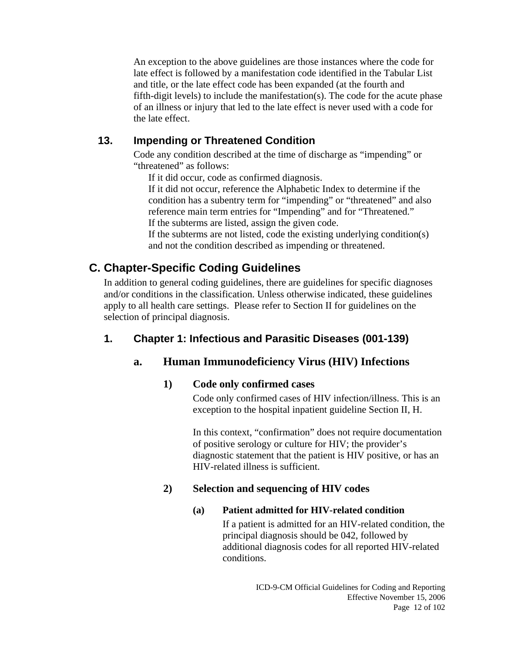An exception to the above guidelines are those instances where the code for late effect is followed by a manifestation code identified in the Tabular List and title, or the late effect code has been expanded (at the fourth and fifth-digit levels) to include the manifestation(s). The code for the acute phase of an illness or injury that led to the late effect is never used with a code for the late effect.

## **13. Impending or Threatened Condition**

<span id="page-11-0"></span>Code any condition described at the time of discharge as "impending" or "threatened" as follows:

If it did occur, code as confirmed diagnosis.

If it did not occur, reference the Alphabetic Index to determine if the condition has a subentry term for "impending" or "threatened" and also reference main term entries for "Impending" and for "Threatened." If the subterms are listed, assign the given code.

If the subterms are not listed, code the existing underlying condition(s) and not the condition described as impending or threatened.

# <span id="page-11-1"></span>**C. Chapter-Specific Coding Guidelines**

In addition to general coding guidelines, there are guidelines for specific diagnoses and/or conditions in the classification. Unless otherwise indicated, these guidelines apply to all health care settings. Please refer to Section II for guidelines on the selection of principal diagnosis.

# **1. Chapter 1: Infectious and Parasitic Diseases (001-139)**

# <span id="page-11-2"></span>**a. Human Immunodeficiency Virus (HIV) Infections**

### <span id="page-11-3"></span>**1) Code only confirmed cases**

Code only confirmed cases of HIV infection/illness. This is an exception to the hospital inpatient guideline Section II, H.

In this context, "confirmation" does not require documentation of positive serology or culture for HIV; the provider's diagnostic statement that the patient is HIV positive, or has an HIV-related illness is sufficient.

## **2) Selection and sequencing of HIV codes**

### **(a) Patient admitted for HIV-related condition**

If a patient is admitted for an HIV-related condition, the principal diagnosis should be 042, followed by additional diagnosis codes for all reported HIV-related conditions.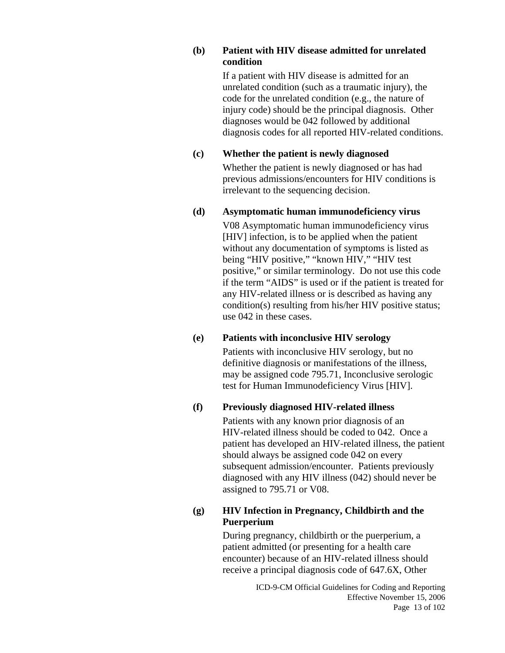#### **(b) Patient with HIV disease admitted for unrelated condition**

If a patient with HIV disease is admitted for an unrelated condition (such as a traumatic injury), the code for the unrelated condition (e.g., the nature of injury code) should be the principal diagnosis. Other diagnoses would be 042 followed by additional diagnosis codes for all reported HIV-related conditions.

### **(c) Whether the patient is newly diagnosed**  Whether the patient is newly diagnosed or has had previous admissions/encounters for HIV conditions is irrelevant to the sequencing decision.

#### **(d) Asymptomatic human immunodeficiency virus**

V08 Asymptomatic human immunodeficiency virus [HIV] infection, is to be applied when the patient without any documentation of symptoms is listed as being "HIV positive," "known HIV," "HIV test positive," or similar terminology. Do not use this code if the term "AIDS" is used or if the patient is treated for any HIV-related illness or is described as having any condition(s) resulting from his/her HIV positive status; use 042 in these cases.

#### **(e) Patients with inconclusive HIV serology**

Patients with inconclusive HIV serology, but no definitive diagnosis or manifestations of the illness, may be assigned code 795.71, Inconclusive serologic test for Human Immunodeficiency Virus [HIV].

### **(f) Previously diagnosed HIV-related illness**

Patients with any known prior diagnosis of an HIV-related illness should be coded to 042. Once a patient has developed an HIV-related illness, the patient should always be assigned code 042 on every subsequent admission/encounter. Patients previously diagnosed with any HIV illness (042) should never be assigned to 795.71 or V08.

#### **(g) HIV Infection in Pregnancy, Childbirth and the Puerperium**

During pregnancy, childbirth or the puerperium, a patient admitted (or presenting for a health care encounter) because of an HIV-related illness should receive a principal diagnosis code of 647.6X, Other

> ICD-9-CM Official Guidelines for Coding and Reporting Effective November 15, 2006 Page 13 of 102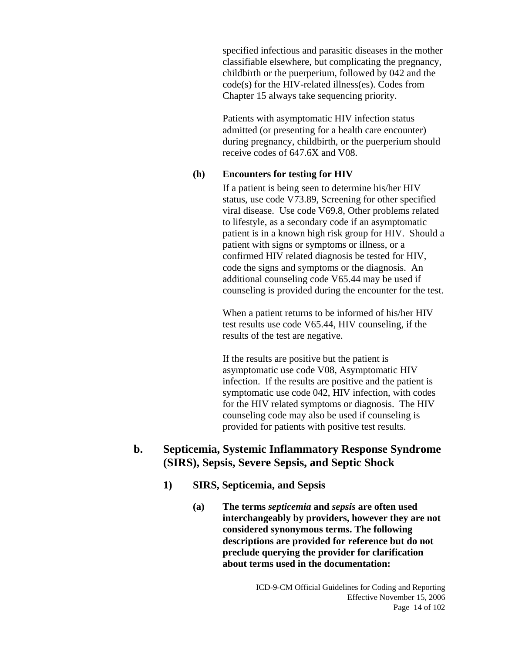specified infectious and parasitic diseases in the mother classifiable elsewhere, but complicating the pregnancy, childbirth or the puerperium, followed by 042 and the code(s) for the HIV-related illness(es). Codes from Chapter 15 always take sequencing priority.

Patients with asymptomatic HIV infection status admitted (or presenting for a health care encounter) during pregnancy, childbirth, or the puerperium should receive codes of 647.6X and V08.

#### **(h) Encounters for testing for HIV**

If a patient is being seen to determine his/her HIV status, use code V73.89, Screening for other specified viral disease. Use code V69.8, Other problems related to lifestyle, as a secondary code if an asymptomatic patient is in a known high risk group for HIV. Should a patient with signs or symptoms or illness, or a confirmed HIV related diagnosis be tested for HIV, code the signs and symptoms or the diagnosis. An additional counseling code V65.44 may be used if counseling is provided during the encounter for the test.

When a patient returns to be informed of his/her HIV test results use code V65.44, HIV counseling, if the results of the test are negative.

If the results are positive but the patient is asymptomatic use code V08, Asymptomatic HIV infection. If the results are positive and the patient is symptomatic use code 042, HIV infection, with codes for the HIV related symptoms or diagnosis. The HIV counseling code may also be used if counseling is provided for patients with positive test results.

#### <span id="page-13-0"></span>**b. Septicemia, Systemic Inflammatory Response Syndrome (SIRS), Sepsis, Severe Sepsis, and Septic Shock**

- **1) SIRS, Septicemia, and Sepsis** 
	- **(a) The terms** *septicemia* **and** *sepsis* **are often used interchangeably by providers, however they are not considered synonymous terms. The following descriptions are provided for reference but do not preclude querying the provider for clarification about terms used in the documentation:**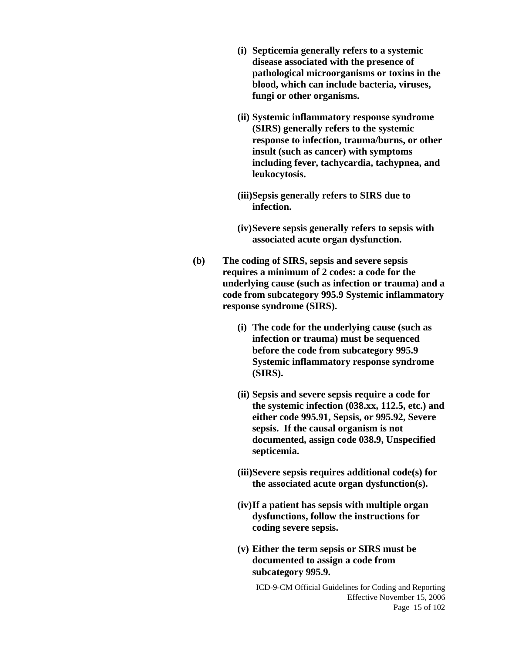- **(i) Septicemia generally refers to a systemic disease associated with the presence of pathological microorganisms or toxins in the blood, which can include bacteria, viruses, fungi or other organisms.**
- **(ii) Systemic inflammatory response syndrome (SIRS) generally refers to the systemic response to infection, trauma/burns, or other insult (such as cancer) with symptoms including fever, tachycardia, tachypnea, and leukocytosis.**
- **(iii)Sepsis generally refers to SIRS due to infection.**
- **(iv)Severe sepsis generally refers to sepsis with associated acute organ dysfunction.**
- **(b) The coding of SIRS, sepsis and severe sepsis requires a minimum of 2 codes: a code for the underlying cause (such as infection or trauma) and a code from subcategory 995.9 Systemic inflammatory response syndrome (SIRS).** 
	- **(i) The code for the underlying cause (such as infection or trauma) must be sequenced before the code from subcategory 995.9 Systemic inflammatory response syndrome (SIRS).**
	- **(ii) Sepsis and severe sepsis require a code for the systemic infection (038.xx, 112.5, etc.) and either code 995.91, Sepsis, or 995.92, Severe sepsis. If the causal organism is not documented, assign code 038.9, Unspecified septicemia.**
	- **(iii)Severe sepsis requires additional code(s) for the associated acute organ dysfunction(s).**
	- **(iv)If a patient has sepsis with multiple organ dysfunctions, follow the instructions for coding severe sepsis.**
	- **(v) Either the term sepsis or SIRS must be documented to assign a code from subcategory 995.9.**

ICD-9-CM Official Guidelines for Coding and Reporting Effective November 15, 2006 Page 15 of 102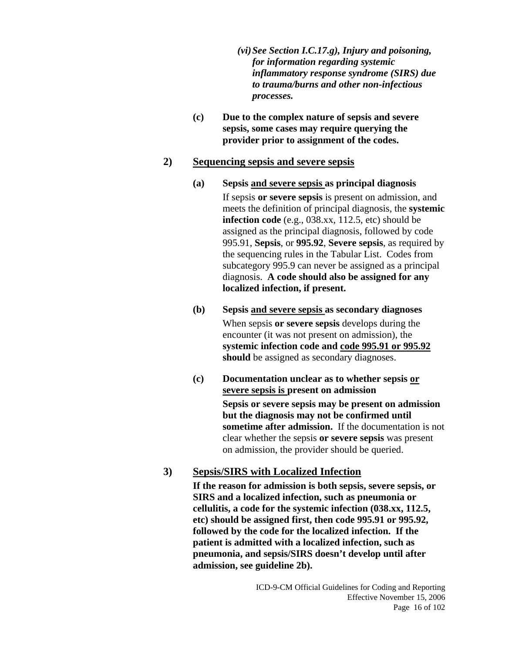- *(vi) See Section I.C.17.g), Injury and poisoning, for information regarding systemic inflammatory response syndrome (SIRS) due to trauma/burns and other non-infectious processes.*
- **(c) Due to the complex nature of sepsis and severe sepsis, some cases may require querying the provider prior to assignment of the codes.**

#### **2) Sequencing sepsis and severe sepsis**

- **(a) Sepsis and severe sepsis as principal diagnosis**  If sepsis **or severe sepsis** is present on admission, and meets the definition of principal diagnosis, the **systemic infection code** (e.g., 038.xx, 112.5, etc) should be assigned as the principal diagnosis, followed by code 995.91, **Sepsis**, or **995.92**, **Severe sepsis**, as required by the sequencing rules in the Tabular List. Codes from subcategory 995.9 can never be assigned as a principal diagnosis. **A code should also be assigned for any**
- **(b) Sepsis and severe sepsis as secondary diagnoses**  When sepsis **or severe sepsis** develops during the encounter (it was not present on admission), the **systemic infection code and code 995.91 or 995.92 should** be assigned as secondary diagnoses.

**localized infection, if present.** 

**(c) Documentation unclear as to whether sepsis or severe sepsis is present on admission Sepsis or severe sepsis may be present on admission but the diagnosis may not be confirmed until sometime after admission.** If the documentation is not clear whether the sepsis **or severe sepsis** was present on admission, the provider should be queried.

### **3) Sepsis/SIRS with Localized Infection**

**If the reason for admission is both sepsis, severe sepsis, or SIRS and a localized infection, such as pneumonia or cellulitis, a code for the systemic infection (038.xx, 112.5, etc) should be assigned first, then code 995.91 or 995.92, followed by the code for the localized infection. If the patient is admitted with a localized infection, such as pneumonia, and sepsis/SIRS doesn't develop until after admission, see guideline 2b).**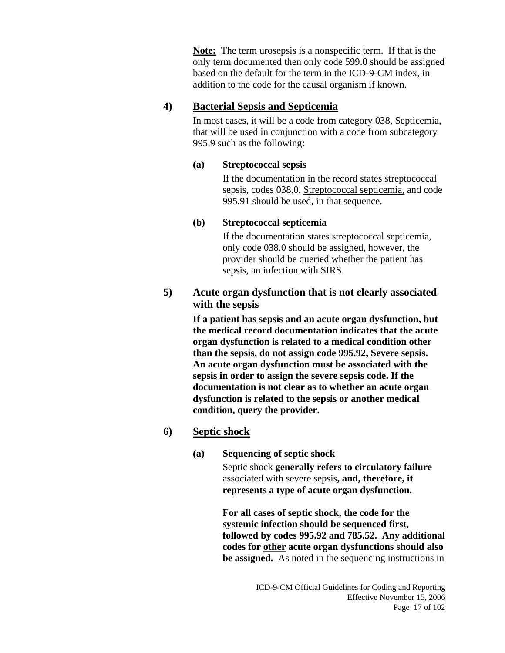**Note:** The term urosepsis is a nonspecific term. If that is the only term documented then only code 599.0 should be assigned based on the default for the term in the ICD-9-CM index, in addition to the code for the causal organism if known.

#### **4) Bacterial Sepsis and Septicemia**

In most cases, it will be a code from category 038, Septicemia, that will be used in conjunction with a code from subcategory 995.9 such as the following:

#### **(a) Streptococcal sepsis**

If the documentation in the record states streptococcal sepsis, codes 038.0, Streptococcal septicemia, and code 995.91 should be used, in that sequence.

#### **(b) Streptococcal septicemia**

If the documentation states streptococcal septicemia, only code 038.0 should be assigned, however, the provider should be queried whether the patient has sepsis, an infection with SIRS.

#### **5) Acute organ dysfunction that is not clearly associated with the sepsis**

**If a patient has sepsis and an acute organ dysfunction, but the medical record documentation indicates that the acute organ dysfunction is related to a medical condition other than the sepsis, do not assign code 995.92, Severe sepsis. An acute organ dysfunction must be associated with the sepsis in order to assign the severe sepsis code. If the documentation is not clear as to whether an acute organ dysfunction is related to the sepsis or another medical condition, query the provider.** 

### **6) Septic shock**

**(a) Sequencing of septic shock**  Septic shock **generally refers to circulatory failure**  associated with severe sepsis**, and, therefore, it represents a type of acute organ dysfunction.** 

> **For all cases of septic shock, the code for the systemic infection should be sequenced first, followed by codes 995.92 and 785.52. Any additional codes for other acute organ dysfunctions should also be assigned.** As noted in the sequencing instructions in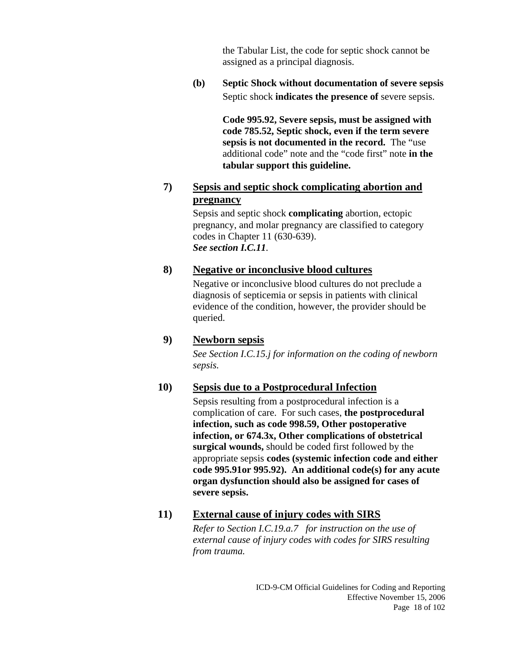the Tabular List, the code for septic shock cannot be assigned as a principal diagnosis.

**(b) Septic Shock without documentation of severe sepsis**  Septic shock **indicates the presence of** severe sepsis.

> **Code 995.92, Severe sepsis, must be assigned with code 785.52, Septic shock, even if the term severe sepsis is not documented in the record.** The "use additional code" note and the "code first" note **in the tabular support this guideline.**

### **7) Sepsis and septic shock complicating abortion and pregnancy**

Sepsis and septic shock **complicating** abortion, ectopic pregnancy, and molar pregnancy are classified to category codes in Chapter 11 (630-639). *See section I.C.11.* 

### **8) Negative or inconclusive blood cultures**

Negative or inconclusive blood cultures do not preclude a diagnosis of septicemia or sepsis in patients with clinical evidence of the condition, however, the provider should be queried.

### **9) Newborn sepsis**

*See Section I.C.15.j for information on the coding of newborn sepsis.* 

### **10) Sepsis due to a Postprocedural Infection**

Sepsis resulting from a postprocedural infection is a complication of care. For such cases, **the postprocedural infection, such as code 998.59, Other postoperative infection, or 674.3x, Other complications of obstetrical surgical wounds,** should be coded first followed by the appropriate sepsis **codes (systemic infection code and either code 995.91or 995.92). An additional code(s) for any acute organ dysfunction should also be assigned for cases of severe sepsis.** 

### **11) External cause of injury codes with SIRS**

*Refer to Section I.C.19.a.7 for instruction on the use of external cause of injury codes with codes for SIRS resulting from trauma.*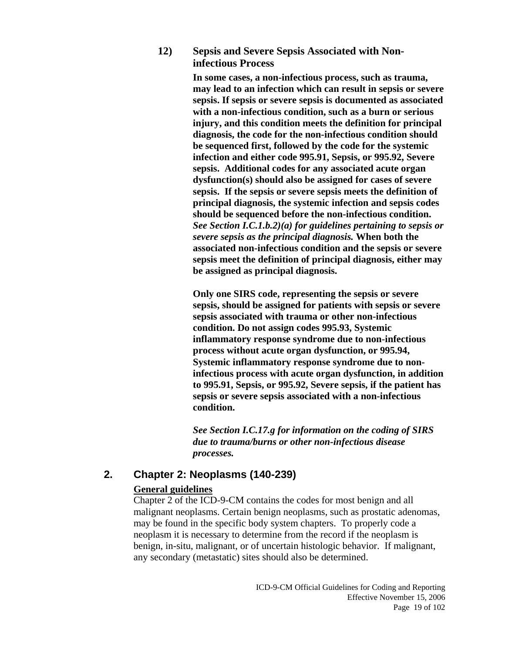#### **12) Sepsis and Severe Sepsis Associated with Noninfectious Process**

**In some cases, a non-infectious process, such as trauma, may lead to an infection which can result in sepsis or severe sepsis. If sepsis or severe sepsis is documented as associated with a non-infectious condition, such as a burn or serious injury, and this condition meets the definition for principal diagnosis, the code for the non-infectious condition should be sequenced first, followed by the code for the systemic infection and either code 995.91, Sepsis, or 995.92, Severe sepsis. Additional codes for any associated acute organ dysfunction(s) should also be assigned for cases of severe sepsis. If the sepsis or severe sepsis meets the definition of principal diagnosis, the systemic infection and sepsis codes should be sequenced before the non-infectious condition.**  *See Section I.C.1.b.2)(a) for guidelines pertaining to sepsis or severe sepsis as the principal diagnosis.* **When both the associated non-infectious condition and the sepsis or severe sepsis meet the definition of principal diagnosis, either may be assigned as principal diagnosis.** 

**Only one SIRS code, representing the sepsis or severe sepsis, should be assigned for patients with sepsis or severe sepsis associated with trauma or other non-infectious condition. Do not assign codes 995.93, Systemic inflammatory response syndrome due to non-infectious process without acute organ dysfunction, or 995.94, Systemic inflammatory response syndrome due to noninfectious process with acute organ dysfunction, in addition to 995.91, Sepsis, or 995.92, Severe sepsis, if the patient has sepsis or severe sepsis associated with a non-infectious condition.** 

*See Section I.C.17.g for information on the coding of SIRS due to trauma/burns or other non-infectious disease processes.* 

## **2. Chapter 2: Neoplasms (140-239)**

### <span id="page-18-0"></span>**General guidelines**

Chapter 2 of the ICD-9-CM contains the codes for most benign and all malignant neoplasms. Certain benign neoplasms, such as prostatic adenomas, may be found in the specific body system chapters. To properly code a neoplasm it is necessary to determine from the record if the neoplasm is benign, in-situ, malignant, or of uncertain histologic behavior. If malignant, any secondary (metastatic) sites should also be determined.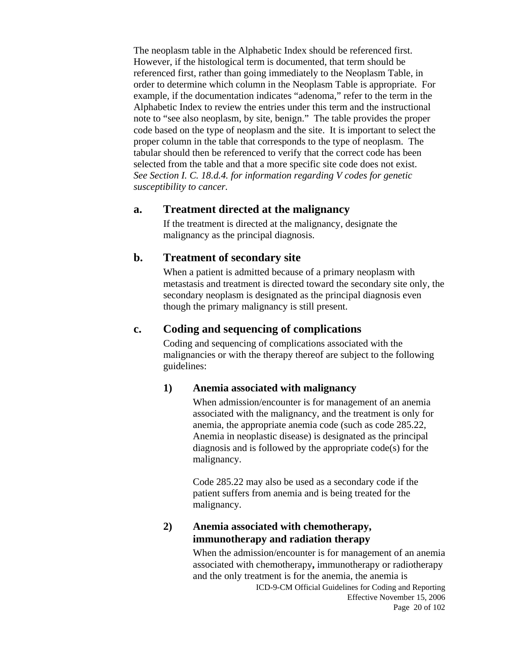The neoplasm table in the Alphabetic Index should be referenced first. However, if the histological term is documented, that term should be referenced first, rather than going immediately to the Neoplasm Table, in order to determine which column in the Neoplasm Table is appropriate. For example, if the documentation indicates "adenoma," refer to the term in the Alphabetic Index to review the entries under this term and the instructional note to "see also neoplasm, by site, benign." The table provides the proper code based on the type of neoplasm and the site. It is important to select the proper column in the table that corresponds to the type of neoplasm. The tabular should then be referenced to verify that the correct code has been selected from the table and that a more specific site code does not exist. *See Section I. C. 18.d.4. for information regarding V codes for genetic susceptibility to cancer.* 

#### **a. Treatment directed at the malignancy**

<span id="page-19-0"></span>If the treatment is directed at the malignancy, designate the malignancy as the principal diagnosis.

### **b. Treatment of secondary site**

<span id="page-19-1"></span>When a patient is admitted because of a primary neoplasm with metastasis and treatment is directed toward the secondary site only, the secondary neoplasm is designated as the principal diagnosis even though the primary malignancy is still present.

## **c. Coding and sequencing of complications**

<span id="page-19-2"></span>Coding and sequencing of complications associated with the malignancies or with the therapy thereof are subject to the following guidelines:

### **1) Anemia associated with malignancy**

When admission/encounter is for management of an anemia associated with the malignancy, and the treatment is only for anemia, the appropriate anemia code (such as code 285.22, Anemia in neoplastic disease) is designated as the principal diagnosis and is followed by the appropriate code(s) for the malignancy.

Code 285.22 may also be used as a secondary code if the patient suffers from anemia and is being treated for the malignancy.

## **2) Anemia associated with chemotherapy, immunotherapy and radiation therapy**

When the admission/encounter is for management of an anemia associated with chemotherapy**,** immunotherapy or radiotherapy and the only treatment is for the anemia, the anemia is

ICD-9-CM Official Guidelines for Coding and Reporting Effective November 15, 2006 Page 20 of 102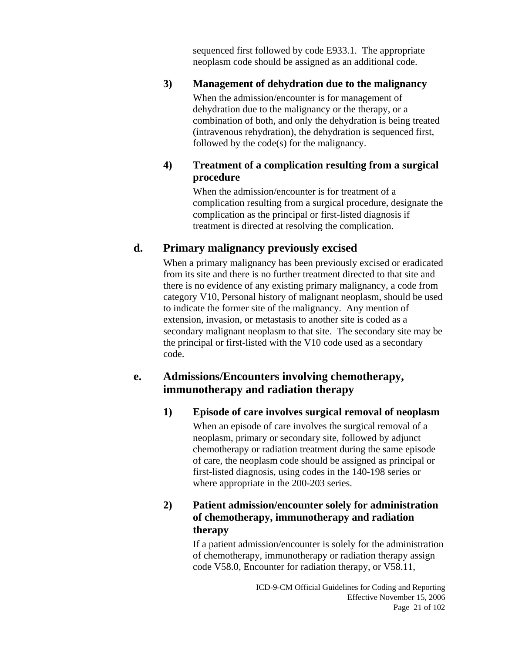sequenced first followed by code E933.1. The appropriate neoplasm code should be assigned as an additional code.

#### **3) Management of dehydration due to the malignancy**

When the admission/encounter is for management of dehydration due to the malignancy or the therapy, or a combination of both, and only the dehydration is being treated (intravenous rehydration), the dehydration is sequenced first, followed by the code(s) for the malignancy.

### **4) Treatment of a complication resulting from a surgical procedure**

When the admission/encounter is for treatment of a complication resulting from a surgical procedure, designate the complication as the principal or first-listed diagnosis if treatment is directed at resolving the complication.

# **d. Primary malignancy previously excised**

<span id="page-20-0"></span>When a primary malignancy has been previously excised or eradicated from its site and there is no further treatment directed to that site and there is no evidence of any existing primary malignancy, a code from category V10, Personal history of malignant neoplasm, should be used to indicate the former site of the malignancy. Any mention of extension, invasion, or metastasis to another site is coded as a secondary malignant neoplasm to that site. The secondary site may be the principal or first-listed with the V10 code used as a secondary code.

## <span id="page-20-1"></span>**e. Admissions/Encounters involving chemotherapy, immunotherapy and radiation therapy**

#### **1) Episode of care involves surgical removal of neoplasm**

When an episode of care involves the surgical removal of a neoplasm, primary or secondary site, followed by adjunct chemotherapy or radiation treatment during the same episode of care, the neoplasm code should be assigned as principal or first-listed diagnosis, using codes in the 140-198 series or where appropriate in the 200-203 series.

### **2) Patient admission/encounter solely for administration of chemotherapy, immunotherapy and radiation therapy**

If a patient admission/encounter is solely for the administration of chemotherapy, immunotherapy or radiation therapy assign code V58.0, Encounter for radiation therapy, or V58.11,

> ICD-9-CM Official Guidelines for Coding and Reporting Effective November 15, 2006 Page 21 of 102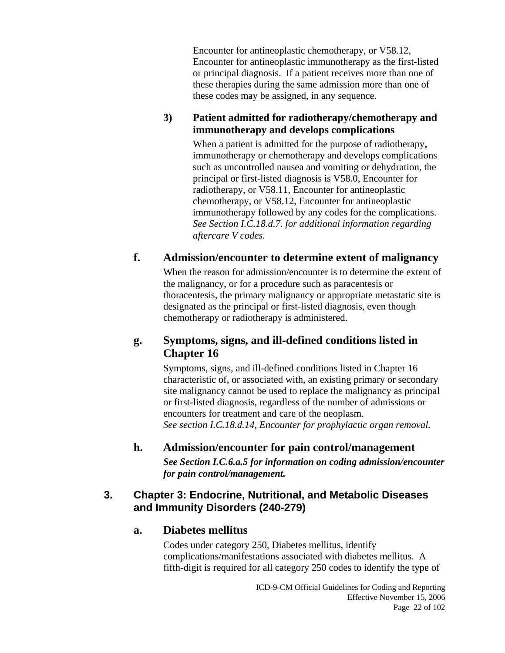Encounter for antineoplastic chemotherapy, or V58.12, Encounter for antineoplastic immunotherapy as the first-listed or principal diagnosis. If a patient receives more than one of these therapies during the same admission more than one of these codes may be assigned, in any sequence.

### **3) Patient admitted for radiotherapy/chemotherapy and immunotherapy and develops complications**

When a patient is admitted for the purpose of radiotherapy**,**  immunotherapy or chemotherapy and develops complications such as uncontrolled nausea and vomiting or dehydration, the principal or first-listed diagnosis is V58.0, Encounter for radiotherapy, or V58.11, Encounter for antineoplastic chemotherapy, or V58.12, Encounter for antineoplastic immunotherapy followed by any codes for the complications. *See Section I.C.18.d.7. for additional information regarding aftercare V codes.* 

# **f. Admission/encounter to determine extent of malignancy**

<span id="page-21-0"></span>When the reason for admission/encounter is to determine the extent of the malignancy, or for a procedure such as paracentesis or thoracentesis, the primary malignancy or appropriate metastatic site is designated as the principal or first-listed diagnosis, even though chemotherapy or radiotherapy is administered.

# **g. Symptoms, signs, and ill-defined conditions listed in Chapter 16**

<span id="page-21-1"></span>Symptoms, signs, and ill-defined conditions listed in Chapter 16 characteristic of, or associated with, an existing primary or secondary site malignancy cannot be used to replace the malignancy as principal or first-listed diagnosis, regardless of the number of admissions or encounters for treatment and care of the neoplasm. *See section I.C.18.d.14, Encounter for prophylactic organ removal.* 

## **h. Admission/encounter for pain control/management**

<span id="page-21-2"></span>*See Section I.C.6.a.5 for information on coding admission/encounter for pain control/management.* 

## <span id="page-21-3"></span>**3. Chapter 3: Endocrine, Nutritional, and Metabolic Diseases and Immunity Disorders (240-279)**

## **a. Diabetes mellitus**

<span id="page-21-4"></span>Codes under category 250, Diabetes mellitus, identify complications/manifestations associated with diabetes mellitus. A fifth-digit is required for all category 250 codes to identify the type of

> ICD-9-CM Official Guidelines for Coding and Reporting Effective November 15, 2006 Page 22 of 102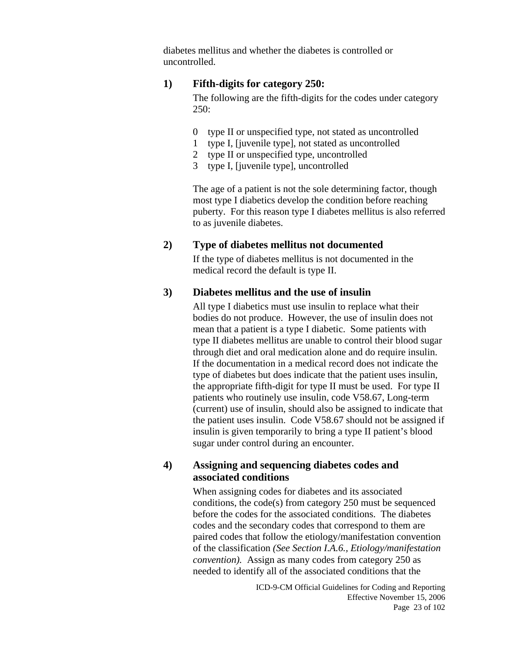diabetes mellitus and whether the diabetes is controlled or uncontrolled.

#### **1) Fifth-digits for category 250:**

The following are the fifth-digits for the codes under category 250:

- 0 type II or unspecified type, not stated as uncontrolled
- 1 type I, [juvenile type], not stated as uncontrolled
- 2 type II or unspecified type, uncontrolled
- 3 type I, [juvenile type], uncontrolled

The age of a patient is not the sole determining factor, though most type I diabetics develop the condition before reaching puberty. For this reason type I diabetes mellitus is also referred to as juvenile diabetes.

#### **2) Type of diabetes mellitus not documented**

If the type of diabetes mellitus is not documented in the medical record the default is type II.

#### **3) Diabetes mellitus and the use of insulin**

All type I diabetics must use insulin to replace what their bodies do not produce. However, the use of insulin does not mean that a patient is a type I diabetic. Some patients with type II diabetes mellitus are unable to control their blood sugar through diet and oral medication alone and do require insulin. If the documentation in a medical record does not indicate the type of diabetes but does indicate that the patient uses insulin, the appropriate fifth-digit for type II must be used. For type II patients who routinely use insulin, code V58.67, Long-term (current) use of insulin, should also be assigned to indicate that the patient uses insulin. Code V58.67 should not be assigned if insulin is given temporarily to bring a type II patient's blood sugar under control during an encounter.

#### **4) Assigning and sequencing diabetes codes and associated conditions**

When assigning codes for diabetes and its associated conditions, the code(s) from category 250 must be sequenced before the codes for the associated conditions. The diabetes codes and the secondary codes that correspond to them are paired codes that follow the etiology/manifestation convention of the classification *(See Section I.A.6., Etiology/manifestation convention).* Assign as many codes from category 250 as needed to identify all of the associated conditions that the

> ICD-9-CM Official Guidelines for Coding and Reporting Effective November 15, 2006 Page 23 of 102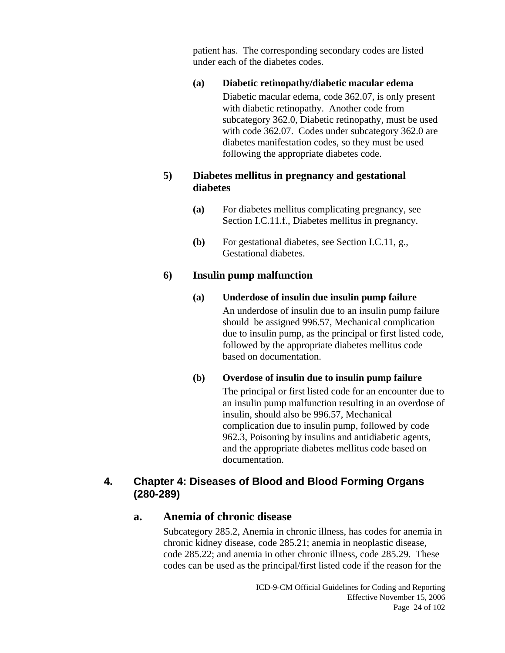patient has. The corresponding secondary codes are listed under each of the diabetes codes.

#### **(a) Diabetic retinopathy/diabetic macular edema**

Diabetic macular edema, code 362.07, is only present with diabetic retinopathy. Another code from subcategory 362.0, Diabetic retinopathy, must be used with code 362.07. Codes under subcategory 362.0 are diabetes manifestation codes, so they must be used following the appropriate diabetes code.

### **5) Diabetes mellitus in pregnancy and gestational diabetes**

- **(a)** For diabetes mellitus complicating pregnancy, see Section I.C.11.f., Diabetes mellitus in pregnancy.
- **(b)** For gestational diabetes, see Section I.C.11, g., Gestational diabetes.

### **6) Insulin pump malfunction**

**(a) Underdose of insulin due insulin pump failure**  An underdose of insulin due to an insulin pump failure should be assigned 996.57, Mechanical complication due to insulin pump, as the principal or first listed code, followed by the appropriate diabetes mellitus code based on documentation.

#### **(b) Overdose of insulin due to insulin pump failure**

The principal or first listed code for an encounter due to an insulin pump malfunction resulting in an overdose of insulin, should also be 996.57, Mechanical complication due to insulin pump, followed by code 962.3, Poisoning by insulins and antidiabetic agents, and the appropriate diabetes mellitus code based on documentation.

### <span id="page-23-0"></span>**4. Chapter 4: Diseases of Blood and Blood Forming Organs (280-289)**

### **a. Anemia of chronic disease**

<span id="page-23-1"></span>Subcategory 285.2, Anemia in chronic illness, has codes for anemia in chronic kidney disease, code 285.21; anemia in neoplastic disease, code 285.22; and anemia in other chronic illness, code 285.29. These codes can be used as the principal/first listed code if the reason for the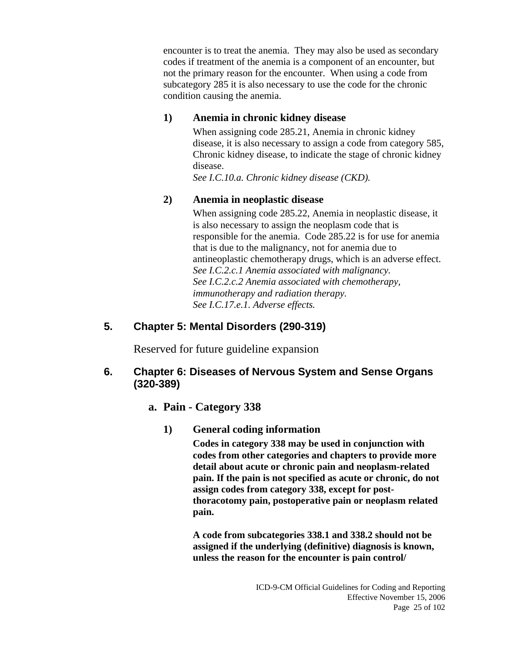encounter is to treat the anemia. They may also be used as secondary codes if treatment of the anemia is a component of an encounter, but not the primary reason for the encounter. When using a code from subcategory 285 it is also necessary to use the code for the chronic condition causing the anemia.

#### **1) Anemia in chronic kidney disease**

When assigning code 285.21, Anemia in chronic kidney disease, it is also necessary to assign a code from category 585, Chronic kidney disease, to indicate the stage of chronic kidney disease.

*See I.C.10.a. Chronic kidney disease (CKD).* 

### **2) Anemia in neoplastic disease**

When assigning code 285.22, Anemia in neoplastic disease, it is also necessary to assign the neoplasm code that is responsible for the anemia. Code 285.22 is for use for anemia that is due to the malignancy, not for anemia due to antineoplastic chemotherapy drugs, which is an adverse effect. *See I.C.2.c.1 Anemia associated with malignancy. See I.C.2.c.2 Anemia associated with chemotherapy, immunotherapy and radiation therapy. See I.C.17.e.1. Adverse effects.* 

## **5. Chapter 5: Mental Disorders (290-319)**

<span id="page-24-2"></span><span id="page-24-1"></span><span id="page-24-0"></span>Reserved for future guideline expansion

### **6. Chapter 6: Diseases of Nervous System and Sense Organs (320-389)**

<span id="page-24-3"></span>**a. Pain - Category 338** 

### **1) General coding information**

**Codes in category 338 may be used in conjunction with codes from other categories and chapters to provide more detail about acute or chronic pain and neoplasm-related pain. If the pain is not specified as acute or chronic, do not assign codes from category 338, except for postthoracotomy pain, postoperative pain or neoplasm related pain.** 

**A code from subcategories 338.1 and 338.2 should not be assigned if the underlying (definitive) diagnosis is known, unless the reason for the encounter is pain control/**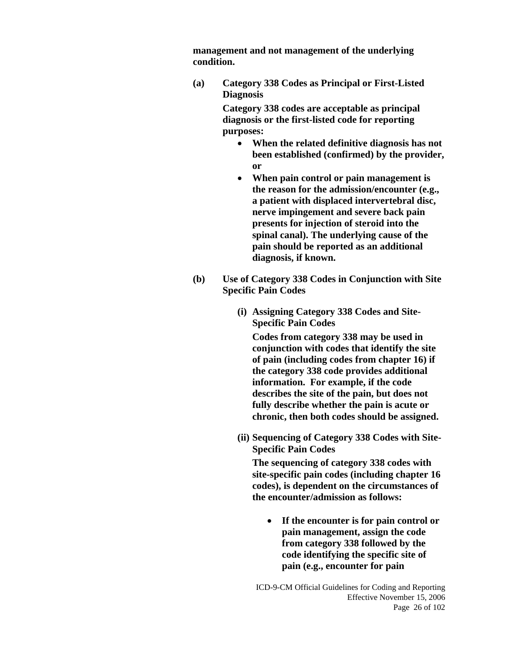**management and not management of the underlying condition.** 

**(a) Category 338 Codes as Principal or First-Listed Diagnosis** 

> **Category 338 codes are acceptable as principal diagnosis or the first-listed code for reporting purposes:**

- **When the related definitive diagnosis has not been established (confirmed) by the provider, or**
- **When pain control or pain management is the reason for the admission/encounter (e.g., a patient with displaced intervertebral disc, nerve impingement and severe back pain presents for injection of steroid into the spinal canal). The underlying cause of the pain should be reported as an additional diagnosis, if known.**
- **(b) Use of Category 338 Codes in Conjunction with Site Specific Pain Codes** 
	- **(i) Assigning Category 338 Codes and Site-Specific Pain Codes**

**Codes from category 338 may be used in conjunction with codes that identify the site of pain (including codes from chapter 16) if the category 338 code provides additional information. For example, if the code describes the site of the pain, but does not fully describe whether the pain is acute or chronic, then both codes should be assigned.** 

**(ii) Sequencing of Category 338 Codes with Site-Specific Pain Codes** 

**The sequencing of category 338 codes with site-specific pain codes (including chapter 16 codes), is dependent on the circumstances of the encounter/admission as follows:** 

• **If the encounter is for pain control or pain management, assign the code from category 338 followed by the code identifying the specific site of pain (e.g., encounter for pain** 

ICD-9-CM Official Guidelines for Coding and Reporting Effective November 15, 2006 Page 26 of 102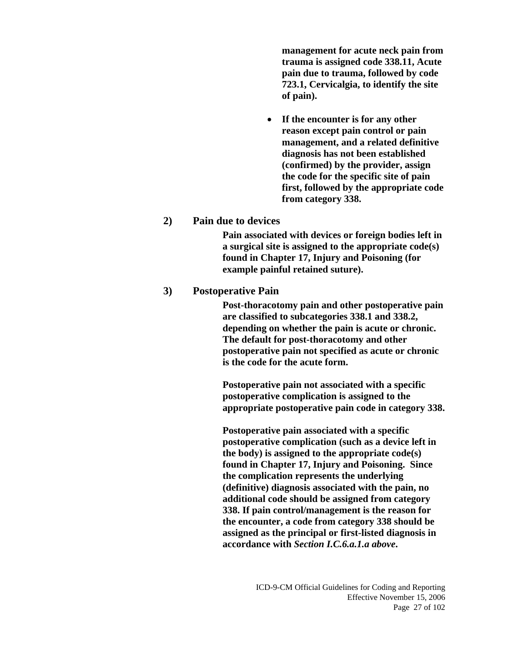**management for acute neck pain from trauma is assigned code 338.11, Acute pain due to trauma, followed by code 723.1, Cervicalgia, to identify the site of pain).** 

• **If the encounter is for any other reason except pain control or pain management, and a related definitive diagnosis has not been established (confirmed) by the provider, assign the code for the specific site of pain first, followed by the appropriate code from category 338.** 

#### **2) Pain due to devices**

**Pain associated with devices or foreign bodies left in a surgical site is assigned to the appropriate code(s) found in Chapter 17, Injury and Poisoning (for example painful retained suture).** 

#### **3) Postoperative Pain**

**Post-thoracotomy pain and other postoperative pain are classified to subcategories 338.1 and 338.2, depending on whether the pain is acute or chronic. The default for post-thoracotomy and other postoperative pain not specified as acute or chronic is the code for the acute form.** 

**Postoperative pain not associated with a specific postoperative complication is assigned to the appropriate postoperative pain code in category 338.** 

**Postoperative pain associated with a specific postoperative complication (such as a device left in the body) is assigned to the appropriate code(s) found in Chapter 17, Injury and Poisoning. Since the complication represents the underlying (definitive) diagnosis associated with the pain, no additional code should be assigned from category 338. If pain control/management is the reason for the encounter, a code from category 338 should be assigned as the principal or first-listed diagnosis in accordance with** *Section I.C.6.a.1.a above***.**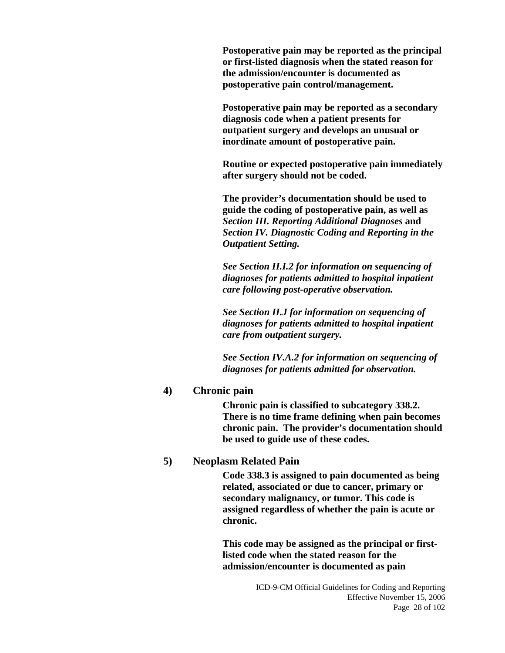**Postoperative pain may be reported as the principal or first-listed diagnosis when the stated reason for the admission/encounter is documented as postoperative pain control/management.** 

**Postoperative pain may be reported as a secondary diagnosis code when a patient presents for outpatient surgery and develops an unusual or inordinate amount of postoperative pain.** 

**Routine or expected postoperative pain immediately after surgery should not be coded.** 

**The provider's documentation should be used to guide the coding of postoperative pain, as well as**  *Section III. Reporting Additional Diagnoses* **and**  *Section IV. Diagnostic Coding and Reporting in the Outpatient Setting.* 

*See Section II.I.2 for information on sequencing of diagnoses for patients admitted to hospital inpatient care following post-operative observation.* 

*See Section II.J for information on sequencing of diagnoses for patients admitted to hospital inpatient care from outpatient surgery.* 

*See Section IV.A.2 for information on sequencing of diagnoses for patients admitted for observation.* 

#### **4) Chronic pain**

**Chronic pain is classified to subcategory 338.2. There is no time frame defining when pain becomes chronic pain. The provider's documentation should be used to guide use of these codes.** 

#### **5) Neoplasm Related Pain**

**Code 338.3 is assigned to pain documented as being related, associated or due to cancer, primary or secondary malignancy, or tumor. This code is assigned regardless of whether the pain is acute or chronic.** 

**This code may be assigned as the principal or firstlisted code when the stated reason for the admission/encounter is documented as pain** 

> ICD-9-CM Official Guidelines for Coding and Reporting Effective November 15, 2006 Page 28 of 102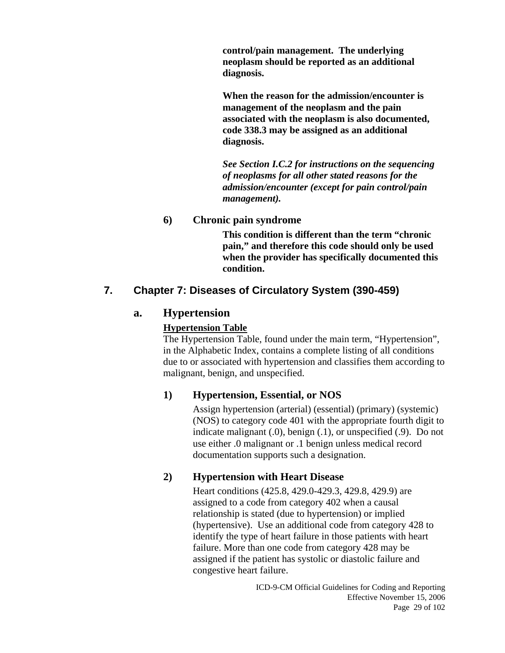**control/pain management. The underlying neoplasm should be reported as an additional diagnosis.** 

**When the reason for the admission/encounter is management of the neoplasm and the pain associated with the neoplasm is also documented, code 338.3 may be assigned as an additional diagnosis.** 

*See Section I.C.2 for instructions on the sequencing of neoplasms for all other stated reasons for the admission/encounter (except for pain control/pain management).* 

#### **6) Chronic pain syndrome**

**This condition is different than the term "chronic pain," and therefore this code should only be used when the provider has specifically documented this condition.** 

### **7. Chapter 7: Diseases of Circulatory System (390-459)**

#### <span id="page-28-0"></span>**a. Hypertension**

#### <span id="page-28-1"></span>**Hypertension Table**

The Hypertension Table, found under the main term, "Hypertension", in the Alphabetic Index, contains a complete listing of all conditions due to or associated with hypertension and classifies them according to malignant, benign, and unspecified.

#### **1) Hypertension, Essential, or NOS**

Assign hypertension (arterial) (essential) (primary) (systemic) (NOS) to category code 401 with the appropriate fourth digit to indicate malignant (.0), benign (.1), or unspecified (.9). Do not use either .0 malignant or .1 benign unless medical record documentation supports such a designation.

#### **2) Hypertension with Heart Disease**

Heart conditions (425.8, 429.0-429.3, 429.8, 429.9) are assigned to a code from category 402 when a causal relationship is stated (due to hypertension) or implied (hypertensive). Use an additional code from category 428 to identify the type of heart failure in those patients with heart failure. More than one code from category 428 may be assigned if the patient has systolic or diastolic failure and congestive heart failure.

> ICD-9-CM Official Guidelines for Coding and Reporting Effective November 15, 2006 Page 29 of 102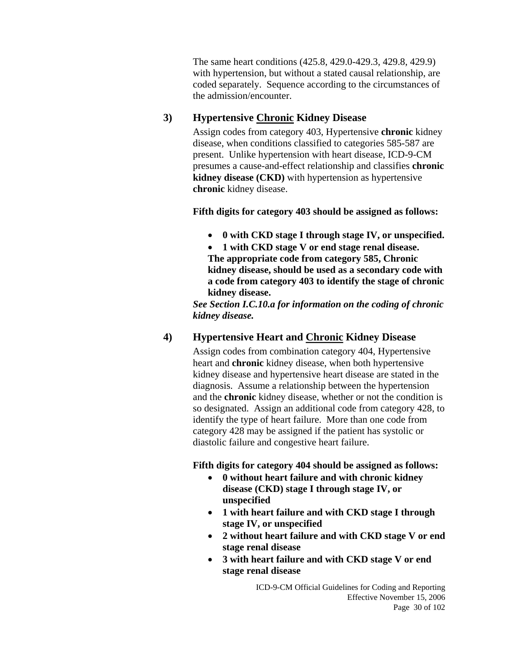The same heart conditions (425.8, 429.0-429.3, 429.8, 429.9) with hypertension, but without a stated causal relationship, are coded separately. Sequence according to the circumstances of the admission/encounter.

### **3) Hypertensive Chronic Kidney Disease**

Assign codes from category 403, Hypertensive **chronic** kidney disease, when conditions classified to categories 585-587 are present. Unlike hypertension with heart disease, ICD-9-CM presumes a cause-and-effect relationship and classifies **chronic kidney disease (CKD)** with hypertension as hypertensive **chronic** kidney disease.

**Fifth digits for category 403 should be assigned as follows:** 

• **0 with CKD stage I through stage IV, or unspecified.** 

• **1 with CKD stage V or end stage renal disease. The appropriate code from category 585, Chronic kidney disease, should be used as a secondary code with a code from category 403 to identify the stage of chronic kidney disease.** 

*See Section I.C.10.a for information on the coding of chronic kidney disease.* 

## **4) Hypertensive Heart and Chronic Kidney Disease**

Assign codes from combination category 404, Hypertensive heart and **chronic** kidney disease, when both hypertensive kidney disease and hypertensive heart disease are stated in the diagnosis. Assume a relationship between the hypertension and the **chronic** kidney disease, whether or not the condition is so designated. Assign an additional code from category 428, to identify the type of heart failure. More than one code from category 428 may be assigned if the patient has systolic or diastolic failure and congestive heart failure.

**Fifth digits for category 404 should be assigned as follows:** 

- **0 without heart failure and with chronic kidney disease (CKD) stage I through stage IV, or unspecified**
- **1 with heart failure and with CKD stage I through stage IV, or unspecified**
- **2 without heart failure and with CKD stage V or end stage renal disease**
- **3 with heart failure and with CKD stage V or end stage renal disease**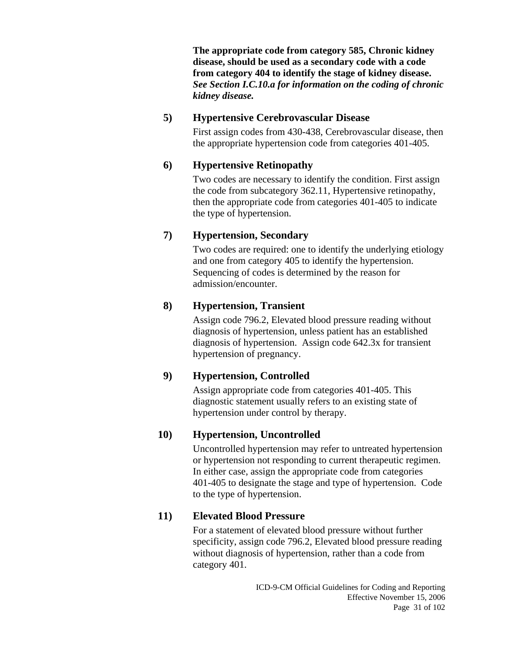**The appropriate code from category 585, Chronic kidney disease, should be used as a secondary code with a code from category 404 to identify the stage of kidney disease.**  *See Section I.C.10.a for information on the coding of chronic kidney disease.* 

### **5) Hypertensive Cerebrovascular Disease**

First assign codes from 430-438, Cerebrovascular disease, then the appropriate hypertension code from categories 401-405.

### **6) Hypertensive Retinopathy**

Two codes are necessary to identify the condition. First assign the code from subcategory 362.11, Hypertensive retinopathy, then the appropriate code from categories 401-405 to indicate the type of hypertension.

### **7) Hypertension, Secondary**

Two codes are required: one to identify the underlying etiology and one from category 405 to identify the hypertension. Sequencing of codes is determined by the reason for admission/encounter.

### **8) Hypertension, Transient**

Assign code 796.2, Elevated blood pressure reading without diagnosis of hypertension, unless patient has an established diagnosis of hypertension. Assign code 642.3x for transient hypertension of pregnancy.

## **9) Hypertension, Controlled**

Assign appropriate code from categories 401-405. This diagnostic statement usually refers to an existing state of hypertension under control by therapy.

## **10) Hypertension, Uncontrolled**

Uncontrolled hypertension may refer to untreated hypertension or hypertension not responding to current therapeutic regimen. In either case, assign the appropriate code from categories 401-405 to designate the stage and type of hypertension. Code to the type of hypertension.

### **11) Elevated Blood Pressure**

For a statement of elevated blood pressure without further specificity, assign code 796.2, Elevated blood pressure reading without diagnosis of hypertension, rather than a code from category 401.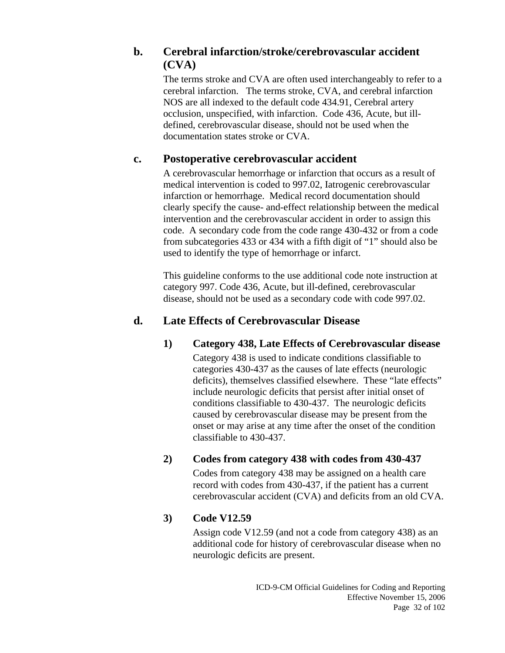# **b. Cerebral infarction/stroke/cerebrovascular accident (CVA)**

<span id="page-31-0"></span>The terms stroke and CVA are often used interchangeably to refer to a cerebral infarction. The terms stroke, CVA, and cerebral infarction NOS are all indexed to the default code 434.91, Cerebral artery occlusion, unspecified, with infarction. Code 436, Acute, but illdefined, cerebrovascular disease, should not be used when the documentation states stroke or CVA.

# **c. Postoperative cerebrovascular accident**

<span id="page-31-1"></span>A cerebrovascular hemorrhage or infarction that occurs as a result of medical intervention is coded to 997.02, Iatrogenic cerebrovascular infarction or hemorrhage. Medical record documentation should clearly specify the cause- and-effect relationship between the medical intervention and the cerebrovascular accident in order to assign this code. A secondary code from the code range 430-432 or from a code from subcategories 433 or 434 with a fifth digit of "1" should also be used to identify the type of hemorrhage or infarct.

This guideline conforms to the use additional code note instruction at category 997. Code 436, Acute, but ill-defined, cerebrovascular disease, should not be used as a secondary code with code 997.02.

# **d. Late Effects of Cerebrovascular Disease**

# <span id="page-31-2"></span>**1) Category 438, Late Effects of Cerebrovascular disease**

Category 438 is used to indicate conditions classifiable to categories 430-437 as the causes of late effects (neurologic deficits), themselves classified elsewhere. These "late effects" include neurologic deficits that persist after initial onset of conditions classifiable to 430-437. The neurologic deficits caused by cerebrovascular disease may be present from the onset or may arise at any time after the onset of the condition classifiable to 430-437.

# **2) Codes from category 438 with codes from 430-437**

Codes from category 438 may be assigned on a health care record with codes from 430-437, if the patient has a current cerebrovascular accident (CVA) and deficits from an old CVA.

## **3) Code V12.59**

Assign code V12.59 (and not a code from category 438) as an additional code for history of cerebrovascular disease when no neurologic deficits are present.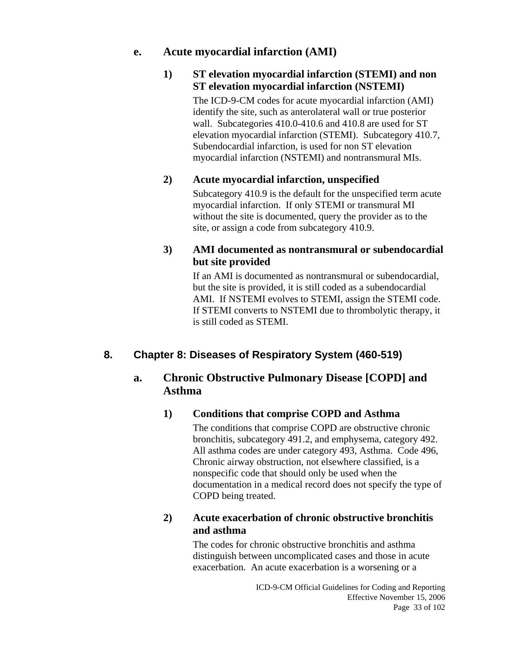## **e. Acute myocardial infarction (AMI)**

### <span id="page-32-0"></span>**1) ST elevation myocardial infarction (STEMI) and non ST elevation myocardial infarction (NSTEMI)**

The ICD-9-CM codes for acute myocardial infarction (AMI) identify the site, such as anterolateral wall or true posterior wall. Subcategories 410.0-410.6 and 410.8 are used for ST elevation myocardial infarction (STEMI). Subcategory 410.7, Subendocardial infarction, is used for non ST elevation myocardial infarction (NSTEMI) and nontransmural MIs.

#### **2) Acute myocardial infarction, unspecified**

Subcategory 410.9 is the default for the unspecified term acute myocardial infarction. If only STEMI or transmural MI without the site is documented, query the provider as to the site, or assign a code from subcategory 410.9.

#### **3) AMI documented as nontransmural or subendocardial but site provided**

If an AMI is documented as nontransmural or subendocardial, but the site is provided, it is still coded as a subendocardial AMI. If NSTEMI evolves to STEMI, assign the STEMI code. If STEMI converts to NSTEMI due to thrombolytic therapy, it is still coded as STEMI.

## **8. Chapter 8: Diseases of Respiratory System (460-519)**

### <span id="page-32-2"></span><span id="page-32-1"></span>**a. Chronic Obstructive Pulmonary Disease [COPD] and Asthma**

### **1) Conditions that comprise COPD and Asthma**

The conditions that comprise COPD are obstructive chronic bronchitis, subcategory 491.2, and emphysema, category 492. All asthma codes are under category 493, Asthma. Code 496, Chronic airway obstruction, not elsewhere classified, is a nonspecific code that should only be used when the documentation in a medical record does not specify the type of COPD being treated.

### **2) Acute exacerbation of chronic obstructive bronchitis and asthma**

The codes for chronic obstructive bronchitis and asthma distinguish between uncomplicated cases and those in acute exacerbation. An acute exacerbation is a worsening or a

> ICD-9-CM Official Guidelines for Coding and Reporting Effective November 15, 2006 Page 33 of 102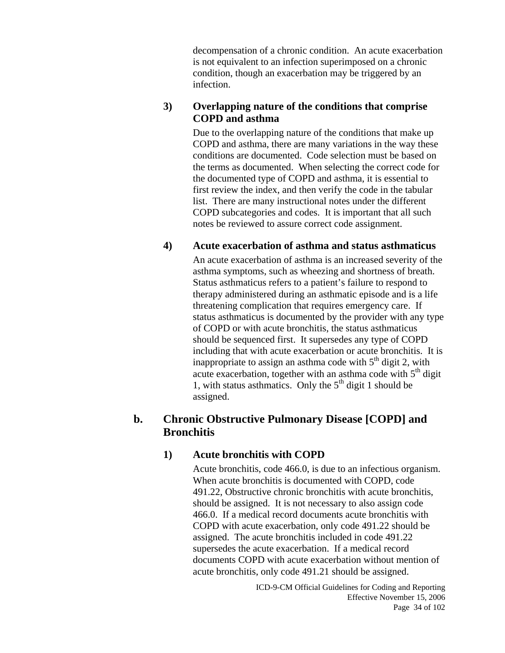decompensation of a chronic condition. An acute exacerbation is not equivalent to an infection superimposed on a chronic condition, though an exacerbation may be triggered by an infection.

#### **3) Overlapping nature of the conditions that comprise COPD and asthma**

Due to the overlapping nature of the conditions that make up COPD and asthma, there are many variations in the way these conditions are documented. Code selection must be based on the terms as documented. When selecting the correct code for the documented type of COPD and asthma, it is essential to first review the index, and then verify the code in the tabular list. There are many instructional notes under the different COPD subcategories and codes. It is important that all such notes be reviewed to assure correct code assignment.

#### **4) Acute exacerbation of asthma and status asthmaticus**

An acute exacerbation of asthma is an increased severity of the asthma symptoms, such as wheezing and shortness of breath. Status asthmaticus refers to a patient's failure to respond to therapy administered during an asthmatic episode and is a life threatening complication that requires emergency care. If status asthmaticus is documented by the provider with any type of COPD or with acute bronchitis, the status asthmaticus should be sequenced first. It supersedes any type of COPD including that with acute exacerbation or acute bronchitis. It is inappropriate to assign an asthma code with  $5<sup>th</sup>$  digit 2, with acute exacerbation, together with an asthma code with  $5<sup>th</sup>$  digit 1, with status asthmatics. Only the  $5<sup>th</sup>$  digit 1 should be assigned.

# <span id="page-33-0"></span>**b. Chronic Obstructive Pulmonary Disease [COPD] and Bronchitis**

### **1) Acute bronchitis with COPD**

Acute bronchitis, code 466.0, is due to an infectious organism. When acute bronchitis is documented with COPD, code 491.22, Obstructive chronic bronchitis with acute bronchitis, should be assigned. It is not necessary to also assign code 466.0. If a medical record documents acute bronchitis with COPD with acute exacerbation, only code 491.22 should be assigned. The acute bronchitis included in code 491.22 supersedes the acute exacerbation. If a medical record documents COPD with acute exacerbation without mention of acute bronchitis, only code 491.21 should be assigned.

> ICD-9-CM Official Guidelines for Coding and Reporting Effective November 15, 2006 Page 34 of 102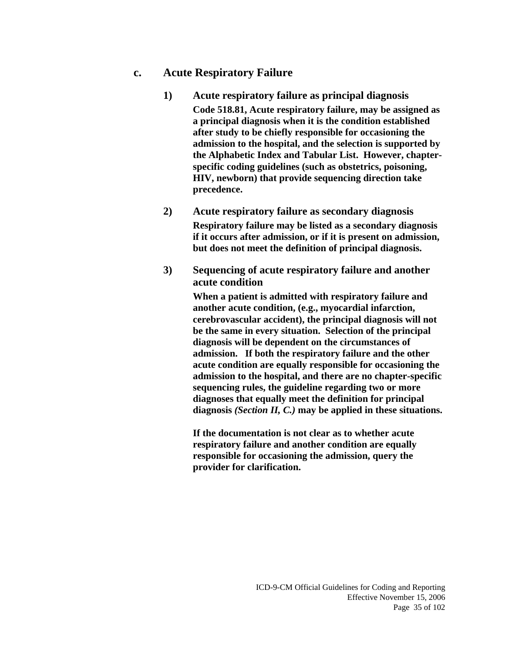### **c. Acute Respiratory Failure**

- <span id="page-34-0"></span>**1) Acute respiratory failure as principal diagnosis Code 518.81, Acute respiratory failure, may be assigned as a principal diagnosis when it is the condition established after study to be chiefly responsible for occasioning the admission to the hospital, and the selection is supported by the Alphabetic Index and Tabular List. However, chapterspecific coding guidelines (such as obstetrics, poisoning, HIV, newborn) that provide sequencing direction take precedence.**
- **2) Acute respiratory failure as secondary diagnosis Respiratory failure may be listed as a secondary diagnosis if it occurs after admission, or if it is present on admission, but does not meet the definition of principal diagnosis.**
- **3) Sequencing of acute respiratory failure and another acute condition**

**When a patient is admitted with respiratory failure and another acute condition, (e.g., myocardial infarction, cerebrovascular accident), the principal diagnosis will not be the same in every situation. Selection of the principal diagnosis will be dependent on the circumstances of admission. If both the respiratory failure and the other acute condition are equally responsible for occasioning the admission to the hospital, and there are no chapter-specific sequencing rules, the guideline regarding two or more diagnoses that equally meet the definition for principal diagnosis** *(Section II, C.)* **may be applied in these situations.** 

**If the documentation is not clear as to whether acute respiratory failure and another condition are equally responsible for occasioning the admission, query the provider for clarification.**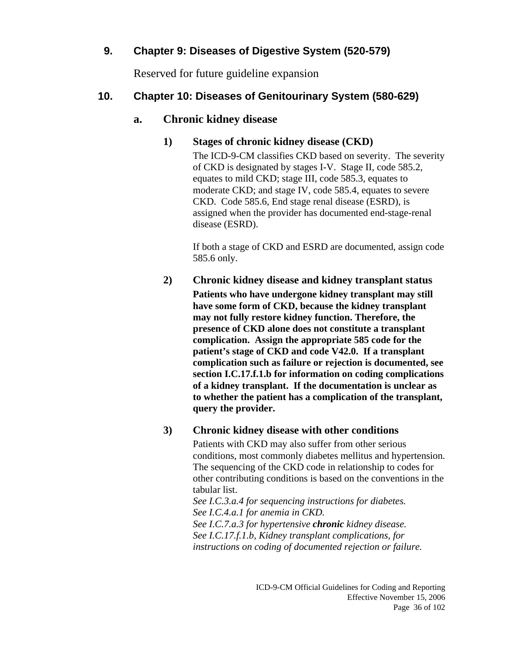# **9. Chapter 9: Diseases of Digestive System (520-579)**

<span id="page-35-1"></span><span id="page-35-0"></span>Reserved for future guideline expansion

# **10. Chapter 10: Diseases of Genitourinary System (580-629)**

## <span id="page-35-2"></span>**a. Chronic kidney disease**

### <span id="page-35-3"></span>**1) Stages of chronic kidney disease (CKD)**

The ICD-9-CM classifies CKD based on severity. The severity of CKD is designated by stages I-V. Stage II, code 585.2, equates to mild CKD; stage III, code 585.3, equates to moderate CKD; and stage IV, code 585.4, equates to severe CKD. Code 585.6, End stage renal disease (ESRD), is assigned when the provider has documented end-stage-renal disease (ESRD).

If both a stage of CKD and ESRD are documented, assign code 585.6 only.

# **2) Chronic kidney disease and kidney transplant status**

**Patients who have undergone kidney transplant may still have some form of CKD, because the kidney transplant may not fully restore kidney function. Therefore, the presence of CKD alone does not constitute a transplant complication. Assign the appropriate 585 code for the patient's stage of CKD and code V42.0. If a transplant complication such as failure or rejection is documented, see section I.C.17.f.1.b for information on coding complications of a kidney transplant. If the documentation is unclear as to whether the patient has a complication of the transplant, query the provider.** 

## **3) Chronic kidney disease with other conditions**

Patients with CKD may also suffer from other serious conditions, most commonly diabetes mellitus and hypertension. The sequencing of the CKD code in relationship to codes for other contributing conditions is based on the conventions in the tabular list.

*See I.C.3.a.4 for sequencing instructions for diabetes. See I.C.4.a.1 for anemia in CKD. See I.C.7.a.3 for hypertensive chronic kidney disease. See I.C.17.f.1.b, Kidney transplant complications, for instructions on coding of documented rejection or failure.*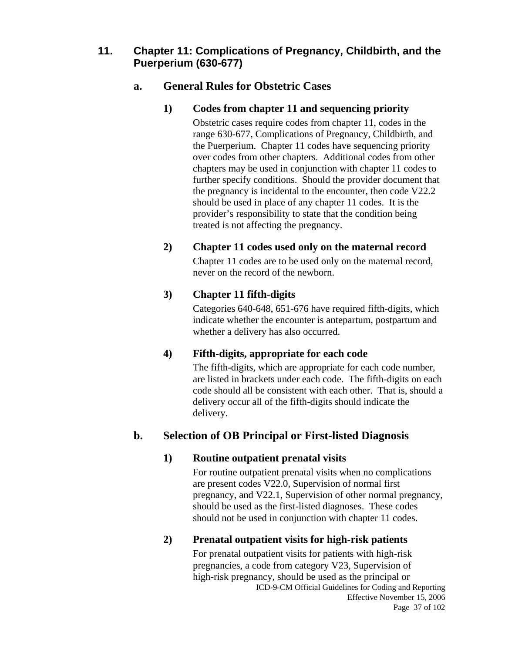## **11. Chapter 11: Complications of Pregnancy, Childbirth, and the Puerperium (630-677)**

## **a. General Rules for Obstetric Cases**

### **1) Codes from chapter 11 and sequencing priority**

Obstetric cases require codes from chapter 11, codes in the range 630-677, Complications of Pregnancy, Childbirth, and the Puerperium. Chapter 11 codes have sequencing priority over codes from other chapters. Additional codes from other chapters may be used in conjunction with chapter 11 codes to further specify conditions. Should the provider document that the pregnancy is incidental to the encounter, then code V22.2 should be used in place of any chapter 11 codes. It is the provider's responsibility to state that the condition being treated is not affecting the pregnancy.

### **2) Chapter 11 codes used only on the maternal record**

Chapter 11 codes are to be used only on the maternal record, never on the record of the newborn.

# **3) Chapter 11 fifth-digits**

Categories 640-648, 651-676 have required fifth-digits, which indicate whether the encounter is antepartum, postpartum and whether a delivery has also occurred.

## **4) Fifth-digits, appropriate for each code**

The fifth-digits, which are appropriate for each code number, are listed in brackets under each code. The fifth-digits on each code should all be consistent with each other. That is, should a delivery occur all of the fifth-digits should indicate the delivery.

# **b. Selection of OB Principal or First-listed Diagnosis**

## **1) Routine outpatient prenatal visits**

For routine outpatient prenatal visits when no complications are present codes V22.0, Supervision of normal first pregnancy, and V22.1, Supervision of other normal pregnancy, should be used as the first-listed diagnoses. These codes should not be used in conjunction with chapter 11 codes.

# **2) Prenatal outpatient visits for high-risk patients**

For prenatal outpatient visits for patients with high-risk pregnancies, a code from category V23, Supervision of high-risk pregnancy, should be used as the principal or ICD-9-CM Official Guidelines for Coding and Reporting Effective November 15, 2006 Page 37 of 102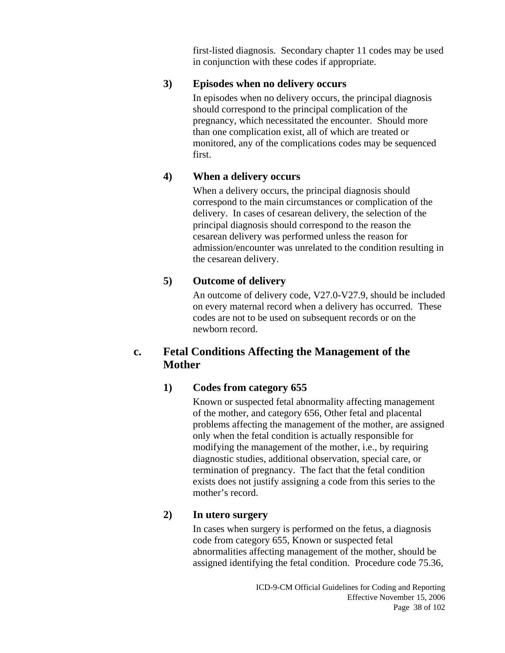first-listed diagnosis. Secondary chapter 11 codes may be used in conjunction with these codes if appropriate.

#### **3) Episodes when no delivery occurs**

In episodes when no delivery occurs, the principal diagnosis should correspond to the principal complication of the pregnancy, which necessitated the encounter. Should more than one complication exist, all of which are treated or monitored, any of the complications codes may be sequenced first.

#### **4) When a delivery occurs**

When a delivery occurs, the principal diagnosis should correspond to the main circumstances or complication of the delivery. In cases of cesarean delivery, the selection of the principal diagnosis should correspond to the reason the cesarean delivery was performed unless the reason for admission/encounter was unrelated to the condition resulting in the cesarean delivery.

## **5) Outcome of delivery**

An outcome of delivery code, V27.0-V27.9, should be included on every maternal record when a delivery has occurred. These codes are not to be used on subsequent records or on the newborn record.

# **c. Fetal Conditions Affecting the Management of the Mother**

## **1) Codes from category 655**

Known or suspected fetal abnormality affecting management of the mother, and category 656, Other fetal and placental problems affecting the management of the mother, are assigned only when the fetal condition is actually responsible for modifying the management of the mother, i.e., by requiring diagnostic studies, additional observation, special care, or termination of pregnancy. The fact that the fetal condition exists does not justify assigning a code from this series to the mother's record.

## **2) In utero surgery**

In cases when surgery is performed on the fetus, a diagnosis code from category 655, Known or suspected fetal abnormalities affecting management of the mother, should be assigned identifying the fetal condition. Procedure code 75.36,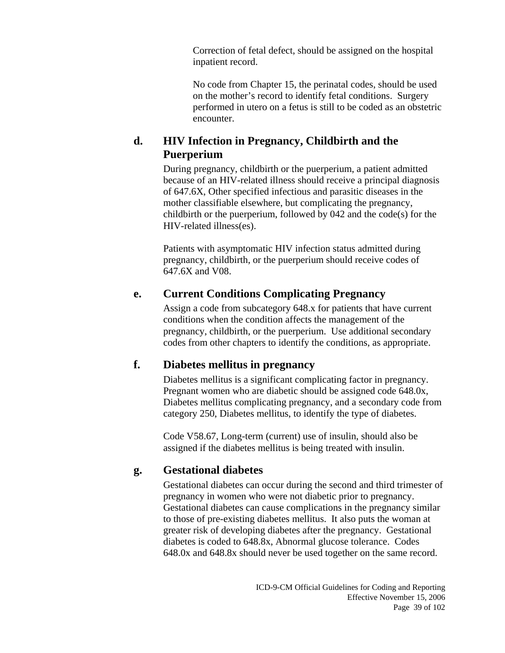Correction of fetal defect, should be assigned on the hospital inpatient record.

No code from Chapter 15, the perinatal codes, should be used on the mother's record to identify fetal conditions. Surgery performed in utero on a fetus is still to be coded as an obstetric encounter.

# **d. HIV Infection in Pregnancy, Childbirth and the Puerperium**

During pregnancy, childbirth or the puerperium, a patient admitted because of an HIV-related illness should receive a principal diagnosis of 647.6X, Other specified infectious and parasitic diseases in the mother classifiable elsewhere, but complicating the pregnancy, childbirth or the puerperium, followed by 042 and the code(s) for the HIV-related illness(es).

Patients with asymptomatic HIV infection status admitted during pregnancy, childbirth, or the puerperium should receive codes of 647.6X and V08.

# **e. Current Conditions Complicating Pregnancy**

Assign a code from subcategory 648.x for patients that have current conditions when the condition affects the management of the pregnancy, childbirth, or the puerperium. Use additional secondary codes from other chapters to identify the conditions, as appropriate.

## **f. Diabetes mellitus in pregnancy**

Diabetes mellitus is a significant complicating factor in pregnancy. Pregnant women who are diabetic should be assigned code 648.0x, Diabetes mellitus complicating pregnancy, and a secondary code from category 250, Diabetes mellitus, to identify the type of diabetes.

Code V58.67, Long-term (current) use of insulin, should also be assigned if the diabetes mellitus is being treated with insulin.

# **g. Gestational diabetes**

Gestational diabetes can occur during the second and third trimester of pregnancy in women who were not diabetic prior to pregnancy. Gestational diabetes can cause complications in the pregnancy similar to those of pre-existing diabetes mellitus. It also puts the woman at greater risk of developing diabetes after the pregnancy. Gestational diabetes is coded to 648.8x, Abnormal glucose tolerance. Codes 648.0x and 648.8x should never be used together on the same record.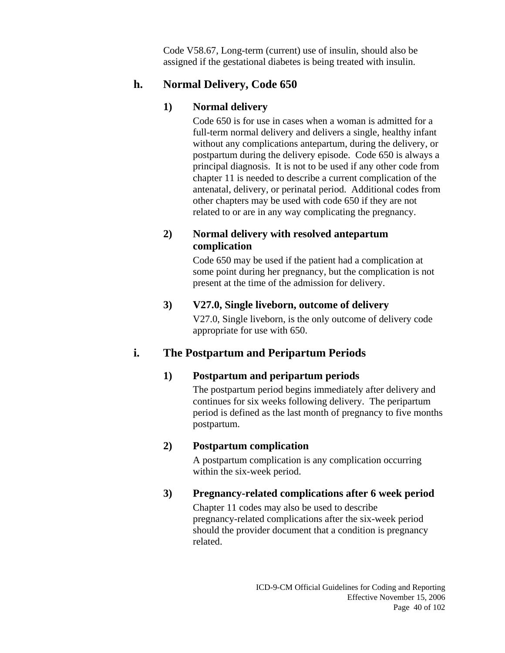Code V58.67, Long-term (current) use of insulin, should also be assigned if the gestational diabetes is being treated with insulin.

## **h. Normal Delivery, Code 650**

## **1) Normal delivery**

Code 650 is for use in cases when a woman is admitted for a full-term normal delivery and delivers a single, healthy infant without any complications antepartum, during the delivery, or postpartum during the delivery episode. Code 650 is always a principal diagnosis. It is not to be used if any other code from chapter 11 is needed to describe a current complication of the antenatal, delivery, or perinatal period. Additional codes from other chapters may be used with code 650 if they are not related to or are in any way complicating the pregnancy.

### **2) Normal delivery with resolved antepartum complication**

Code 650 may be used if the patient had a complication at some point during her pregnancy, but the complication is not present at the time of the admission for delivery.

## **3) V27.0, Single liveborn, outcome of delivery**

V27.0, Single liveborn, is the only outcome of delivery code appropriate for use with 650.

# **i. The Postpartum and Peripartum Periods**

# **1) Postpartum and peripartum periods**

The postpartum period begins immediately after delivery and continues for six weeks following delivery. The peripartum period is defined as the last month of pregnancy to five months postpartum.

## **2) Postpartum complication**

A postpartum complication is any complication occurring within the six-week period.

# **3) Pregnancy-related complications after 6 week period**

Chapter 11 codes may also be used to describe pregnancy-related complications after the six-week period should the provider document that a condition is pregnancy related.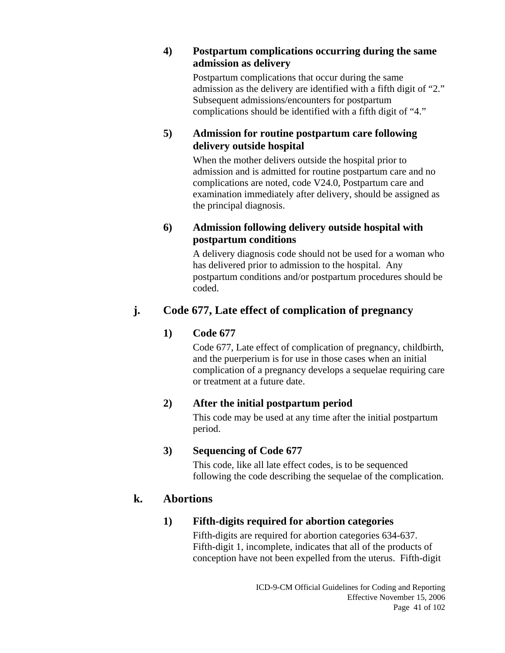### **4) Postpartum complications occurring during the same admission as delivery**

Postpartum complications that occur during the same admission as the delivery are identified with a fifth digit of "2." Subsequent admissions/encounters for postpartum complications should be identified with a fifth digit of "4."

### **5) Admission for routine postpartum care following delivery outside hospital**

When the mother delivers outside the hospital prior to admission and is admitted for routine postpartum care and no complications are noted, code V24.0, Postpartum care and examination immediately after delivery, should be assigned as the principal diagnosis.

### **6) Admission following delivery outside hospital with postpartum conditions**

A delivery diagnosis code should not be used for a woman who has delivered prior to admission to the hospital. Any postpartum conditions and/or postpartum procedures should be coded.

# **j. Code 677, Late effect of complication of pregnancy**

## **1) Code 677**

Code 677, Late effect of complication of pregnancy, childbirth, and the puerperium is for use in those cases when an initial complication of a pregnancy develops a sequelae requiring care or treatment at a future date.

## **2) After the initial postpartum period**

This code may be used at any time after the initial postpartum period.

## **3) Sequencing of Code 677**

This code, like all late effect codes, is to be sequenced following the code describing the sequelae of the complication.

## **k. Abortions**

## **1) Fifth-digits required for abortion categories**

Fifth-digits are required for abortion categories 634-637. Fifth-digit 1, incomplete, indicates that all of the products of conception have not been expelled from the uterus. Fifth-digit

> ICD-9-CM Official Guidelines for Coding and Reporting Effective November 15, 2006 Page 41 of 102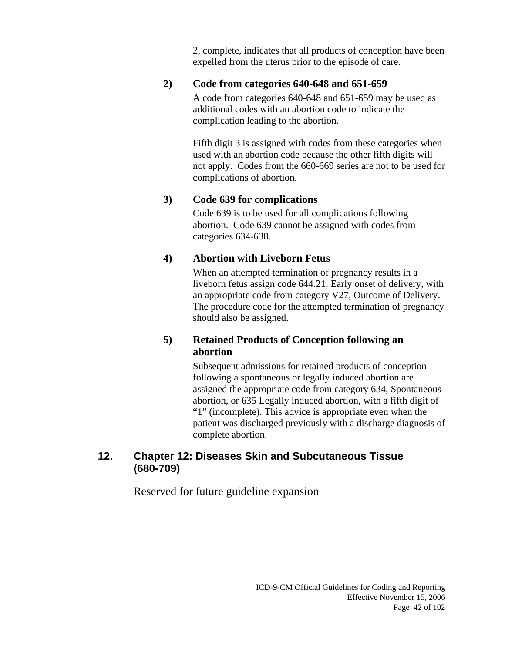2, complete, indicates that all products of conception have been expelled from the uterus prior to the episode of care.

#### **2) Code from categories 640-648 and 651-659**

A code from categories 640-648 and 651-659 may be used as additional codes with an abortion code to indicate the complication leading to the abortion.

Fifth digit 3 is assigned with codes from these categories when used with an abortion code because the other fifth digits will not apply. Codes from the 660-669 series are not to be used for complications of abortion.

#### **3) Code 639 for complications**

Code 639 is to be used for all complications following abortion. Code 639 cannot be assigned with codes from categories 634-638.

### **4) Abortion with Liveborn Fetus**

When an attempted termination of pregnancy results in a liveborn fetus assign code 644.21, Early onset of delivery, with an appropriate code from category V27, Outcome of Delivery. The procedure code for the attempted termination of pregnancy should also be assigned.

#### **5) Retained Products of Conception following an abortion**

Subsequent admissions for retained products of conception following a spontaneous or legally induced abortion are assigned the appropriate code from category 634, Spontaneous abortion, or 635 Legally induced abortion, with a fifth digit of "1" (incomplete). This advice is appropriate even when the patient was discharged previously with a discharge diagnosis of complete abortion.

### **12. Chapter 12: Diseases Skin and Subcutaneous Tissue (680-709)**

Reserved for future guideline expansion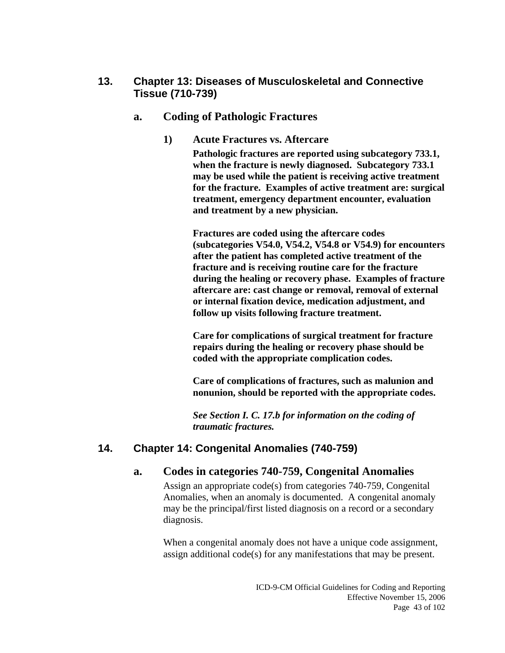### **13. Chapter 13: Diseases of Musculoskeletal and Connective Tissue (710-739)**

#### **a. Coding of Pathologic Fractures**

**1) Acute Fractures vs. Aftercare** 

**Pathologic fractures are reported using subcategory 733.1, when the fracture is newly diagnosed. Subcategory 733.1 may be used while the patient is receiving active treatment for the fracture. Examples of active treatment are: surgical treatment, emergency department encounter, evaluation and treatment by a new physician.** 

**Fractures are coded using the aftercare codes (subcategories V54.0, V54.2, V54.8 or V54.9) for encounters after the patient has completed active treatment of the fracture and is receiving routine care for the fracture during the healing or recovery phase. Examples of fracture aftercare are: cast change or removal, removal of external or internal fixation device, medication adjustment, and follow up visits following fracture treatment.** 

**Care for complications of surgical treatment for fracture repairs during the healing or recovery phase should be coded with the appropriate complication codes.** 

**Care of complications of fractures, such as malunion and nonunion, should be reported with the appropriate codes.** 

*See Section I. C. 17.b for information on the coding of traumatic fractures.* 

## **14. Chapter 14: Congenital Anomalies (740-759)**

#### **a. Codes in categories 740-759, Congenital Anomalies**

Assign an appropriate code(s) from categories 740-759, Congenital Anomalies, when an anomaly is documented. A congenital anomaly may be the principal/first listed diagnosis on a record or a secondary diagnosis.

When a congenital anomaly does not have a unique code assignment, assign additional code(s) for any manifestations that may be present.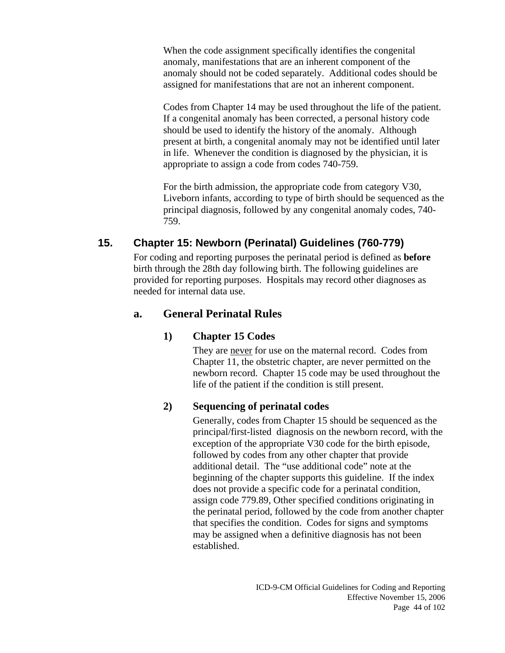When the code assignment specifically identifies the congenital anomaly, manifestations that are an inherent component of the anomaly should not be coded separately. Additional codes should be assigned for manifestations that are not an inherent component.

Codes from Chapter 14 may be used throughout the life of the patient. If a congenital anomaly has been corrected, a personal history code should be used to identify the history of the anomaly. Although present at birth, a congenital anomaly may not be identified until later in life. Whenever the condition is diagnosed by the physician, it is appropriate to assign a code from codes 740-759.

For the birth admission, the appropriate code from category V30, Liveborn infants, according to type of birth should be sequenced as the principal diagnosis, followed by any congenital anomaly codes, 740- 759.

# **15. Chapter 15: Newborn (Perinatal) Guidelines (760-779)**

For coding and reporting purposes the perinatal period is defined as **before**  birth through the 28th day following birth. The following guidelines are provided for reporting purposes. Hospitals may record other diagnoses as needed for internal data use.

# **a. General Perinatal Rules**

## **1) Chapter 15 Codes**

They are never for use on the maternal record. Codes from Chapter 11, the obstetric chapter, are never permitted on the newborn record. Chapter 15 code may be used throughout the life of the patient if the condition is still present.

## **2) Sequencing of perinatal codes**

Generally, codes from Chapter 15 should be sequenced as the principal/first-listed diagnosis on the newborn record, with the exception of the appropriate V30 code for the birth episode, followed by codes from any other chapter that provide additional detail. The "use additional code" note at the beginning of the chapter supports this guideline. If the index does not provide a specific code for a perinatal condition, assign code 779.89, Other specified conditions originating in the perinatal period, followed by the code from another chapter that specifies the condition. Codes for signs and symptoms may be assigned when a definitive diagnosis has not been established.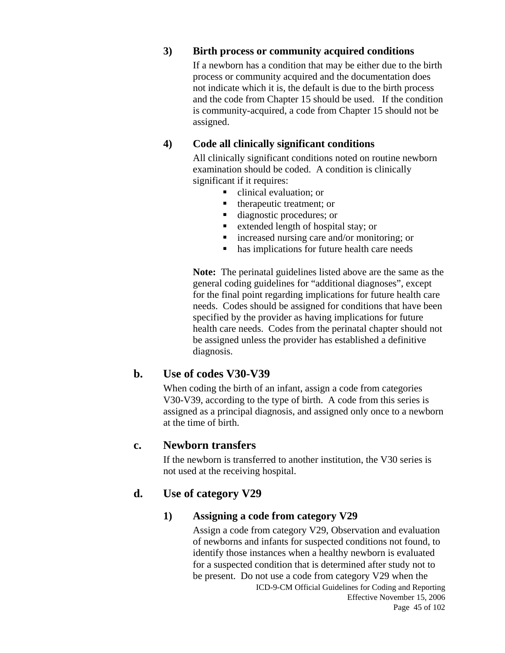### **3) Birth process or community acquired conditions**

If a newborn has a condition that may be either due to the birth process or community acquired and the documentation does not indicate which it is, the default is due to the birth process and the code from Chapter 15 should be used. If the condition is community-acquired, a code from Chapter 15 should not be assigned.

#### **4) Code all clinically significant conditions**

All clinically significant conditions noted on routine newborn examination should be coded. A condition is clinically significant if it requires:

- clinical evaluation; or
- therapeutic treatment; or
- diagnostic procedures; or
- extended length of hospital stay; or
- increased nursing care and/or monitoring; or
- has implications for future health care needs

**Note:** The perinatal guidelines listed above are the same as the general coding guidelines for "additional diagnoses", except for the final point regarding implications for future health care needs. Codes should be assigned for conditions that have been specified by the provider as having implications for future health care needs. Codes from the perinatal chapter should not be assigned unless the provider has established a definitive diagnosis.

## **b. Use of codes V30-V39**

When coding the birth of an infant, assign a code from categories V30-V39, according to the type of birth. A code from this series is assigned as a principal diagnosis, and assigned only once to a newborn at the time of birth.

#### **c. Newborn transfers**

If the newborn is transferred to another institution, the V30 series is not used at the receiving hospital.

## **d. Use of category V29**

#### **1) Assigning a code from category V29**

Assign a code from category V29, Observation and evaluation of newborns and infants for suspected conditions not found, to identify those instances when a healthy newborn is evaluated for a suspected condition that is determined after study not to be present. Do not use a code from category V29 when the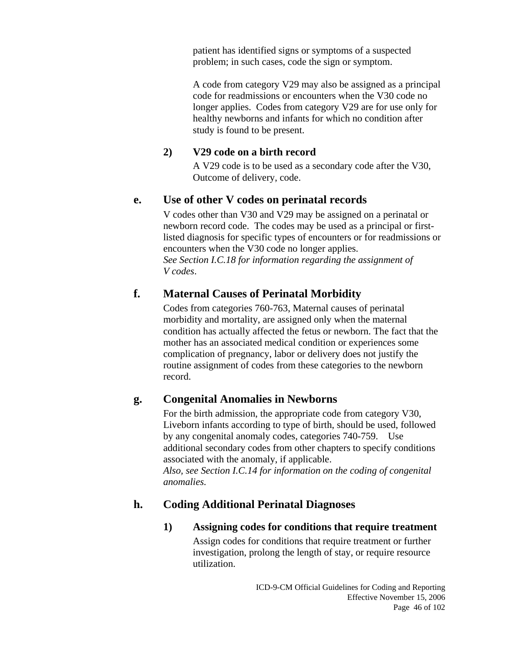patient has identified signs or symptoms of a suspected problem; in such cases, code the sign or symptom.

A code from category V29 may also be assigned as a principal code for readmissions or encounters when the V30 code no longer applies. Codes from category V29 are for use only for healthy newborns and infants for which no condition after study is found to be present.

#### **2) V29 code on a birth record**

A V29 code is to be used as a secondary code after the V30, Outcome of delivery, code.

### **e. Use of other V codes on perinatal records**

V codes other than V30 and V29 may be assigned on a perinatal or newborn record code. The codes may be used as a principal or firstlisted diagnosis for specific types of encounters or for readmissions or encounters when the V30 code no longer applies. *See Section I.C.18 for information regarding the assignment of V codes*.

# **f. Maternal Causes of Perinatal Morbidity**

Codes from categories 760-763, Maternal causes of perinatal morbidity and mortality, are assigned only when the maternal condition has actually affected the fetus or newborn. The fact that the mother has an associated medical condition or experiences some complication of pregnancy, labor or delivery does not justify the routine assignment of codes from these categories to the newborn record.

## **g. Congenital Anomalies in Newborns**

For the birth admission, the appropriate code from category V30, Liveborn infants according to type of birth, should be used, followed by any congenital anomaly codes, categories 740-759. Use additional secondary codes from other chapters to specify conditions associated with the anomaly, if applicable. *Also, see Section I.C.14 for information on the coding of congenital anomalies.* 

# **h. Coding Additional Perinatal Diagnoses**

#### **1) Assigning codes for conditions that require treatment**

Assign codes for conditions that require treatment or further investigation, prolong the length of stay, or require resource utilization.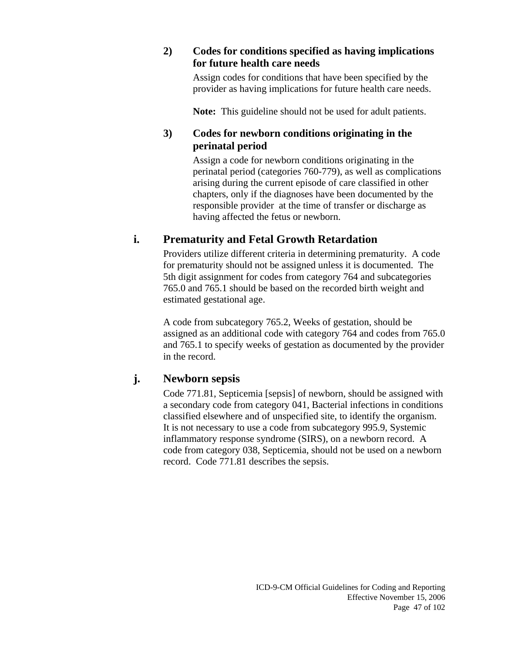### **2) Codes for conditions specified as having implications for future health care needs**

Assign codes for conditions that have been specified by the provider as having implications for future health care needs.

**Note:** This guideline should not be used for adult patients.

## **3) Codes for newborn conditions originating in the perinatal period**

Assign a code for newborn conditions originating in the perinatal period (categories 760-779), as well as complications arising during the current episode of care classified in other chapters, only if the diagnoses have been documented by the responsible provider at the time of transfer or discharge as having affected the fetus or newborn.

# **i. Prematurity and Fetal Growth Retardation**

Providers utilize different criteria in determining prematurity. A code for prematurity should not be assigned unless it is documented. The 5th digit assignment for codes from category 764 and subcategories 765.0 and 765.1 should be based on the recorded birth weight and estimated gestational age.

A code from subcategory 765.2, Weeks of gestation, should be assigned as an additional code with category 764 and codes from 765.0 and 765.1 to specify weeks of gestation as documented by the provider in the record.

# **j. Newborn sepsis**

Code 771.81, Septicemia [sepsis] of newborn, should be assigned with a secondary code from category 041, Bacterial infections in conditions classified elsewhere and of unspecified site, to identify the organism. It is not necessary to use a code from subcategory 995.9, Systemic inflammatory response syndrome (SIRS), on a newborn record. A code from category 038, Septicemia, should not be used on a newborn record. Code 771.81 describes the sepsis.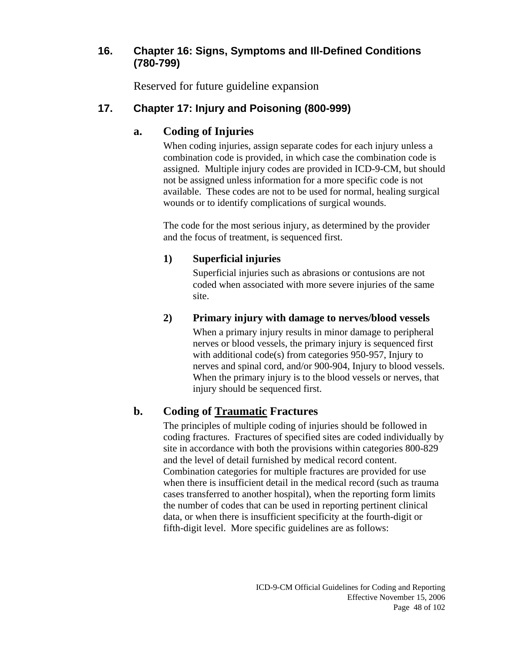# **16. Chapter 16: Signs, Symptoms and Ill-Defined Conditions (780-799)**

Reserved for future guideline expansion

# **17. Chapter 17: Injury and Poisoning (800-999)**

## **a. Coding of Injuries**

When coding injuries, assign separate codes for each injury unless a combination code is provided, in which case the combination code is assigned. Multiple injury codes are provided in ICD-9-CM, but should not be assigned unless information for a more specific code is not available. These codes are not to be used for normal, healing surgical wounds or to identify complications of surgical wounds.

The code for the most serious injury, as determined by the provider and the focus of treatment, is sequenced first.

## **1) Superficial injuries**

Superficial injuries such as abrasions or contusions are not coded when associated with more severe injuries of the same site.

# **2) Primary injury with damage to nerves/blood vessels**

When a primary injury results in minor damage to peripheral nerves or blood vessels, the primary injury is sequenced first with additional code(s) from categories 950-957. Injury to nerves and spinal cord, and/or 900-904, Injury to blood vessels. When the primary injury is to the blood vessels or nerves, that injury should be sequenced first.

# **b. Coding of Traumatic Fractures**

The principles of multiple coding of injuries should be followed in coding fractures. Fractures of specified sites are coded individually by site in accordance with both the provisions within categories 800-829 and the level of detail furnished by medical record content. Combination categories for multiple fractures are provided for use when there is insufficient detail in the medical record (such as trauma cases transferred to another hospital), when the reporting form limits the number of codes that can be used in reporting pertinent clinical data, or when there is insufficient specificity at the fourth-digit or fifth-digit level. More specific guidelines are as follows: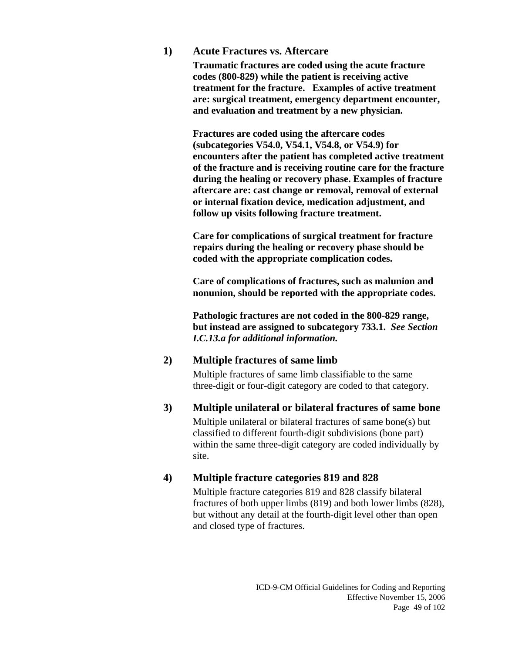#### **1) Acute Fractures vs. Aftercare**

**Traumatic fractures are coded using the acute fracture codes (800-829) while the patient is receiving active treatment for the fracture. Examples of active treatment are: surgical treatment, emergency department encounter, and evaluation and treatment by a new physician.** 

**Fractures are coded using the aftercare codes (subcategories V54.0, V54.1, V54.8, or V54.9) for encounters after the patient has completed active treatment of the fracture and is receiving routine care for the fracture during the healing or recovery phase. Examples of fracture aftercare are: cast change or removal, removal of external or internal fixation device, medication adjustment, and follow up visits following fracture treatment.** 

**Care for complications of surgical treatment for fracture repairs during the healing or recovery phase should be coded with the appropriate complication codes.** 

**Care of complications of fractures, such as malunion and nonunion, should be reported with the appropriate codes.** 

**Pathologic fractures are not coded in the 800-829 range, but instead are assigned to subcategory 733.1.** *See Section I.C.13.a for additional information.* 

#### **2) Multiple fractures of same limb**

Multiple fractures of same limb classifiable to the same three-digit or four-digit category are coded to that category.

#### **3) Multiple unilateral or bilateral fractures of same bone**

Multiple unilateral or bilateral fractures of same bone(s) but classified to different fourth-digit subdivisions (bone part) within the same three-digit category are coded individually by site.

#### **4) Multiple fracture categories 819 and 828**

Multiple fracture categories 819 and 828 classify bilateral fractures of both upper limbs (819) and both lower limbs (828), but without any detail at the fourth-digit level other than open and closed type of fractures.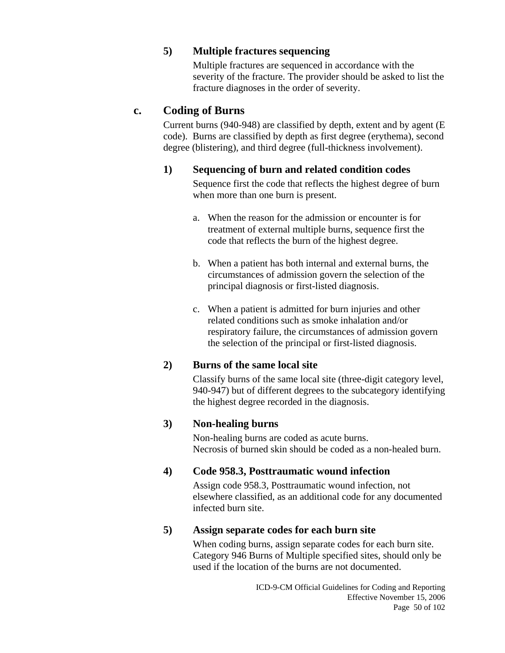### **5) Multiple fractures sequencing**

Multiple fractures are sequenced in accordance with the severity of the fracture. The provider should be asked to list the fracture diagnoses in the order of severity.

### **c. Coding of Burns**

Current burns (940-948) are classified by depth, extent and by agent (E code). Burns are classified by depth as first degree (erythema), second degree (blistering), and third degree (full-thickness involvement).

### **1) Sequencing of burn and related condition codes**

Sequence first the code that reflects the highest degree of burn when more than one burn is present.

- a. When the reason for the admission or encounter is for treatment of external multiple burns, sequence first the code that reflects the burn of the highest degree.
- b. When a patient has both internal and external burns, the circumstances of admission govern the selection of the principal diagnosis or first-listed diagnosis.
- c. When a patient is admitted for burn injuries and other related conditions such as smoke inhalation and/or respiratory failure, the circumstances of admission govern the selection of the principal or first-listed diagnosis.

## **2) Burns of the same local site**

Classify burns of the same local site (three-digit category level, 940-947) but of different degrees to the subcategory identifying the highest degree recorded in the diagnosis.

#### **3) Non-healing burns**

Non-healing burns are coded as acute burns. Necrosis of burned skin should be coded as a non-healed burn.

#### **4) Code 958.3, Posttraumatic wound infection**

Assign code 958.3, Posttraumatic wound infection, not elsewhere classified, as an additional code for any documented infected burn site.

#### **5) Assign separate codes for each burn site**

When coding burns, assign separate codes for each burn site. Category 946 Burns of Multiple specified sites, should only be used if the location of the burns are not documented.

> ICD-9-CM Official Guidelines for Coding and Reporting Effective November 15, 2006 Page 50 of 102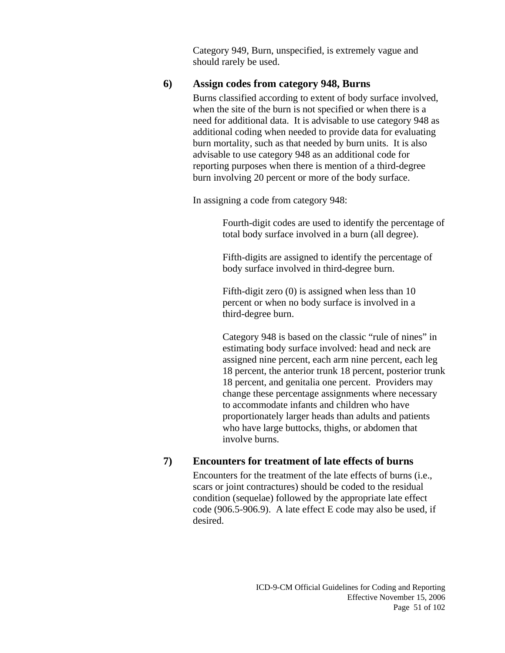Category 949, Burn, unspecified, is extremely vague and should rarely be used.

#### **6) Assign codes from category 948, Burns**

Burns classified according to extent of body surface involved, when the site of the burn is not specified or when there is a need for additional data. It is advisable to use category 948 as additional coding when needed to provide data for evaluating burn mortality, such as that needed by burn units. It is also advisable to use category 948 as an additional code for reporting purposes when there is mention of a third-degree burn involving 20 percent or more of the body surface.

In assigning a code from category 948:

Fourth-digit codes are used to identify the percentage of total body surface involved in a burn (all degree).

Fifth-digits are assigned to identify the percentage of body surface involved in third-degree burn.

Fifth-digit zero (0) is assigned when less than 10 percent or when no body surface is involved in a third-degree burn.

Category 948 is based on the classic "rule of nines" in estimating body surface involved: head and neck are assigned nine percent, each arm nine percent, each leg 18 percent, the anterior trunk 18 percent, posterior trunk 18 percent, and genitalia one percent. Providers may change these percentage assignments where necessary to accommodate infants and children who have proportionately larger heads than adults and patients who have large buttocks, thighs, or abdomen that involve burns.

#### **7) Encounters for treatment of late effects of burns**

Encounters for the treatment of the late effects of burns (i.e., scars or joint contractures) should be coded to the residual condition (sequelae) followed by the appropriate late effect code (906.5-906.9). A late effect E code may also be used, if desired.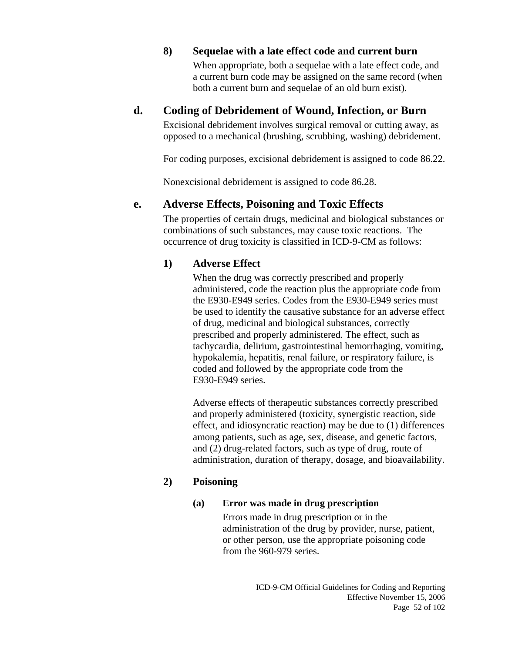#### **8) Sequelae with a late effect code and current burn**

When appropriate, both a sequelae with a late effect code, and a current burn code may be assigned on the same record (when both a current burn and sequelae of an old burn exist).

# **d. Coding of Debridement of Wound, Infection, or Burn**

Excisional debridement involves surgical removal or cutting away, as opposed to a mechanical (brushing, scrubbing, washing) debridement.

For coding purposes, excisional debridement is assigned to code 86.22.

Nonexcisional debridement is assigned to code 86.28.

# **e. Adverse Effects, Poisoning and Toxic Effects**

The properties of certain drugs, medicinal and biological substances or combinations of such substances, may cause toxic reactions. The occurrence of drug toxicity is classified in ICD-9-CM as follows:

# **1) Adverse Effect**

When the drug was correctly prescribed and properly administered, code the reaction plus the appropriate code from the E930-E949 series. Codes from the E930-E949 series must be used to identify the causative substance for an adverse effect of drug, medicinal and biological substances, correctly prescribed and properly administered. The effect, such as tachycardia, delirium, gastrointestinal hemorrhaging, vomiting, hypokalemia, hepatitis, renal failure, or respiratory failure, is coded and followed by the appropriate code from the E930-E949 series.

Adverse effects of therapeutic substances correctly prescribed and properly administered (toxicity, synergistic reaction, side effect, and idiosyncratic reaction) may be due to (1) differences among patients, such as age, sex, disease, and genetic factors, and (2) drug-related factors, such as type of drug, route of administration, duration of therapy, dosage, and bioavailability.

## **2) Poisoning**

#### **(a) Error was made in drug prescription**

Errors made in drug prescription or in the administration of the drug by provider, nurse, patient, or other person, use the appropriate poisoning code from the 960-979 series.

> ICD-9-CM Official Guidelines for Coding and Reporting Effective November 15, 2006 Page 52 of 102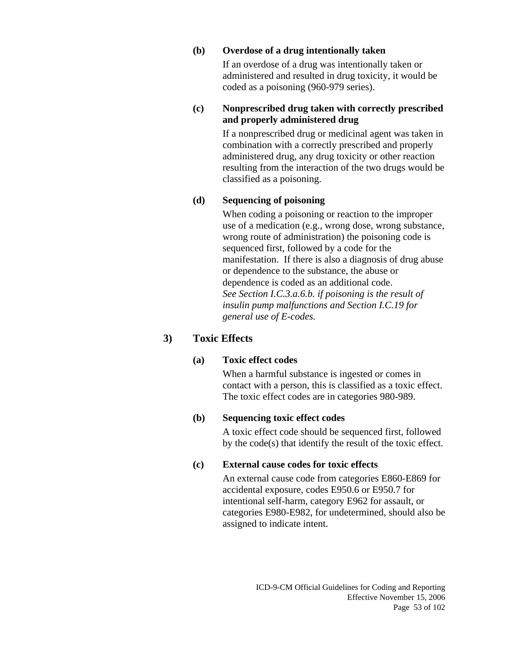#### **(b) Overdose of a drug intentionally taken**

If an overdose of a drug was intentionally taken or administered and resulted in drug toxicity, it would be coded as a poisoning (960-979 series).

#### **(c) Nonprescribed drug taken with correctly prescribed and properly administered drug**

If a nonprescribed drug or medicinal agent was taken in combination with a correctly prescribed and properly administered drug, any drug toxicity or other reaction resulting from the interaction of the two drugs would be classified as a poisoning.

#### **(d) Sequencing of poisoning**

When coding a poisoning or reaction to the improper use of a medication (e.g., wrong dose, wrong substance, wrong route of administration) the poisoning code is sequenced first, followed by a code for the manifestation. If there is also a diagnosis of drug abuse or dependence to the substance, the abuse or dependence is coded as an additional code. *See Section I.C.3.a.6.b. if poisoning is the result of insulin pump malfunctions and Section I.C.19 for general use of E-codes.* 

#### **3) Toxic Effects**

#### **(a) Toxic effect codes**

When a harmful substance is ingested or comes in contact with a person, this is classified as a toxic effect. The toxic effect codes are in categories 980-989.

#### **(b) Sequencing toxic effect codes**

A toxic effect code should be sequenced first, followed by the code(s) that identify the result of the toxic effect.

#### **(c) External cause codes for toxic effects**

An external cause code from categories E860-E869 for accidental exposure, codes E950.6 or E950.7 for intentional self-harm, category E962 for assault, or categories E980-E982, for undetermined, should also be assigned to indicate intent.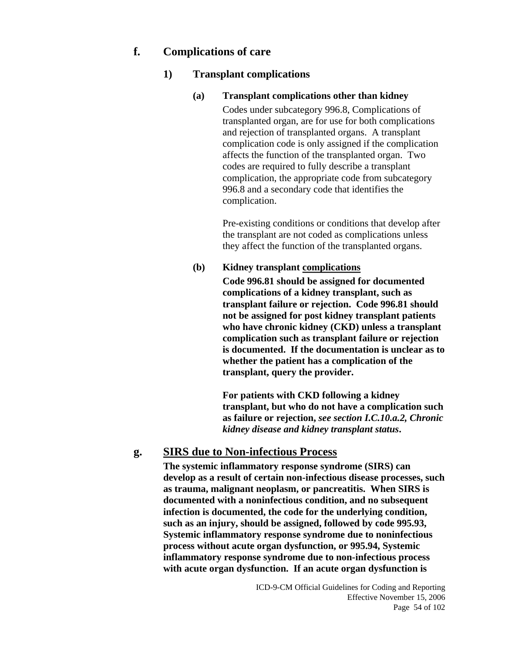### **f. Complications of care**

#### **1) Transplant complications**

#### **(a) Transplant complications other than kidney**

Codes under subcategory 996.8, Complications of transplanted organ, are for use for both complications and rejection of transplanted organs. A transplant complication code is only assigned if the complication affects the function of the transplanted organ. Two codes are required to fully describe a transplant complication, the appropriate code from subcategory 996.8 and a secondary code that identifies the complication.

Pre-existing conditions or conditions that develop after the transplant are not coded as complications unless they affect the function of the transplanted organs.

**(b) Kidney transplant complications Code 996.81 should be assigned for documented complications of a kidney transplant, such as transplant failure or rejection. Code 996.81 should not be assigned for post kidney transplant patients who have chronic kidney (CKD) unless a transplant complication such as transplant failure or rejection is documented. If the documentation is unclear as to whether the patient has a complication of the transplant, query the provider.** 

> **For patients with CKD following a kidney transplant, but who do not have a complication such as failure or rejection,** *see section I.C.10.a.2, Chronic kidney disease and kidney transplant status***.**

#### **g. SIRS due to Non-infectious Process**

**The systemic inflammatory response syndrome (SIRS) can develop as a result of certain non-infectious disease processes, such as trauma, malignant neoplasm, or pancreatitis. When SIRS is documented with a noninfectious condition, and no subsequent infection is documented, the code for the underlying condition, such as an injury, should be assigned, followed by code 995.93, Systemic inflammatory response syndrome due to noninfectious process without acute organ dysfunction, or 995.94, Systemic inflammatory response syndrome due to non-infectious process with acute organ dysfunction. If an acute organ dysfunction is** 

> ICD-9-CM Official Guidelines for Coding and Reporting Effective November 15, 2006 Page 54 of 102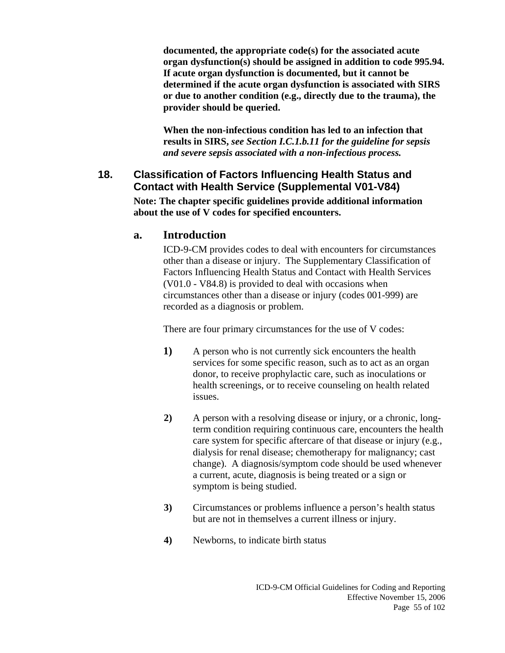**documented, the appropriate code(s) for the associated acute organ dysfunction(s) should be assigned in addition to code 995.94. If acute organ dysfunction is documented, but it cannot be determined if the acute organ dysfunction is associated with SIRS or due to another condition (e.g., directly due to the trauma), the provider should be queried.** 

**When the non-infectious condition has led to an infection that results in SIRS,** *see Section I.C.1.b.11 for the guideline for sepsis and severe sepsis associated with a non-infectious process.* 

## **18. Classification of Factors Influencing Health Status and Contact with Health Service (Supplemental V01-V84)**

**Note: The chapter specific guidelines provide additional information about the use of V codes for specified encounters.** 

## **a. Introduction**

ICD-9-CM provides codes to deal with encounters for circumstances other than a disease or injury. The Supplementary Classification of Factors Influencing Health Status and Contact with Health Services (V01.0 - V84.8) is provided to deal with occasions when circumstances other than a disease or injury (codes 001-999) are recorded as a diagnosis or problem.

There are four primary circumstances for the use of V codes:

- **1)** A person who is not currently sick encounters the health services for some specific reason, such as to act as an organ donor, to receive prophylactic care, such as inoculations or health screenings, or to receive counseling on health related issues.
- **2)** A person with a resolving disease or injury, or a chronic, longterm condition requiring continuous care, encounters the health care system for specific aftercare of that disease or injury (e.g., dialysis for renal disease; chemotherapy for malignancy; cast change). A diagnosis/symptom code should be used whenever a current, acute, diagnosis is being treated or a sign or symptom is being studied.
- **3)** Circumstances or problems influence a person's health status but are not in themselves a current illness or injury.
- **4)** Newborns, to indicate birth status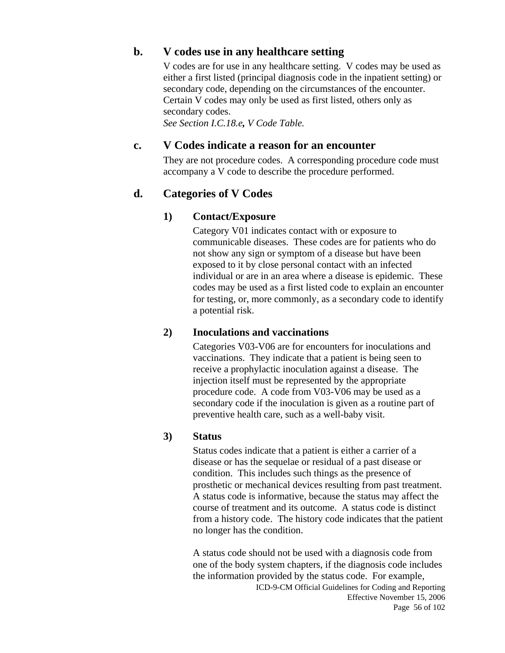# **b. V codes use in any healthcare setting**

V codes are for use in any healthcare setting. V codes may be used as either a first listed (principal diagnosis code in the inpatient setting) or secondary code, depending on the circumstances of the encounter. Certain V codes may only be used as first listed, others only as secondary codes. *See Section I.C.18.e, V Code Table.* 

#### **c. V Codes indicate a reason for an encounter**

They are not procedure codes. A corresponding procedure code must accompany a V code to describe the procedure performed.

## **d. Categories of V Codes**

#### **1) Contact/Exposure**

Category V01 indicates contact with or exposure to communicable diseases. These codes are for patients who do not show any sign or symptom of a disease but have been exposed to it by close personal contact with an infected individual or are in an area where a disease is epidemic. These codes may be used as a first listed code to explain an encounter for testing, or, more commonly, as a secondary code to identify a potential risk.

#### **2) Inoculations and vaccinations**

Categories V03-V06 are for encounters for inoculations and vaccinations. They indicate that a patient is being seen to receive a prophylactic inoculation against a disease. The injection itself must be represented by the appropriate procedure code. A code from V03-V06 may be used as a secondary code if the inoculation is given as a routine part of preventive health care, such as a well-baby visit.

#### **3) Status**

Status codes indicate that a patient is either a carrier of a disease or has the sequelae or residual of a past disease or condition. This includes such things as the presence of prosthetic or mechanical devices resulting from past treatment. A status code is informative, because the status may affect the course of treatment and its outcome. A status code is distinct from a history code. The history code indicates that the patient no longer has the condition.

A status code should not be used with a diagnosis code from one of the body system chapters, if the diagnosis code includes the information provided by the status code. For example, ICD-9-CM Official Guidelines for Coding and Reporting Effective November 15, 2006 Page 56 of 102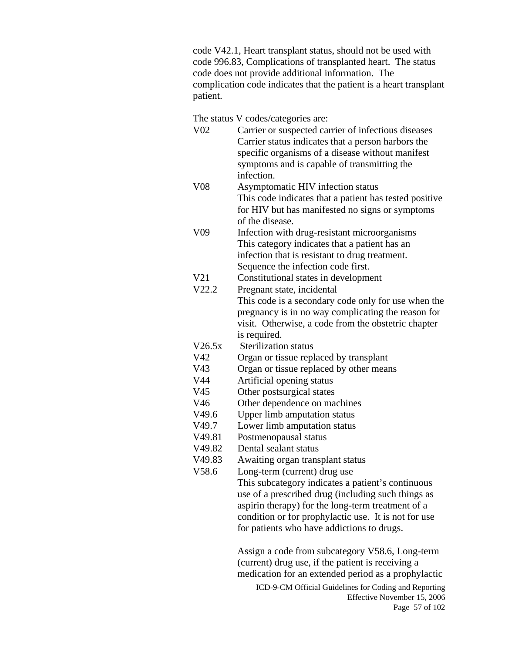code V42.1, Heart transplant status, should not be used with code 996.83, Complications of transplanted heart. The status code does not provide additional information. The complication code indicates that the patient is a heart transplant patient.

The status V codes/categories are:

| V <sub>02</sub> | Carrier or suspected carrier of infectious diseases<br>Carrier status indicates that a person harbors the |
|-----------------|-----------------------------------------------------------------------------------------------------------|
|                 | specific organisms of a disease without manifest                                                          |
|                 | symptoms and is capable of transmitting the                                                               |
|                 | infection.                                                                                                |
| V08             | Asymptomatic HIV infection status                                                                         |
|                 | This code indicates that a patient has tested positive<br>for HIV but has manifested no signs or symptoms |
|                 | of the disease.                                                                                           |
| V <sub>09</sub> | Infection with drug-resistant microorganisms                                                              |
|                 | This category indicates that a patient has an                                                             |
|                 | infection that is resistant to drug treatment.                                                            |
|                 | Sequence the infection code first.                                                                        |
| V21             | Constitutional states in development                                                                      |
| V22.2           | Pregnant state, incidental                                                                                |
|                 | This code is a secondary code only for use when the                                                       |
|                 | pregnancy is in no way complicating the reason for                                                        |
|                 | visit. Otherwise, a code from the obstetric chapter                                                       |
|                 | is required.                                                                                              |
| V26.5x          | <b>Sterilization status</b>                                                                               |
| V42             | Organ or tissue replaced by transplant                                                                    |
| V43             | Organ or tissue replaced by other means                                                                   |
| V44             | Artificial opening status                                                                                 |
| V45             | Other postsurgical states                                                                                 |
| V46             | Other dependence on machines                                                                              |
| V49.6           | <b>Upper limb amputation status</b>                                                                       |
| V49.7           | Lower limb amputation status                                                                              |
| V49.81          | Postmenopausal status                                                                                     |
| V49.82          | Dental sealant status                                                                                     |
| V49.83          | Awaiting organ transplant status                                                                          |
| V58.6           | Long-term (current) drug use                                                                              |
|                 | This subcategory indicates a patient's continuous                                                         |
|                 | use of a prescribed drug (including such things as                                                        |
|                 | aspirin therapy) for the long-term treatment of a                                                         |
|                 | condition or for prophylactic use. It is not for use                                                      |
|                 | for patients who have addictions to drugs.                                                                |
|                 | Assign a code from subcategory V58.6, Long-term                                                           |
|                 |                                                                                                           |

(current) drug use, if the patient is receiving a medication for an extended period as a prophylactic

ICD-9-CM Official Guidelines for Coding and Reporting Effective November 15, 2006 Page 57 of 102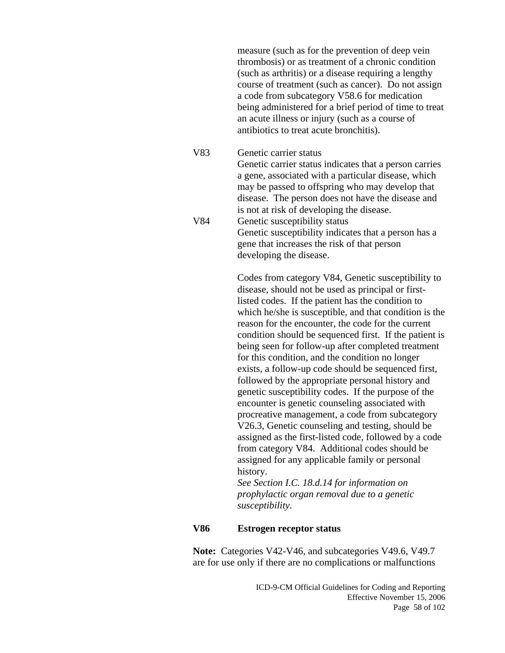measure (such as for the prevention of deep vein thrombosis) or as treatment of a chronic condition (such as arthritis) or a disease requiring a lengthy course of treatment (such as cancer). Do not assign a code from subcategory V58.6 for medication being administered for a brief period of time to treat an acute illness or injury (such as a course of antibiotics to treat acute bronchitis).

V83 Genetic carrier status Genetic carrier status indicates that a person carries a gene, associated with a particular disease, which may be passed to offspring who may develop that disease. The person does not have the disease and is not at risk of developing the disease. V84 Genetic susceptibility status Genetic susceptibility indicates that a person has a gene that increases the risk of that person

developing the disease.

Codes from category V84, Genetic susceptibility to disease, should not be used as principal or firstlisted codes. If the patient has the condition to which he/she is susceptible, and that condition is the reason for the encounter, the code for the current condition should be sequenced first. If the patient is being seen for follow-up after completed treatment for this condition, and the condition no longer exists, a follow-up code should be sequenced first, followed by the appropriate personal history and genetic susceptibility codes. If the purpose of the encounter is genetic counseling associated with procreative management, a code from subcategory V26.3, Genetic counseling and testing, should be assigned as the first-listed code, followed by a code from category V84. Additional codes should be assigned for any applicable family or personal history.

*See Section I.C. 18.d.14 for information on prophylactic organ removal due to a genetic susceptibility.* 

#### **V86 Estrogen receptor status**

**Note:** Categories V42-V46, and subcategories V49.6, V49.7 are for use only if there are no complications or malfunctions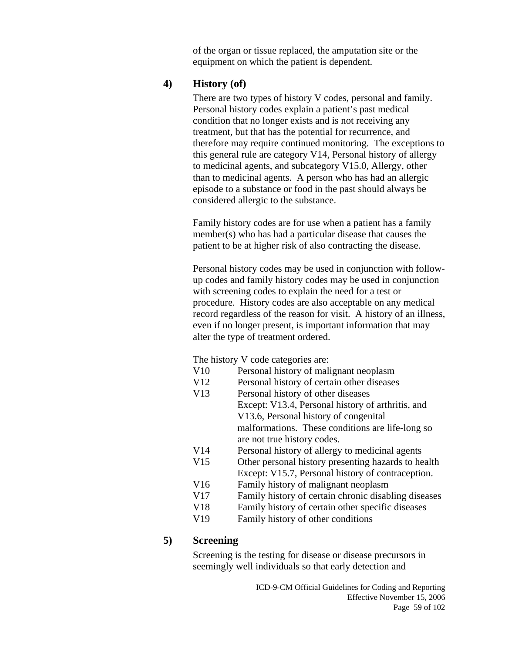of the organ or tissue replaced, the amputation site or the equipment on which the patient is dependent.

#### **4) History (of)**

There are two types of history V codes, personal and family. Personal history codes explain a patient's past medical condition that no longer exists and is not receiving any treatment, but that has the potential for recurrence, and therefore may require continued monitoring. The exceptions to this general rule are category V14, Personal history of allergy to medicinal agents, and subcategory V15.0, Allergy, other than to medicinal agents. A person who has had an allergic episode to a substance or food in the past should always be considered allergic to the substance.

Family history codes are for use when a patient has a family member(s) who has had a particular disease that causes the patient to be at higher risk of also contracting the disease.

Personal history codes may be used in conjunction with followup codes and family history codes may be used in conjunction with screening codes to explain the need for a test or procedure. History codes are also acceptable on any medical record regardless of the reason for visit. A history of an illness, even if no longer present, is important information that may alter the type of treatment ordered.

The history V code categories are:

- V10 Personal history of malignant neoplasm
- V12 Personal history of certain other diseases
- V13 Personal history of other diseases Except: V13.4, Personal history of arthritis, and V13.6, Personal history of congenital malformations. These conditions are life-long so are not true history codes.
- V14 Personal history of allergy to medicinal agents
- V15 Other personal history presenting hazards to health Except: V15.7, Personal history of contraception.
- V16 Family history of malignant neoplasm
- V17 Family history of certain chronic disabling diseases
- V18 Family history of certain other specific diseases
- V19 Family history of other conditions

#### **5) Screening**

Screening is the testing for disease or disease precursors in seemingly well individuals so that early detection and

> ICD-9-CM Official Guidelines for Coding and Reporting Effective November 15, 2006 Page 59 of 102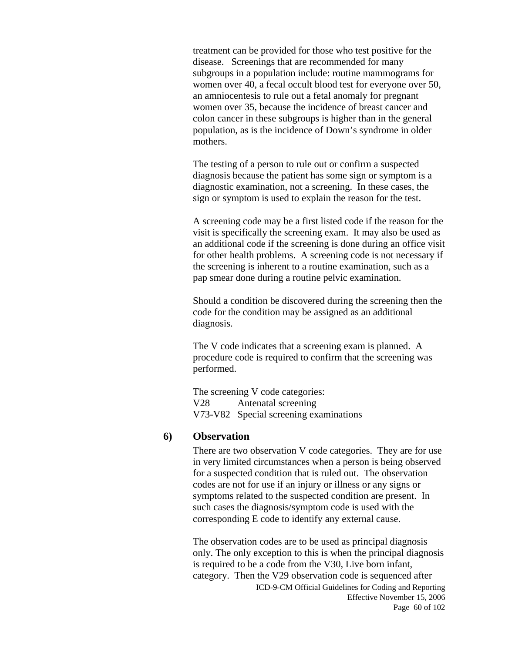treatment can be provided for those who test positive for the disease. Screenings that are recommended for many subgroups in a population include: routine mammograms for women over 40, a fecal occult blood test for everyone over 50, an amniocentesis to rule out a fetal anomaly for pregnant women over 35, because the incidence of breast cancer and colon cancer in these subgroups is higher than in the general population, as is the incidence of Down's syndrome in older mothers.

The testing of a person to rule out or confirm a suspected diagnosis because the patient has some sign or symptom is a diagnostic examination, not a screening. In these cases, the sign or symptom is used to explain the reason for the test.

A screening code may be a first listed code if the reason for the visit is specifically the screening exam. It may also be used as an additional code if the screening is done during an office visit for other health problems. A screening code is not necessary if the screening is inherent to a routine examination, such as a pap smear done during a routine pelvic examination.

Should a condition be discovered during the screening then the code for the condition may be assigned as an additional diagnosis.

The V code indicates that a screening exam is planned. A procedure code is required to confirm that the screening was performed.

The screening V code categories: V28 Antenatal screening V73-V82 Special screening examinations

#### **6) Observation**

There are two observation V code categories. They are for use in very limited circumstances when a person is being observed for a suspected condition that is ruled out. The observation codes are not for use if an injury or illness or any signs or symptoms related to the suspected condition are present. In such cases the diagnosis/symptom code is used with the corresponding E code to identify any external cause.

The observation codes are to be used as principal diagnosis only. The only exception to this is when the principal diagnosis is required to be a code from the V30, Live born infant, category. Then the V29 observation code is sequenced after ICD-9-CM Official Guidelines for Coding and Reporting Effective November 15, 2006 Page 60 of 102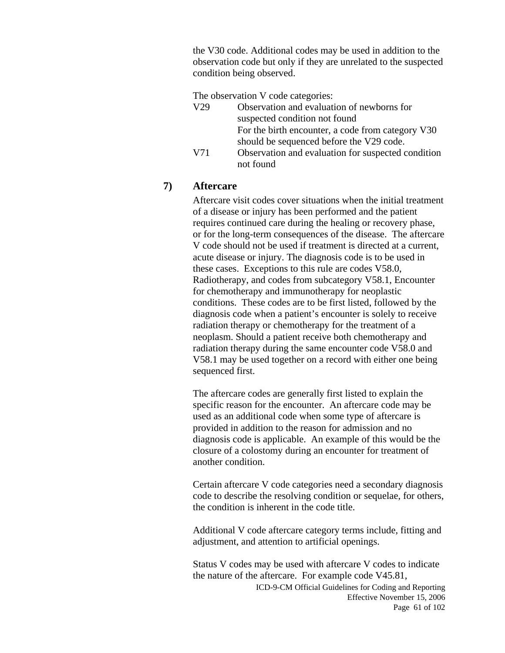the V30 code. Additional codes may be used in addition to the observation code but only if they are unrelated to the suspected condition being observed.

The observation V code categories:

| V29 | Observation and evaluation of newborns for         |
|-----|----------------------------------------------------|
|     | suspected condition not found                      |
|     | For the birth encounter, a code from category V30  |
|     | should be sequenced before the V29 code.           |
| V71 | Observation and evaluation for suspected condition |
|     | not found                                          |

#### **7) Aftercare**

Aftercare visit codes cover situations when the initial treatment of a disease or injury has been performed and the patient requires continued care during the healing or recovery phase, or for the long-term consequences of the disease. The aftercare V code should not be used if treatment is directed at a current, acute disease or injury. The diagnosis code is to be used in these cases. Exceptions to this rule are codes V58.0, Radiotherapy, and codes from subcategory V58.1, Encounter for chemotherapy and immunotherapy for neoplastic conditions. These codes are to be first listed, followed by the diagnosis code when a patient's encounter is solely to receive radiation therapy or chemotherapy for the treatment of a neoplasm. Should a patient receive both chemotherapy and radiation therapy during the same encounter code V58.0 and V58.1 may be used together on a record with either one being sequenced first.

The aftercare codes are generally first listed to explain the specific reason for the encounter. An aftercare code may be used as an additional code when some type of aftercare is provided in addition to the reason for admission and no diagnosis code is applicable. An example of this would be the closure of a colostomy during an encounter for treatment of another condition.

Certain aftercare V code categories need a secondary diagnosis code to describe the resolving condition or sequelae, for others, the condition is inherent in the code title.

Additional V code aftercare category terms include, fitting and adjustment, and attention to artificial openings.

Status V codes may be used with aftercare V codes to indicate the nature of the aftercare. For example code V45.81,

> ICD-9-CM Official Guidelines for Coding and Reporting Effective November 15, 2006 Page 61 of 102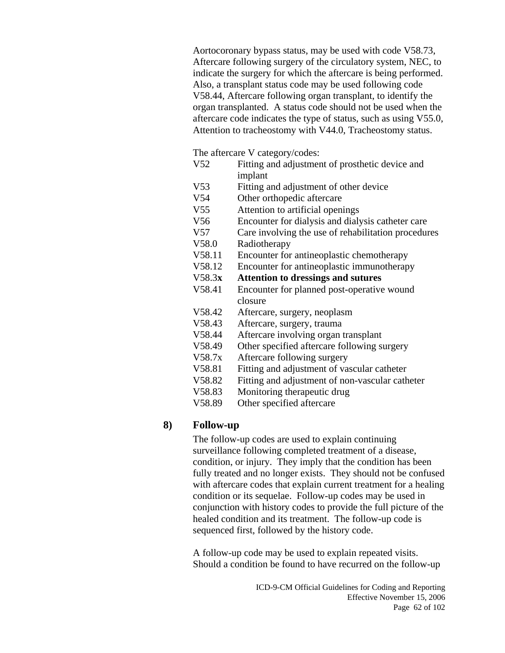Aortocoronary bypass status, may be used with code V58.73, Aftercare following surgery of the circulatory system, NEC, to indicate the surgery for which the aftercare is being performed. Also, a transplant status code may be used following code V58.44, Aftercare following organ transplant, to identify the organ transplanted. A status code should not be used when the aftercare code indicates the type of status, such as using V55.0, Attention to tracheostomy with V44.0, Tracheostomy status.

The aftercare V category/codes:

| V <sub>52</sub> | Fitting and adjustment of prosthetic device and |
|-----------------|-------------------------------------------------|
|                 | implant                                         |
| V <sub>53</sub> | Fitting and adjustment of other device          |

- V54 Other orthopedic aftercare
- V55 Attention to artificial openings
- V56 Encounter for dialysis and dialysis catheter care
- V57 Care involving the use of rehabilitation procedures
- V58.0 Radiotherapy
- V58.11 Encounter for antineoplastic chemotherapy
- V58.12 Encounter for antineoplastic immunotherapy
- V58.3**x Attention to dressings and sutures**
- V58.41 Encounter for planned post-operative wound closure
- V58.42 Aftercare, surgery, neoplasm
- V58.43 Aftercare, surgery, trauma
- V58.44 Aftercare involving organ transplant
- V58.49 Other specified aftercare following surgery
- V58.7x Aftercare following surgery
- V58.81 Fitting and adjustment of vascular catheter
- V58.82 Fitting and adjustment of non-vascular catheter
- V58.83 Monitoring therapeutic drug
- V58.89 Other specified aftercare

#### **8) Follow-up**

The follow-up codes are used to explain continuing surveillance following completed treatment of a disease, condition, or injury. They imply that the condition has been fully treated and no longer exists. They should not be confused with aftercare codes that explain current treatment for a healing condition or its sequelae. Follow-up codes may be used in conjunction with history codes to provide the full picture of the healed condition and its treatment. The follow-up code is sequenced first, followed by the history code.

A follow-up code may be used to explain repeated visits. Should a condition be found to have recurred on the follow-up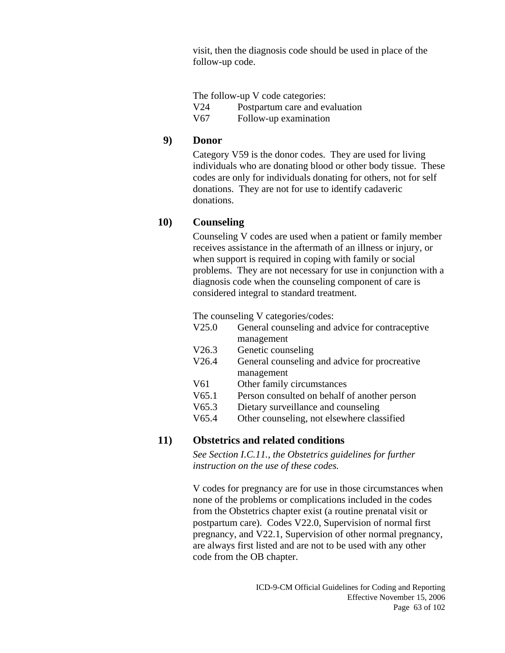visit, then the diagnosis code should be used in place of the follow-up code.

The follow-up V code categories:

V24 Postpartum care and evaluation

V67 Follow-up examination

#### **9) Donor**

Category V59 is the donor codes. They are used for living individuals who are donating blood or other body tissue. These codes are only for individuals donating for others, not for self donations. They are not for use to identify cadaveric donations.

#### **10) Counseling**

Counseling V codes are used when a patient or family member receives assistance in the aftermath of an illness or injury, or when support is required in coping with family or social problems. They are not necessary for use in conjunction with a diagnosis code when the counseling component of care is considered integral to standard treatment.

The counseling V categories/codes:

- V25.0 General counseling and advice for contraceptive management
- V26.3 Genetic counseling
- V26.4 General counseling and advice for procreative management
- V61 Other family circumstances
- V65.1 Person consulted on behalf of another person
- V65.3 Dietary surveillance and counseling
- V65.4 Other counseling, not elsewhere classified

#### **11) Obstetrics and related conditions**

*See Section I.C.11., the Obstetrics guidelines for further instruction on the use of these codes.* 

V codes for pregnancy are for use in those circumstances when none of the problems or complications included in the codes from the Obstetrics chapter exist (a routine prenatal visit or postpartum care). Codes V22.0, Supervision of normal first pregnancy, and V22.1, Supervision of other normal pregnancy, are always first listed and are not to be used with any other code from the OB chapter.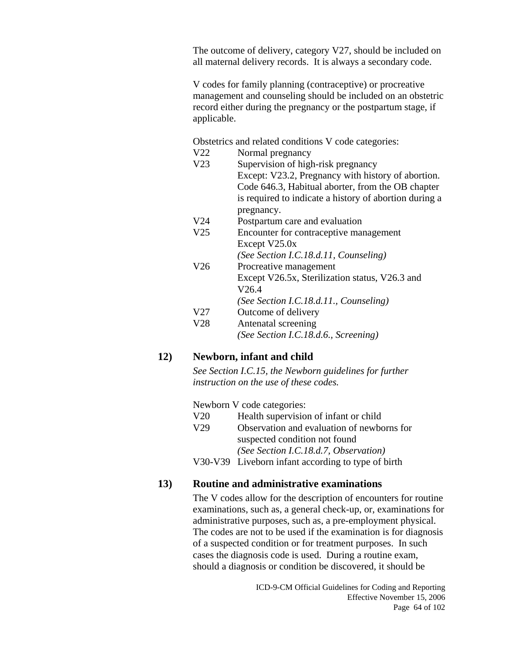The outcome of delivery, category V27, should be included on all maternal delivery records. It is always a secondary code.

V codes for family planning (contraceptive) or procreative management and counseling should be included on an obstetric record either during the pregnancy or the postpartum stage, if applicable.

Obstetrics and related conditions V code categories:

V22 Normal pregnancy

| V <sub>23</sub> | Supervision of high-risk pregnancy                     |
|-----------------|--------------------------------------------------------|
|                 | Except: V23.2, Pregnancy with history of abortion.     |
|                 | Code 646.3, Habitual aborter, from the OB chapter      |
|                 | is required to indicate a history of abortion during a |
|                 | pregnancy.                                             |
| V24             | Postpartum care and evaluation                         |
| V <sub>25</sub> | Encounter for contraceptive management                 |
|                 | Except V25.0x                                          |
|                 | (See Section I.C.18.d.11, Counseling)                  |
| V26             | Procreative management                                 |
|                 | Except V26.5x, Sterilization status, V26.3 and         |
|                 | V26.4                                                  |
|                 | (See Section I.C.18.d.11., Counseling)                 |
| V <sub>27</sub> | Outcome of delivery                                    |
| V28             | Antenatal screening                                    |
|                 | (See Section I.C.18.d.6., Screening)                   |

#### **12) Newborn, infant and child**

*See Section I.C.15, the Newborn guidelines for further instruction on the use of these codes.* 

Newborn V code categories:

- V20 Health supervision of infant or child
- V29 Observation and evaluation of newborns for suspected condition not found *(See Section I.C.18.d.7, Observation)*

V30-V39 Liveborn infant according to type of birth

#### **13) Routine and administrative examinations**

The V codes allow for the description of encounters for routine examinations, such as, a general check-up, or, examinations for administrative purposes, such as, a pre-employment physical. The codes are not to be used if the examination is for diagnosis of a suspected condition or for treatment purposes. In such cases the diagnosis code is used. During a routine exam, should a diagnosis or condition be discovered, it should be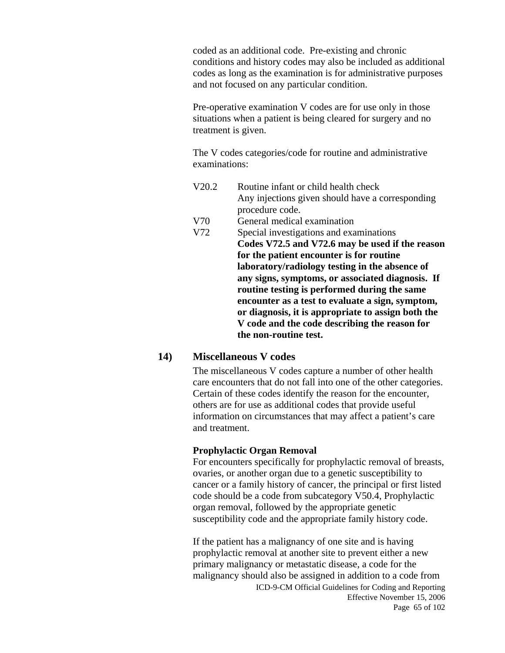coded as an additional code. Pre-existing and chronic conditions and history codes may also be included as additional codes as long as the examination is for administrative purposes and not focused on any particular condition.

Pre-operative examination V codes are for use only in those situations when a patient is being cleared for surgery and no treatment is given.

The V codes categories/code for routine and administrative examinations:

| V20.2 | Routine infant or child health check               |
|-------|----------------------------------------------------|
|       | Any injections given should have a corresponding   |
|       | procedure code.                                    |
| V70   | General medical examination                        |
| V72   | Special investigations and examinations            |
|       | Codes V72.5 and V72.6 may be used if the reason    |
|       | for the patient encounter is for routine           |
|       | laboratory/radiology testing in the absence of     |
|       | any signs, symptoms, or associated diagnosis. If   |
|       | routine testing is performed during the same       |
|       | encounter as a test to evaluate a sign, symptom,   |
|       | or diagnosis, it is appropriate to assign both the |
|       | V code and the code describing the reason for      |
|       | the non-routine test.                              |
|       |                                                    |

#### **14) Miscellaneous V codes**

The miscellaneous V codes capture a number of other health care encounters that do not fall into one of the other categories. Certain of these codes identify the reason for the encounter, others are for use as additional codes that provide useful information on circumstances that may affect a patient's care and treatment.

#### **Prophylactic Organ Removal**

For encounters specifically for prophylactic removal of breasts, ovaries, or another organ due to a genetic susceptibility to cancer or a family history of cancer, the principal or first listed code should be a code from subcategory V50.4, Prophylactic organ removal, followed by the appropriate genetic susceptibility code and the appropriate family history code.

If the patient has a malignancy of one site and is having prophylactic removal at another site to prevent either a new primary malignancy or metastatic disease, a code for the malignancy should also be assigned in addition to a code from ICD-9-CM Official Guidelines for Coding and Reporting Effective November 15, 2006 Page 65 of 102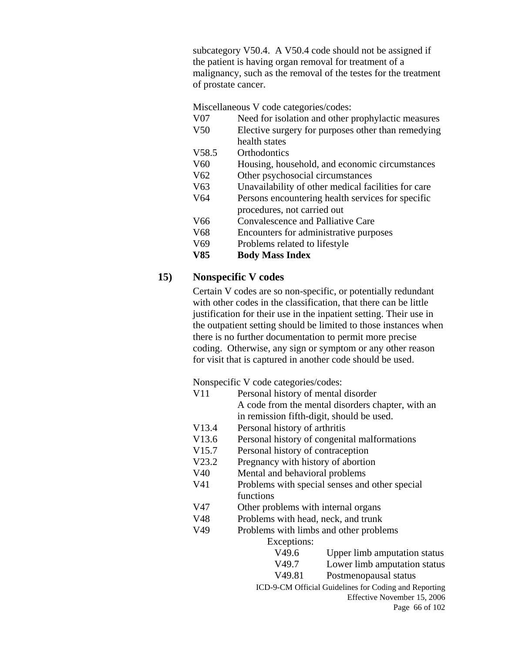subcategory V50.4. A V50.4 code should not be assigned if the patient is having organ removal for treatment of a malignancy, such as the removal of the testes for the treatment of prostate cancer.

Miscellaneous V code categories/codes:

- V07 Need for isolation and other prophylactic measures
- V50 Elective surgery for purposes other than remedying health states
- V58.5 Orthodontics
- V60 Housing, household, and economic circumstances
- V62 Other psychosocial circumstances
- V63 Unavailability of other medical facilities for care
- V64 Persons encountering health services for specific procedures, not carried out
- V66 Convalescence and Palliative Care
- V68 Encounters for administrative purposes
- V69 Problems related to lifestyle
- **V85 Body Mass Index**

## **15) Nonspecific V codes**

Certain V codes are so non-specific, or potentially redundant with other codes in the classification, that there can be little justification for their use in the inpatient setting. Their use in the outpatient setting should be limited to those instances when there is no further documentation to permit more precise coding. Otherwise, any sign or symptom or any other reason for visit that is captured in another code should be used.

Nonspecific V code categories/codes:

|                   | ronspective researchies codes.            |                                                   |  |  |  |
|-------------------|-------------------------------------------|---------------------------------------------------|--|--|--|
| V11               | Personal history of mental disorder       |                                                   |  |  |  |
|                   |                                           | A code from the mental disorders chapter, with an |  |  |  |
|                   | in remission fifth-digit, should be used. |                                                   |  |  |  |
| V <sub>13.4</sub> | Personal history of arthritis             |                                                   |  |  |  |
| V13.6             |                                           | Personal history of congenital malformations      |  |  |  |
| V <sub>15.7</sub> | Personal history of contraception         |                                                   |  |  |  |
| V23.2             | Pregnancy with history of abortion        |                                                   |  |  |  |
| V <sub>40</sub>   | Mental and behavioral problems            |                                                   |  |  |  |
| V <sub>41</sub>   |                                           | Problems with special senses and other special    |  |  |  |
|                   | functions                                 |                                                   |  |  |  |
| V47               | Other problems with internal organs       |                                                   |  |  |  |
| V48               | Problems with head, neck, and trunk       |                                                   |  |  |  |
| V49               | Problems with limbs and other problems    |                                                   |  |  |  |
|                   | Exceptions:                               |                                                   |  |  |  |
|                   | V49.6                                     | Upper limb amputation status                      |  |  |  |
|                   | V49.7                                     | Lower limb amputation status                      |  |  |  |

V49.81 Postmenopausal status

ICD-9-CM Official Guidelines for Coding and Reporting

Effective November 15, 2006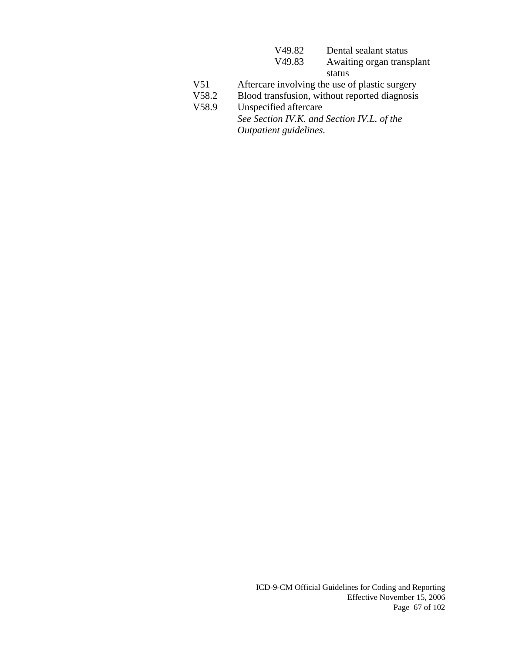|       | V49.82                                        | Dental sealant status                          |  |  |  |
|-------|-----------------------------------------------|------------------------------------------------|--|--|--|
|       | V <sub>49.83</sub>                            | Awaiting organ transplant                      |  |  |  |
|       |                                               | status                                         |  |  |  |
| V51   |                                               | Aftercare involving the use of plastic surgery |  |  |  |
| V58.2 | Blood transfusion, without reported diagnosis |                                                |  |  |  |
| V58.9 | Unspecified aftercare                         |                                                |  |  |  |
|       | See Section IV.K. and Section IV.L. of the    |                                                |  |  |  |
|       | Outpatient guidelines.                        |                                                |  |  |  |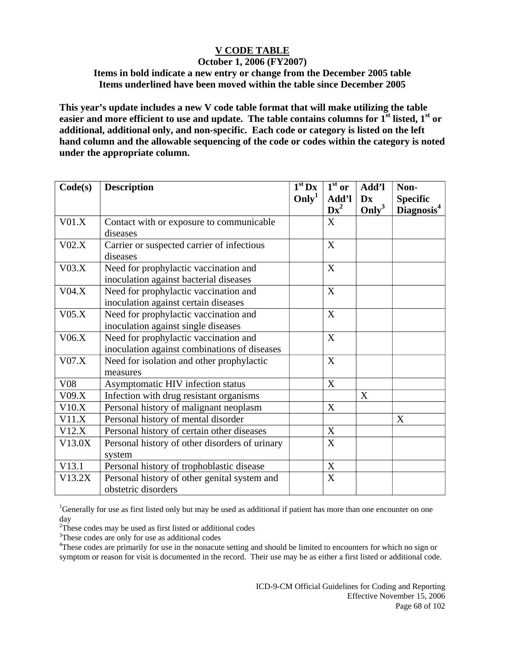#### **V CODE TABLE**

**October 1, 2006 (FY2007)** 

**Items in bold indicate a new entry or change from the December 2005 table Items underlined have been moved within the table since December 2005** 

**This year's update includes a new V code table format that will make utilizing the table**  easier and more efficient to use and update. The table contains columns for 1<sup>st</sup> listed, 1<sup>st</sup> or **additional, additional only, and non-specific. Each code or category is listed on the left hand column and the allowable sequencing of the code or codes within the category is noted under the appropriate column.** 

| Code(s)    | <b>Description</b>                             | $1st$ Dx          | $\overline{1}^{\rm st}$ or | Add'l                     | Non-                   |
|------------|------------------------------------------------|-------------------|----------------------------|---------------------------|------------------------|
|            |                                                | Only <sup>1</sup> | Add'l                      | Dx                        | <b>Specific</b>        |
|            |                                                |                   | $\mathbf{Dx}^2$            | Only $3$                  | Diagnosis <sup>4</sup> |
| V01.X      | Contact with or exposure to communicable       |                   | $\mathbf{X}$               |                           |                        |
|            | diseases                                       |                   |                            |                           |                        |
| V02.X      | Carrier or suspected carrier of infectious     |                   | X                          |                           |                        |
|            | diseases                                       |                   |                            |                           |                        |
| V03.X      | Need for prophylactic vaccination and          |                   | X                          |                           |                        |
|            | inoculation against bacterial diseases         |                   |                            |                           |                        |
| V04.X      | Need for prophylactic vaccination and          |                   | X                          |                           |                        |
|            | inoculation against certain diseases           |                   |                            |                           |                        |
| V05.X      | Need for prophylactic vaccination and          |                   | X                          |                           |                        |
|            | inoculation against single diseases            |                   |                            |                           |                        |
| V06.X      | Need for prophylactic vaccination and          |                   | X                          |                           |                        |
|            | inoculation against combinations of diseases   |                   |                            |                           |                        |
| V07.X      | Need for isolation and other prophylactic      |                   | X                          |                           |                        |
|            | measures                                       |                   |                            |                           |                        |
| <b>V08</b> | Asymptomatic HIV infection status              |                   | $\mathbf X$                |                           |                        |
| V09.X      | Infection with drug resistant organisms        |                   |                            | $\boldsymbol{\mathrm{X}}$ |                        |
| V10.X      | Personal history of malignant neoplasm         |                   | X                          |                           |                        |
| V11.X      | Personal history of mental disorder            |                   |                            |                           | X                      |
| V12.X      | Personal history of certain other diseases     |                   | $\mathbf X$                |                           |                        |
| V13.0X     | Personal history of other disorders of urinary |                   | X                          |                           |                        |
|            | system                                         |                   |                            |                           |                        |
| V13.1      | Personal history of trophoblastic disease      |                   | X                          |                           |                        |
| V13.2X     | Personal history of other genital system and   |                   | X                          |                           |                        |
|            | obstetric disorders                            |                   |                            |                           |                        |

<sup>1</sup>Generally for use as first listed only but may be used as additional if patient has more than one encounter on one day

<sup>2</sup>These codes may be used as first listed or additional codes

<sup>3</sup>These codes are only for use as additional codes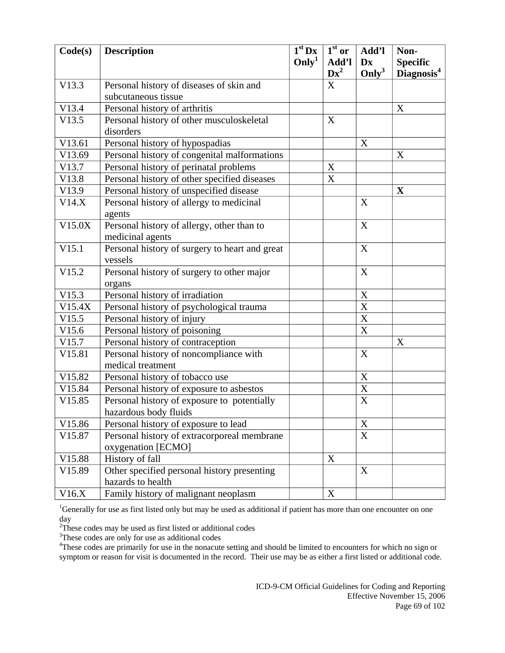| Code(s) | <b>Description</b>                                     | $1st$ Dx          | $\overline{1^{\text{st}}$ or | Add'l                     | Non-                   |
|---------|--------------------------------------------------------|-------------------|------------------------------|---------------------------|------------------------|
|         |                                                        | Only <sup>1</sup> | Add'l                        | Dx                        | <b>Specific</b>        |
|         |                                                        |                   | $\mathbf{Dx}^2$              | Only $3$                  | Diagnosis <sup>4</sup> |
| V13.3   | Personal history of diseases of skin and               |                   | X                            |                           |                        |
|         | subcutaneous tissue                                    |                   |                              |                           |                        |
| V13.4   | Personal history of arthritis                          |                   |                              |                           | X                      |
| V13.5   | Personal history of other musculoskeletal<br>disorders |                   | X                            |                           |                        |
| V13.61  | Personal history of hypospadias                        |                   |                              | X                         |                        |
| V13.69  | Personal history of congenital malformations           |                   |                              |                           | X                      |
| V13.7   | Personal history of perinatal problems                 |                   | X                            |                           |                        |
| V13.8   | Personal history of other specified diseases           |                   | $\boldsymbol{\mathrm{X}}$    |                           |                        |
| V13.9   | Personal history of unspecified disease                |                   |                              |                           | $\mathbf X$            |
| V14.X   | Personal history of allergy to medicinal               |                   |                              | X                         |                        |
|         | agents                                                 |                   |                              |                           |                        |
| V15.0X  | Personal history of allergy, other than to             |                   |                              | X                         |                        |
|         | medicinal agents                                       |                   |                              |                           |                        |
| V15.1   | Personal history of surgery to heart and great         |                   |                              | X                         |                        |
|         | vessels                                                |                   |                              |                           |                        |
| V15.2   | Personal history of surgery to other major             |                   |                              | X                         |                        |
|         | organs                                                 |                   |                              |                           |                        |
| V15.3   | Personal history of irradiation                        |                   |                              | X                         |                        |
| V15.4X  | Personal history of psychological trauma               |                   |                              | X                         |                        |
| V15.5   | Personal history of injury                             |                   |                              | $\boldsymbol{\mathrm{X}}$ |                        |
| V15.6   | Personal history of poisoning                          |                   |                              | X                         |                        |
| V15.7   | Personal history of contraception                      |                   |                              |                           | X                      |
| V15.81  | Personal history of noncompliance with                 |                   |                              | X                         |                        |
|         | medical treatment                                      |                   |                              |                           |                        |
| V15.82  | Personal history of tobacco use                        |                   |                              | X                         |                        |
| V15.84  | Personal history of exposure to asbestos               |                   |                              | $\mathbf X$               |                        |
| V15.85  | Personal history of exposure to potentially            |                   |                              | $\mathbf X$               |                        |
|         | hazardous body fluids                                  |                   |                              |                           |                        |
| V15.86  | Personal history of exposure to lead                   |                   |                              | $\mathbf X$               |                        |
| V15.87  | Personal history of extracorporeal membrane            |                   |                              | X                         |                        |
|         | oxygenation [ECMO]                                     |                   |                              |                           |                        |
| V15.88  | History of fall                                        |                   | $\mathbf X$                  |                           |                        |
| V15.89  | Other specified personal history presenting            |                   |                              | X                         |                        |
|         | hazards to health                                      |                   |                              |                           |                        |
| V16.X   | Family history of malignant neoplasm                   |                   | $\mathbf X$                  |                           |                        |

<sup>2</sup>These codes may be used as first listed or additional codes

<sup>3</sup>These codes are only for use as additional codes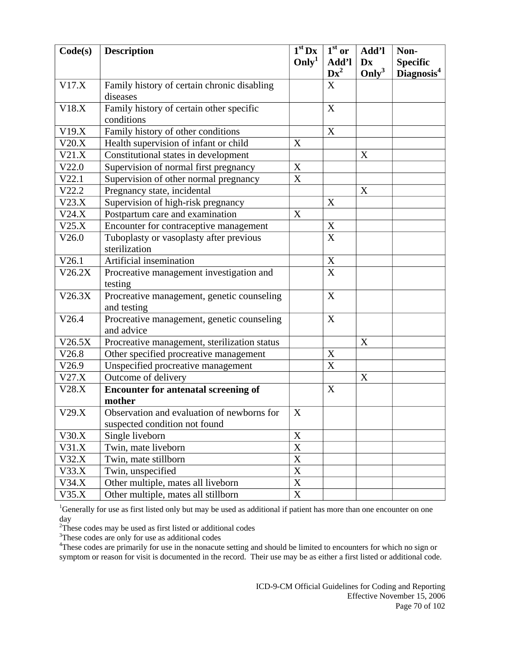| Code(s) | <b>Description</b>                           | $1st$ Dx          | $\overline{1^{\text{st}}$ or | Add'l             | Non-                   |
|---------|----------------------------------------------|-------------------|------------------------------|-------------------|------------------------|
|         |                                              | Only <sup>1</sup> | Add'l                        | Dx                | <b>Specific</b>        |
|         |                                              |                   | $\mathbf{Dx}^2$              | Only <sup>3</sup> | Diagnosis <sup>4</sup> |
| V17.X   | Family history of certain chronic disabling  |                   | $\overline{\text{X}}$        |                   |                        |
|         | diseases                                     |                   |                              |                   |                        |
| V18.X   | Family history of certain other specific     |                   | $\boldsymbol{X}$             |                   |                        |
|         | conditions                                   |                   |                              |                   |                        |
| V19.X   | Family history of other conditions           |                   | X                            |                   |                        |
| V20.X   | Health supervision of infant or child        | X                 |                              |                   |                        |
| V21.X   | Constitutional states in development         |                   |                              | X                 |                        |
| V22.0   | Supervision of normal first pregnancy        | $\mathbf X$       |                              |                   |                        |
| V22.1   | Supervision of other normal pregnancy        | $\bf X$           |                              |                   |                        |
| V22.2   | Pregnancy state, incidental                  |                   |                              | X                 |                        |
| V23.X   | Supervision of high-risk pregnancy           |                   | X                            |                   |                        |
| V24.X   | Postpartum care and examination              | X                 |                              |                   |                        |
| V25.X   | Encounter for contraceptive management       |                   | $\mathbf X$                  |                   |                        |
| V26.0   | Tuboplasty or vasoplasty after previous      |                   | $\boldsymbol{\mathrm{X}}$    |                   |                        |
|         | sterilization                                |                   |                              |                   |                        |
| V26.1   | Artificial insemination                      |                   | $\mathbf X$                  |                   |                        |
| V26.2X  | Procreative management investigation and     |                   | $\overline{\mathbf{X}}$      |                   |                        |
|         | testing                                      |                   |                              |                   |                        |
| V26.3X  | Procreative management, genetic counseling   |                   | X                            |                   |                        |
|         | and testing                                  |                   |                              |                   |                        |
| V26.4   | Procreative management, genetic counseling   |                   | X                            |                   |                        |
|         | and advice                                   |                   |                              |                   |                        |
| V26.5X  | Procreative management, sterilization status |                   |                              | X                 |                        |
| V26.8   | Other specified procreative management       |                   | X                            |                   |                        |
| V26.9   | Unspecified procreative management           |                   | $\mathbf X$                  |                   |                        |
| V27.X   | Outcome of delivery                          |                   |                              | X                 |                        |
| V28.X   | <b>Encounter for antenatal screening of</b>  |                   | X                            |                   |                        |
|         | mother                                       |                   |                              |                   |                        |
| V29.X   | Observation and evaluation of newborns for   | $\mathbf X$       |                              |                   |                        |
|         | suspected condition not found                |                   |                              |                   |                        |
| V30.X   | Single liveborn                              | $\mathbf X$       |                              |                   |                        |
| V31.X   | Twin, mate liveborn                          | $\mathbf X$       |                              |                   |                        |
| V32.X   | Twin, mate stillborn                         | $\mathbf X$       |                              |                   |                        |
| V33.X   | Twin, unspecified                            | $\mathbf X$       |                              |                   |                        |
| V34.X   | Other multiple, mates all liveborn           | $\mathbf X$       |                              |                   |                        |
| V35.X   | Other multiple, mates all stillborn          | $\mathbf X$       |                              |                   |                        |

<sup>2</sup>These codes may be used as first listed or additional codes

<sup>3</sup>These codes are only for use as additional codes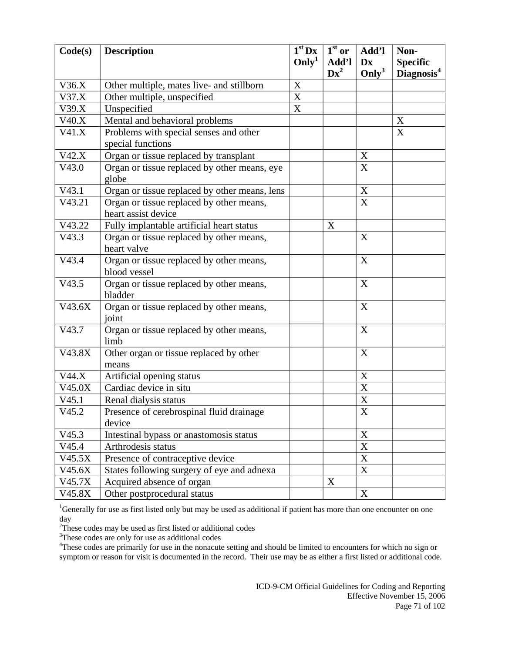| Code(s) | <b>Description</b>                                    | $\overline{1^{\text{st}}Dx}$<br>Only <sup>1</sup> | $1st$ or<br>Add'l | Add'l<br>Dx               | Non-<br><b>Specific</b> |
|---------|-------------------------------------------------------|---------------------------------------------------|-------------------|---------------------------|-------------------------|
|         |                                                       |                                                   | $\mathbf{Dx}^2$   | Only <sup>3</sup>         | Diagnosis <sup>4</sup>  |
| V36.X   | Other multiple, mates live- and stillborn             | $\boldsymbol{\mathrm{X}}$                         |                   |                           |                         |
| V37.X   | Other multiple, unspecified                           | $\mathbf X$                                       |                   |                           |                         |
| V39.X   | Unspecified                                           | X                                                 |                   |                           |                         |
| V40.X   | Mental and behavioral problems                        |                                                   |                   |                           | X                       |
| V41.X   | Problems with special senses and other                |                                                   |                   |                           | X                       |
|         | special functions                                     |                                                   |                   |                           |                         |
| V42.X   | Organ or tissue replaced by transplant                |                                                   |                   | X                         |                         |
| V43.0   | Organ or tissue replaced by other means, eye<br>globe |                                                   |                   | X                         |                         |
| V43.1   | Organ or tissue replaced by other means, lens         |                                                   |                   | $\mathbf X$               |                         |
| V43.21  | Organ or tissue replaced by other means,              |                                                   |                   | X                         |                         |
|         | heart assist device                                   |                                                   |                   |                           |                         |
| V43.22  | Fully implantable artificial heart status             |                                                   | X                 |                           |                         |
| V43.3   | Organ or tissue replaced by other means,              |                                                   |                   | X                         |                         |
|         | heart valve                                           |                                                   |                   |                           |                         |
| V43.4   | Organ or tissue replaced by other means,              |                                                   |                   | X                         |                         |
|         | blood vessel                                          |                                                   |                   |                           |                         |
| V43.5   | Organ or tissue replaced by other means,              |                                                   |                   | X                         |                         |
|         | bladder                                               |                                                   |                   |                           |                         |
| V43.6X  | Organ or tissue replaced by other means,              |                                                   |                   | X                         |                         |
|         | joint                                                 |                                                   |                   |                           |                         |
| V43.7   | Organ or tissue replaced by other means,              |                                                   |                   | X                         |                         |
|         | limb                                                  |                                                   |                   |                           |                         |
| V43.8X  | Other organ or tissue replaced by other               |                                                   |                   | X                         |                         |
|         | means                                                 |                                                   |                   |                           |                         |
| V44.X   | Artificial opening status                             |                                                   |                   | X                         |                         |
| V45.0X  | Cardiac device in situ                                |                                                   |                   | $\boldsymbol{\mathrm{X}}$ |                         |
| V45.1   | Renal dialysis status                                 |                                                   |                   | $\mathbf X$               |                         |
| V45.2   | Presence of cerebrospinal fluid drainage              |                                                   |                   | X                         |                         |
|         | device                                                |                                                   |                   |                           |                         |
| V45.3   | Intestinal bypass or anastomosis status               |                                                   |                   | $\mathbf X$               |                         |
| V45.4   | Arthrodesis status                                    |                                                   |                   | $\mathbf X$               |                         |
| V45.5X  | Presence of contraceptive device                      |                                                   |                   | $\mathbf X$               |                         |
| V45.6X  | States following surgery of eye and adnexa            |                                                   |                   | X                         |                         |
| V45.7X  | Acquired absence of organ                             |                                                   | X                 |                           |                         |
| V45.8X  | Other postprocedural status                           |                                                   |                   | X                         |                         |

<sup>2</sup>These codes may be used as first listed or additional codes

<sup>3</sup>These codes are only for use as additional codes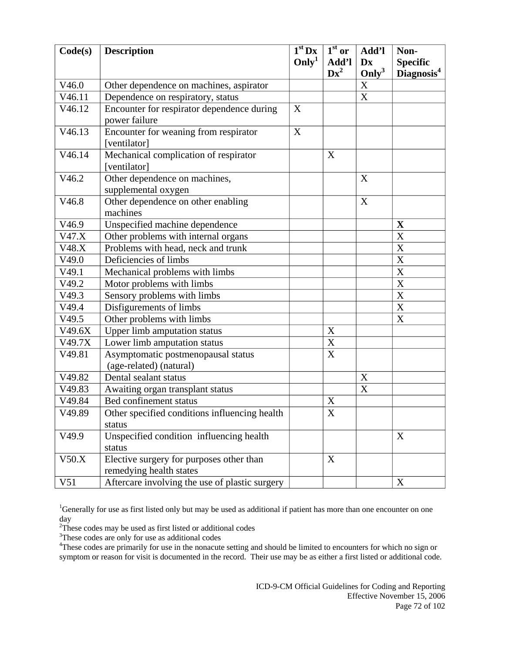| Code(s)           | <b>Description</b>                                          | $\overline{1^{st}}\overline{D}x$<br>Only <sup>1</sup> | $\overline{1^{st}}$ or<br>Add'l | Add'l<br>Dx                | Non-<br><b>Specific</b> |
|-------------------|-------------------------------------------------------------|-------------------------------------------------------|---------------------------------|----------------------------|-------------------------|
|                   |                                                             |                                                       | $\mathbf{Dx}^2$                 | $Only^3$<br>$\overline{X}$ | Diagnosis <sup>4</sup>  |
| V <sub>46.0</sub> | Other dependence on machines, aspirator                     |                                                       |                                 |                            |                         |
| V46.11            | Dependence on respiratory, status                           |                                                       |                                 | $\boldsymbol{\mathrm{X}}$  |                         |
| V46.12            | Encounter for respirator dependence during<br>power failure | X                                                     |                                 |                            |                         |
| V46.13            | Encounter for weaning from respirator<br>[ventilator]       | X                                                     |                                 |                            |                         |
| V46.14            | Mechanical complication of respirator<br>[ventilator]       |                                                       | X                               |                            |                         |
| V46.2             | Other dependence on machines,<br>supplemental oxygen        |                                                       |                                 | X                          |                         |
| V <sub>46.8</sub> | Other dependence on other enabling<br>machines              |                                                       |                                 | X                          |                         |
| V <sub>46.9</sub> | Unspecified machine dependence                              |                                                       |                                 |                            | X                       |
| V47.X             | Other problems with internal organs                         |                                                       |                                 |                            | X                       |
| V48.X             | Problems with head, neck and trunk                          |                                                       |                                 |                            | $\mathbf X$             |
| V49.0             | Deficiencies of limbs                                       |                                                       |                                 |                            | X                       |
| V49.1             | Mechanical problems with limbs                              |                                                       |                                 |                            | $\mathbf X$             |
| V49.2             | Motor problems with limbs                                   |                                                       |                                 |                            | X                       |
| V49.3             | Sensory problems with limbs                                 |                                                       |                                 |                            | X                       |
| V49.4             | Disfigurements of limbs                                     |                                                       |                                 |                            | X                       |
| V49.5             | Other problems with limbs                                   |                                                       |                                 |                            | X                       |
| V49.6X            | Upper limb amputation status                                |                                                       | X                               |                            |                         |
| V49.7X            | Lower limb amputation status                                |                                                       | X                               |                            |                         |
| V49.81            | Asymptomatic postmenopausal status                          |                                                       | $\overline{X}$                  |                            |                         |
|                   | (age-related) (natural)                                     |                                                       |                                 |                            |                         |
| V49.82            | Dental sealant status                                       |                                                       |                                 | X                          |                         |
| V49.83            | Awaiting organ transplant status                            |                                                       |                                 | X                          |                         |
| V49.84            | Bed confinement status                                      |                                                       | X                               |                            |                         |
| V49.89            | Other specified conditions influencing health               |                                                       | $\overline{\text{X}}$           |                            |                         |
|                   | status                                                      |                                                       |                                 |                            |                         |
| V <sub>49.9</sub> | Unspecified condition influencing health                    |                                                       |                                 |                            | X                       |
|                   | status                                                      |                                                       |                                 |                            |                         |
| V50.X             | Elective surgery for purposes other than                    |                                                       | X                               |                            |                         |
|                   | remedying health states                                     |                                                       |                                 |                            |                         |
| V <sub>51</sub>   | Aftercare involving the use of plastic surgery              |                                                       |                                 |                            | $\mathbf X$             |

<sup>2</sup>These codes may be used as first listed or additional codes

<sup>3</sup>These codes are only for use as additional codes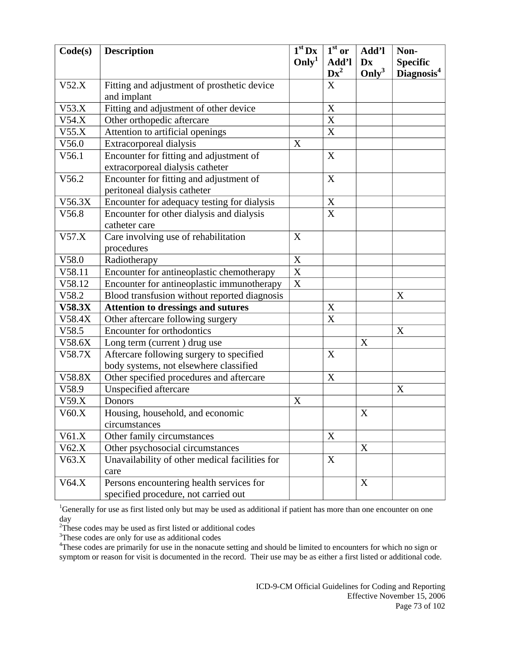| Code(s) | <b>Description</b>                             | $1st$ Dx          | $\overline{1^{st}}$ or | Add'l                     | Non-                   |
|---------|------------------------------------------------|-------------------|------------------------|---------------------------|------------------------|
|         |                                                | Only <sup>1</sup> | Add'l                  | Dx                        | <b>Specific</b>        |
|         |                                                |                   | $\mathbf{Dx}^2$        | $Only^3$                  | Diagnosis <sup>4</sup> |
| V52.X   | Fitting and adjustment of prosthetic device    |                   | $\overline{\text{X}}$  |                           |                        |
|         | and implant                                    |                   |                        |                           |                        |
| V53.X   | Fitting and adjustment of other device         |                   | X                      |                           |                        |
| V54.X   | Other orthopedic aftercare                     |                   | $\overline{X}$         |                           |                        |
| V55.X   | Attention to artificial openings               |                   | X                      |                           |                        |
| V56.0   | Extracorporeal dialysis                        | X                 |                        |                           |                        |
| V56.1   | Encounter for fitting and adjustment of        |                   | X                      |                           |                        |
|         | extracorporeal dialysis catheter               |                   |                        |                           |                        |
| V56.2   | Encounter for fitting and adjustment of        |                   | X                      |                           |                        |
|         | peritoneal dialysis catheter                   |                   |                        |                           |                        |
| V56.3X  | Encounter for adequacy testing for dialysis    |                   | X                      |                           |                        |
| V56.8   | Encounter for other dialysis and dialysis      |                   | X                      |                           |                        |
|         | catheter care                                  |                   |                        |                           |                        |
| V57.X   | Care involving use of rehabilitation           | X                 |                        |                           |                        |
|         | procedures                                     |                   |                        |                           |                        |
| V58.0   | Radiotherapy                                   | $\mathbf X$       |                        |                           |                        |
| V58.11  | Encounter for antineoplastic chemotherapy      | X                 |                        |                           |                        |
| V58.12  | Encounter for antineoplastic immunotherapy     | $\mathbf X$       |                        |                           |                        |
| V58.2   | Blood transfusion without reported diagnosis   |                   |                        |                           | X                      |
| V58.3X  | <b>Attention to dressings and sutures</b>      |                   | X                      |                           |                        |
| V58.4X  | Other aftercare following surgery              |                   | $\mathbf X$            |                           |                        |
| V58.5   | Encounter for orthodontics                     |                   |                        |                           | X                      |
| V58.6X  | Long term (current) drug use                   |                   |                        | X                         |                        |
| V58.7X  | Aftercare following surgery to specified       |                   | X                      |                           |                        |
|         | body systems, not elsewhere classified         |                   |                        |                           |                        |
| V58.8X  | Other specified procedures and aftercare       |                   | X                      |                           |                        |
| V58.9   | Unspecified aftercare                          |                   |                        |                           | X                      |
| V59.X   | Donors                                         | X                 |                        |                           |                        |
| V60.X   | Housing, household, and economic               |                   |                        | $\boldsymbol{\mathrm{X}}$ |                        |
|         | circumstances                                  |                   |                        |                           |                        |
| V61.X   | Other family circumstances                     |                   | X                      |                           |                        |
| V62.X   | Other psychosocial circumstances               |                   |                        | X                         |                        |
| V63.X   | Unavailability of other medical facilities for |                   | X                      |                           |                        |
|         | care                                           |                   |                        |                           |                        |
| V64.X   | Persons encountering health services for       |                   |                        | X                         |                        |
|         | specified procedure, not carried out           |                   |                        |                           |                        |

<sup>2</sup>These codes may be used as first listed or additional codes

<sup>3</sup>These codes are only for use as additional codes

<sup>4</sup>These codes are primarily for use in the nonacute setting and should be limited to encounters for which no sign or symptom or reason for visit is documented in the record. Their use may be as either a first listed or additional code.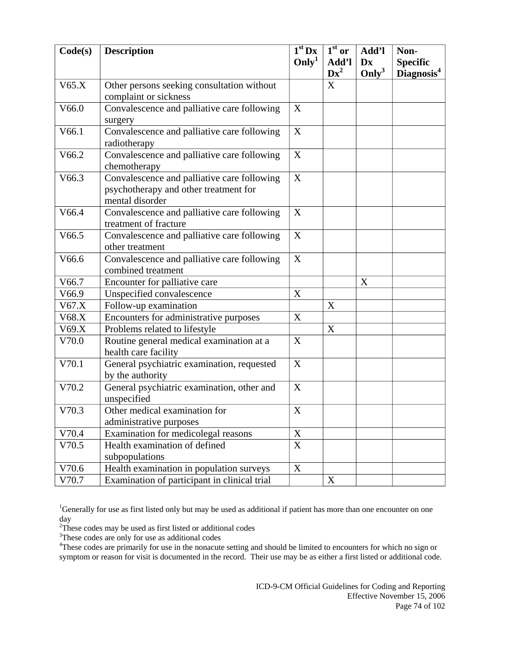| Code(s) | <b>Description</b>                                     | $1st$ Dx<br>Only <sup>1</sup> | $\overline{1^{\text{st}}$ or<br>Add'l | Add'l<br>Dx       | Non-<br><b>Specific</b> |
|---------|--------------------------------------------------------|-------------------------------|---------------------------------------|-------------------|-------------------------|
|         |                                                        |                               | $\mathbf{Dx}^2$                       | Only <sup>3</sup> | Diagnosis <sup>4</sup>  |
| V65.X   | Other persons seeking consultation without             |                               | X                                     |                   |                         |
|         | complaint or sickness                                  |                               |                                       |                   |                         |
| V66.0   | Convalescence and palliative care following<br>surgery | X                             |                                       |                   |                         |
| V66.1   | Convalescence and palliative care following            | X                             |                                       |                   |                         |
|         | radiotherapy                                           |                               |                                       |                   |                         |
| V66.2   | Convalescence and palliative care following            | $\boldsymbol{X}$              |                                       |                   |                         |
|         | chemotherapy                                           |                               |                                       |                   |                         |
| V66.3   | Convalescence and palliative care following            | X                             |                                       |                   |                         |
|         | psychotherapy and other treatment for                  |                               |                                       |                   |                         |
|         | mental disorder                                        |                               |                                       |                   |                         |
| V66.4   | Convalescence and palliative care following            | $\mathbf X$                   |                                       |                   |                         |
|         | treatment of fracture                                  |                               |                                       |                   |                         |
| V66.5   | Convalescence and palliative care following            | X                             |                                       |                   |                         |
|         | other treatment                                        |                               |                                       |                   |                         |
| V66.6   | Convalescence and palliative care following            | X                             |                                       |                   |                         |
|         | combined treatment                                     |                               |                                       |                   |                         |
| V66.7   | Encounter for palliative care                          |                               |                                       | X                 |                         |
| V66.9   | Unspecified convalescence                              | $\boldsymbol{\mathrm{X}}$     |                                       |                   |                         |
| V67.X   | Follow-up examination                                  |                               | X                                     |                   |                         |
| V68.X   | Encounters for administrative purposes                 | X                             |                                       |                   |                         |
| V69.X   | Problems related to lifestyle                          |                               | X                                     |                   |                         |
| V70.0   | Routine general medical examination at a               | X                             |                                       |                   |                         |
|         | health care facility                                   |                               |                                       |                   |                         |
| V70.1   | General psychiatric examination, requested             | X                             |                                       |                   |                         |
|         | by the authority                                       |                               |                                       |                   |                         |
| V70.2   | General psychiatric examination, other and             | X                             |                                       |                   |                         |
|         | unspecified                                            |                               |                                       |                   |                         |
| V70.3   | Other medical examination for                          | $\boldsymbol{\mathrm{X}}$     |                                       |                   |                         |
|         | administrative purposes                                |                               |                                       |                   |                         |
| V70.4   | Examination for medicolegal reasons                    | $\mathbf X$                   |                                       |                   |                         |
| V70.5   | Health examination of defined                          | $\mathbf X$                   |                                       |                   |                         |
|         | subpopulations                                         |                               |                                       |                   |                         |
| V70.6   | Health examination in population surveys               | $\mathbf X$                   |                                       |                   |                         |
| V70.7   | Examination of participant in clinical trial           |                               | $\mathbf X$                           |                   |                         |

<sup>2</sup>These codes may be used as first listed or additional codes

<sup>3</sup>These codes are only for use as additional codes

<sup>4</sup>These codes are primarily for use in the nonacute setting and should be limited to encounters for which no sign or symptom or reason for visit is documented in the record. Their use may be as either a first listed or additional code.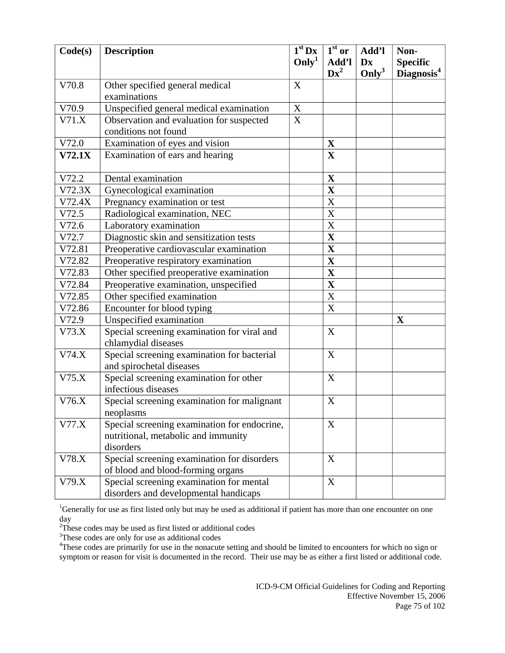| Code(s) | <b>Description</b>                                                                               | $1st$ Dx          | $1st$ or                | Add'l             | Non-                   |
|---------|--------------------------------------------------------------------------------------------------|-------------------|-------------------------|-------------------|------------------------|
|         |                                                                                                  | Only <sup>1</sup> | Add'l                   | Dx                | <b>Specific</b>        |
|         |                                                                                                  |                   | $\mathbf{Dx}^2$         | Only <sup>3</sup> | Diagnosis <sup>4</sup> |
| V70.8   | Other specified general medical                                                                  | X                 |                         |                   |                        |
|         | examinations                                                                                     |                   |                         |                   |                        |
| V70.9   | Unspecified general medical examination                                                          | $\mathbf X$       |                         |                   |                        |
| V71.X   | Observation and evaluation for suspected<br>conditions not found                                 | X                 |                         |                   |                        |
| V72.0   | Examination of eyes and vision                                                                   |                   | $\mathbf X$             |                   |                        |
| V72.1X  | Examination of ears and hearing                                                                  |                   | $\mathbf X$             |                   |                        |
| V72.2   | Dental examination                                                                               |                   | $\mathbf X$             |                   |                        |
| V72.3X  | Gynecological examination                                                                        |                   | $\mathbf X$             |                   |                        |
| V72.4X  | Pregnancy examination or test                                                                    |                   | $\overline{\mathbf{X}}$ |                   |                        |
| V72.5   | Radiological examination, NEC                                                                    |                   | $\overline{\mathbf{X}}$ |                   |                        |
| V72.6   | Laboratory examination                                                                           |                   | $\overline{\text{X}}$   |                   |                        |
| V72.7   | Diagnostic skin and sensitization tests                                                          |                   | $\mathbf X$             |                   |                        |
| V72.81  | Preoperative cardiovascular examination                                                          |                   | $\mathbf X$             |                   |                        |
| V72.82  | Preoperative respiratory examination                                                             |                   | $\mathbf X$             |                   |                        |
| V72.83  | Other specified preoperative examination                                                         |                   | $\mathbf X$             |                   |                        |
| V72.84  | Preoperative examination, unspecified                                                            |                   | $\mathbf X$             |                   |                        |
| V72.85  | Other specified examination                                                                      |                   | $\mathbf X$             |                   |                        |
| V72.86  | Encounter for blood typing                                                                       |                   | $\mathbf X$             |                   |                        |
| V72.9   | Unspecified examination                                                                          |                   |                         |                   | $\mathbf X$            |
| V73.X   | Special screening examination for viral and<br>chlamydial diseases                               |                   | X                       |                   |                        |
| V74.X   | Special screening examination for bacterial<br>and spirochetal diseases                          |                   | X                       |                   |                        |
| V75.X   | Special screening examination for other<br>infectious diseases                                   |                   | X                       |                   |                        |
| V76.X   | Special screening examination for malignant<br>neoplasms                                         |                   | X                       |                   |                        |
| V77.X   | Special screening examination for endocrine,<br>nutritional, metabolic and immunity<br>disorders |                   | X                       |                   |                        |
| V78.X   | Special screening examination for disorders<br>of blood and blood-forming organs                 |                   | X                       |                   |                        |
| V79.X   | Special screening examination for mental<br>disorders and developmental handicaps                |                   | X                       |                   |                        |

<sup>2</sup>These codes may be used as first listed or additional codes

<sup>3</sup>These codes are only for use as additional codes

<sup>4</sup>These codes are primarily for use in the nonacute setting and should be limited to encounters for which no sign or symptom or reason for visit is documented in the record. Their use may be as either a first listed or additional code.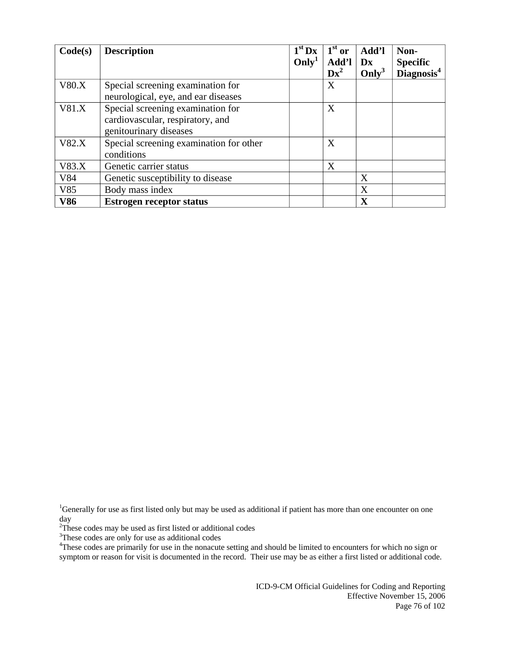| Code(s)    | <b>Description</b>                      | $1st$ Dx          | $\overline{1}^{\rm st}$ or | Add'l             | Non-                   |
|------------|-----------------------------------------|-------------------|----------------------------|-------------------|------------------------|
|            |                                         | Only <sup>1</sup> | Add'l                      | Dx                | <b>Specific</b>        |
|            |                                         |                   | $\mathbf{Dx}^2$            | Only <sup>3</sup> | Diagnosis <sup>4</sup> |
| V80.X      | Special screening examination for       |                   | X                          |                   |                        |
|            | neurological, eye, and ear diseases     |                   |                            |                   |                        |
| V81.X      | Special screening examination for       |                   | X                          |                   |                        |
|            | cardiovascular, respiratory, and        |                   |                            |                   |                        |
|            | genitourinary diseases                  |                   |                            |                   |                        |
| V82.X      | Special screening examination for other |                   | X                          |                   |                        |
|            | conditions                              |                   |                            |                   |                        |
| V83.X      | Genetic carrier status                  |                   | X                          |                   |                        |
| V84        | Genetic susceptibility to disease       |                   |                            | X                 |                        |
| V85        | Body mass index                         |                   |                            | X                 |                        |
| <b>V86</b> | <b>Estrogen receptor status</b>         |                   |                            | $\mathbf X$       |                        |

<sup>2</sup>These codes may be used as first listed or additional codes

<sup>3</sup>These codes are only for use as additional codes

<sup>4</sup>These codes are primarily for use in the nonacute setting and should be limited to encounters for which no sign or symptom or reason for visit is documented in the record. Their use may be as either a first listed or additional code.

> ICD-9-CM Official Guidelines for Coding and Reporting Effective November 15, 2006 Page 76 of 102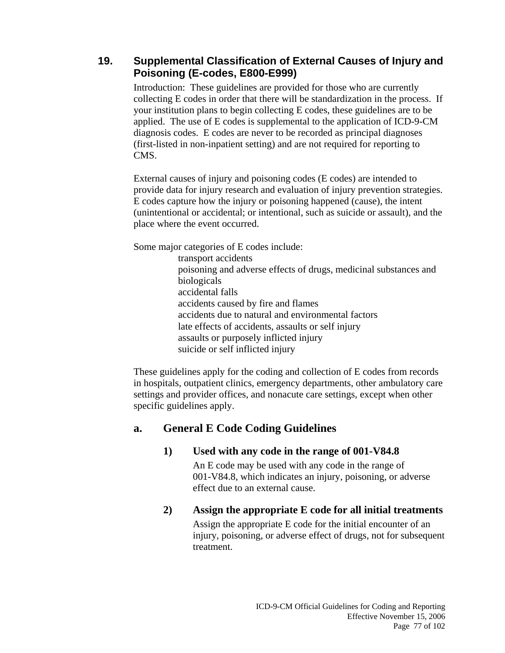## **19. Supplemental Classification of External Causes of Injury and Poisoning (E-codes, E800-E999)**

Introduction: These guidelines are provided for those who are currently collecting E codes in order that there will be standardization in the process. If your institution plans to begin collecting E codes, these guidelines are to be applied. The use of E codes is supplemental to the application of ICD-9-CM diagnosis codes. E codes are never to be recorded as principal diagnoses (first-listed in non-inpatient setting) and are not required for reporting to CMS.

External causes of injury and poisoning codes (E codes) are intended to provide data for injury research and evaluation of injury prevention strategies. E codes capture how the injury or poisoning happened (cause), the intent (unintentional or accidental; or intentional, such as suicide or assault), and the place where the event occurred.

Some major categories of E codes include:

transport accidents poisoning and adverse effects of drugs, medicinal substances and biologicals accidental falls accidents caused by fire and flames accidents due to natural and environmental factors late effects of accidents, assaults or self injury assaults or purposely inflicted injury suicide or self inflicted injury

These guidelines apply for the coding and collection of E codes from records in hospitals, outpatient clinics, emergency departments, other ambulatory care settings and provider offices, and nonacute care settings, except when other specific guidelines apply.

## **a. General E Code Coding Guidelines**

### **1) Used with any code in the range of 001-V84.8**

An E code may be used with any code in the range of 001-V84.8, which indicates an injury, poisoning, or adverse effect due to an external cause.

### **2) Assign the appropriate E code for all initial treatments**

Assign the appropriate E code for the initial encounter of an injury, poisoning, or adverse effect of drugs, not for subsequent treatment.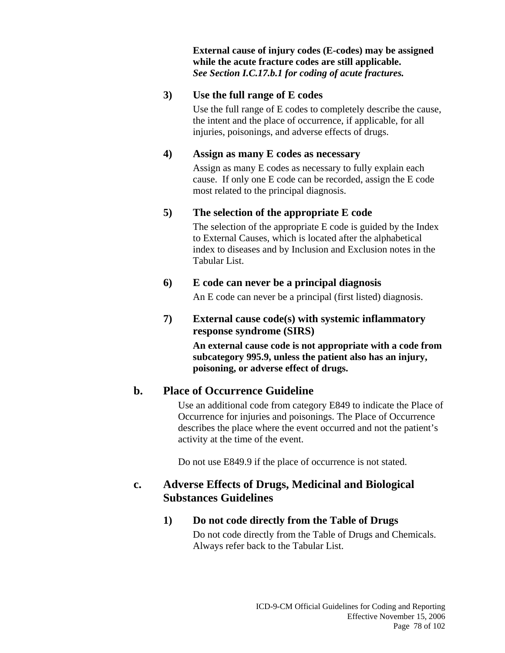**External cause of injury codes (E-codes) may be assigned while the acute fracture codes are still applicable.**  *See Section I.C.17.b.1 for coding of acute fractures.* 

### **3) Use the full range of E codes**

Use the full range of E codes to completely describe the cause, the intent and the place of occurrence, if applicable, for all injuries, poisonings, and adverse effects of drugs.

### **4) Assign as many E codes as necessary**

Assign as many E codes as necessary to fully explain each cause. If only one E code can be recorded, assign the E code most related to the principal diagnosis.

### **5) The selection of the appropriate E code**

The selection of the appropriate E code is guided by the Index to External Causes, which is located after the alphabetical index to diseases and by Inclusion and Exclusion notes in the Tabular List.

## **6) E code can never be a principal diagnosis**

An E code can never be a principal (first listed) diagnosis.

### **7) External cause code(s) with systemic inflammatory response syndrome (SIRS)**

**An external cause code is not appropriate with a code from subcategory 995.9, unless the patient also has an injury, poisoning, or adverse effect of drugs.** 

## **b. Place of Occurrence Guideline**

Use an additional code from category E849 to indicate the Place of Occurrence for injuries and poisonings. The Place of Occurrence describes the place where the event occurred and not the patient's activity at the time of the event.

Do not use E849.9 if the place of occurrence is not stated.

## **c. Adverse Effects of Drugs, Medicinal and Biological Substances Guidelines**

### **1) Do not code directly from the Table of Drugs**

Do not code directly from the Table of Drugs and Chemicals. Always refer back to the Tabular List.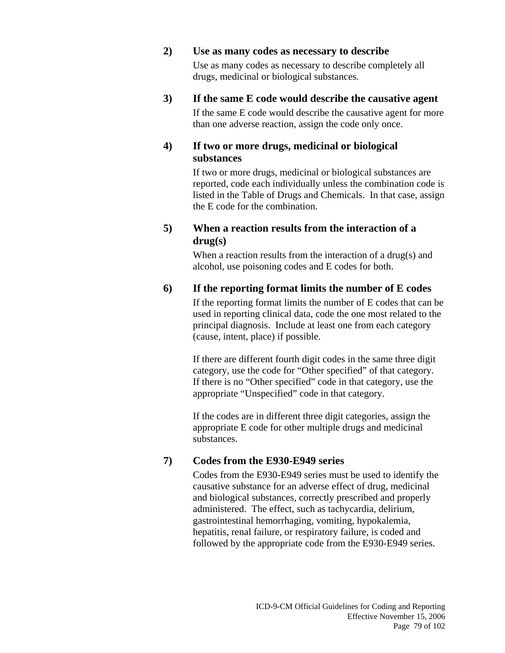#### **2) Use as many codes as necessary to describe**

Use as many codes as necessary to describe completely all drugs, medicinal or biological substances.

# **3) If the same E code would describe the causative agent**

If the same E code would describe the causative agent for more than one adverse reaction, assign the code only once.

#### **4) If two or more drugs, medicinal or biological substances**

If two or more drugs, medicinal or biological substances are reported, code each individually unless the combination code is listed in the Table of Drugs and Chemicals. In that case, assign the E code for the combination.

### **5) When a reaction results from the interaction of a drug(s)**

When a reaction results from the interaction of a drug(s) and alcohol, use poisoning codes and E codes for both.

### **6) If the reporting format limits the number of E codes**

If the reporting format limits the number of E codes that can be used in reporting clinical data, code the one most related to the principal diagnosis. Include at least one from each category (cause, intent, place) if possible.

If there are different fourth digit codes in the same three digit category, use the code for "Other specified" of that category. If there is no "Other specified" code in that category, use the appropriate "Unspecified" code in that category.

If the codes are in different three digit categories, assign the appropriate E code for other multiple drugs and medicinal substances.

## **7) Codes from the E930-E949 series**

Codes from the E930-E949 series must be used to identify the causative substance for an adverse effect of drug, medicinal and biological substances, correctly prescribed and properly administered. The effect, such as tachycardia, delirium, gastrointestinal hemorrhaging, vomiting, hypokalemia, hepatitis, renal failure, or respiratory failure, is coded and followed by the appropriate code from the E930-E949 series.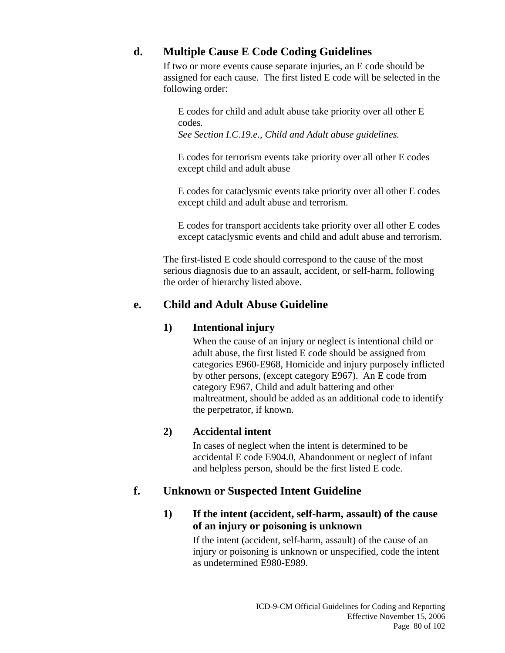# **d. Multiple Cause E Code Coding Guidelines**

If two or more events cause separate injuries, an E code should be assigned for each cause. The first listed E code will be selected in the following order:

E codes for child and adult abuse take priority over all other E codes*.* 

*See Section I.C.19.e., Child and Adult abuse guidelines.* 

E codes for terrorism events take priority over all other E codes except child and adult abuse

E codes for cataclysmic events take priority over all other E codes except child and adult abuse and terrorism.

E codes for transport accidents take priority over all other E codes except cataclysmic events and child and adult abuse and terrorism.

The first-listed E code should correspond to the cause of the most serious diagnosis due to an assault, accident, or self-harm, following the order of hierarchy listed above.

## **e. Child and Adult Abuse Guideline**

## **1) Intentional injury**

When the cause of an injury or neglect is intentional child or adult abuse, the first listed E code should be assigned from categories E960-E968, Homicide and injury purposely inflicted by other persons, (except category E967). An E code from category E967, Child and adult battering and other maltreatment, should be added as an additional code to identify the perpetrator, if known.

## **2) Accidental intent**

In cases of neglect when the intent is determined to be accidental E code E904.0, Abandonment or neglect of infant and helpless person, should be the first listed E code.

## **f. Unknown or Suspected Intent Guideline**

**1) If the intent (accident, self-harm, assault) of the cause of an injury or poisoning is unknown** 

> If the intent (accident, self-harm, assault) of the cause of an injury or poisoning is unknown or unspecified, code the intent as undetermined E980-E989.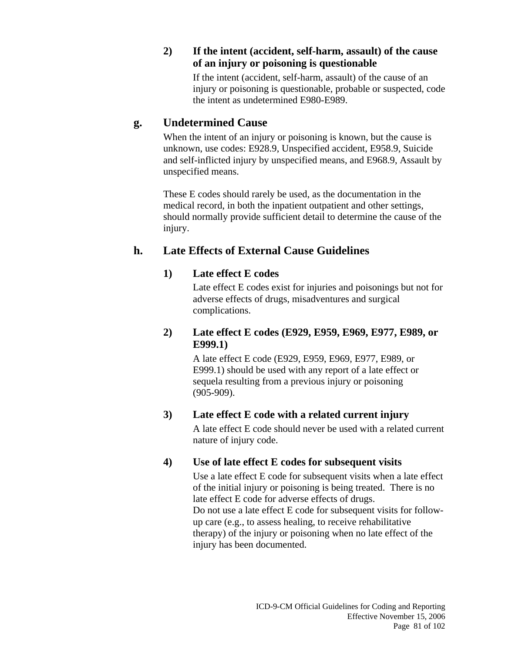## **2) If the intent (accident, self-harm, assault) of the cause of an injury or poisoning is questionable**

If the intent (accident, self-harm, assault) of the cause of an injury or poisoning is questionable, probable or suspected, code the intent as undetermined E980-E989.

## **g. Undetermined Cause**

When the intent of an injury or poisoning is known, but the cause is unknown, use codes: E928.9, Unspecified accident, E958.9, Suicide and self-inflicted injury by unspecified means, and E968.9, Assault by unspecified means.

These E codes should rarely be used, as the documentation in the medical record, in both the inpatient outpatient and other settings, should normally provide sufficient detail to determine the cause of the injury.

# **h. Late Effects of External Cause Guidelines**

## **1) Late effect E codes**

Late effect E codes exist for injuries and poisonings but not for adverse effects of drugs, misadventures and surgical complications.

### **2) Late effect E codes (E929, E959, E969, E977, E989, or E999.1)**

A late effect E code (E929, E959, E969, E977, E989, or E999.1) should be used with any report of a late effect or sequela resulting from a previous injury or poisoning (905-909).

## **3) Late effect E code with a related current injury**

A late effect E code should never be used with a related current nature of injury code.

## **4) Use of late effect E codes for subsequent visits**

Use a late effect E code for subsequent visits when a late effect of the initial injury or poisoning is being treated. There is no late effect E code for adverse effects of drugs. Do not use a late effect E code for subsequent visits for followup care (e.g., to assess healing, to receive rehabilitative therapy) of the injury or poisoning when no late effect of the

injury has been documented.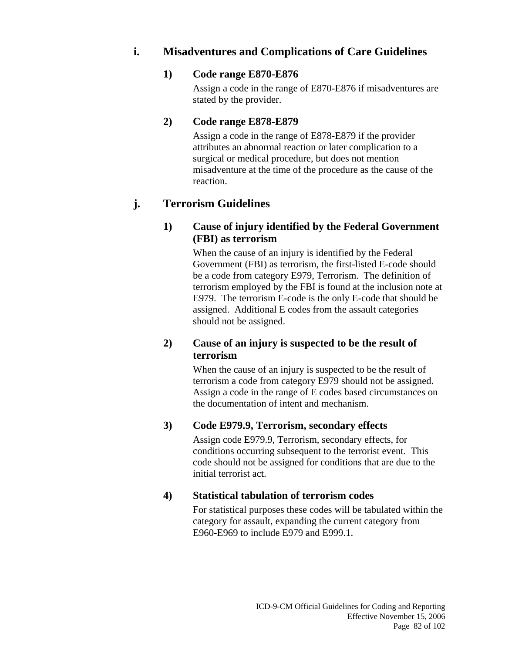# **i. Misadventures and Complications of Care Guidelines**

### **1) Code range E870-E876**

Assign a code in the range of E870-E876 if misadventures are stated by the provider.

## **2) Code range E878-E879**

Assign a code in the range of E878-E879 if the provider attributes an abnormal reaction or later complication to a surgical or medical procedure, but does not mention misadventure at the time of the procedure as the cause of the reaction.

# **j. Terrorism Guidelines**

## **1) Cause of injury identified by the Federal Government (FBI) as terrorism**

When the cause of an injury is identified by the Federal Government (FBI) as terrorism, the first-listed E-code should be a code from category E979, Terrorism. The definition of terrorism employed by the FBI is found at the inclusion note at E979. The terrorism E-code is the only E-code that should be assigned. Additional E codes from the assault categories should not be assigned.

## **2) Cause of an injury is suspected to be the result of terrorism**

When the cause of an injury is suspected to be the result of terrorism a code from category E979 should not be assigned. Assign a code in the range of E codes based circumstances on the documentation of intent and mechanism.

## **3) Code E979.9, Terrorism, secondary effects**

Assign code E979.9, Terrorism, secondary effects, for conditions occurring subsequent to the terrorist event. This code should not be assigned for conditions that are due to the initial terrorist act.

## **4) Statistical tabulation of terrorism codes**

For statistical purposes these codes will be tabulated within the category for assault, expanding the current category from E960-E969 to include E979 and E999.1.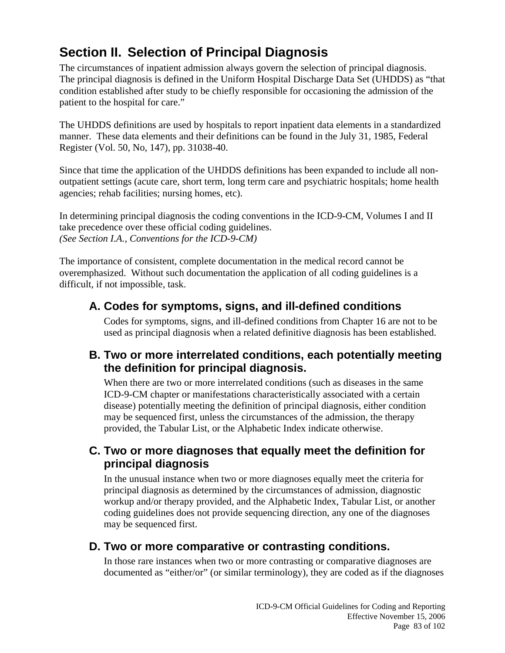# **Section II. Selection of Principal Diagnosis**

The circumstances of inpatient admission always govern the selection of principal diagnosis. The principal diagnosis is defined in the Uniform Hospital Discharge Data Set (UHDDS) as "that condition established after study to be chiefly responsible for occasioning the admission of the patient to the hospital for care."

The UHDDS definitions are used by hospitals to report inpatient data elements in a standardized manner. These data elements and their definitions can be found in the July 31, 1985, Federal Register (Vol. 50, No, 147), pp. 31038-40.

Since that time the application of the UHDDS definitions has been expanded to include all nonoutpatient settings (acute care, short term, long term care and psychiatric hospitals; home health agencies; rehab facilities; nursing homes, etc).

In determining principal diagnosis the coding conventions in the ICD-9-CM, Volumes I and II take precedence over these official coding guidelines. *(See Section I.A., Conventions for the ICD-9-CM)* 

The importance of consistent, complete documentation in the medical record cannot be overemphasized. Without such documentation the application of all coding guidelines is a difficult, if not impossible, task.

# **A. Codes for symptoms, signs, and ill-defined conditions**

Codes for symptoms, signs, and ill-defined conditions from Chapter 16 are not to be used as principal diagnosis when a related definitive diagnosis has been established.

# **B. Two or more interrelated conditions, each potentially meeting the definition for principal diagnosis.**

When there are two or more interrelated conditions (such as diseases in the same ICD-9-CM chapter or manifestations characteristically associated with a certain disease) potentially meeting the definition of principal diagnosis, either condition may be sequenced first, unless the circumstances of the admission, the therapy provided, the Tabular List, or the Alphabetic Index indicate otherwise.

# **C. Two or more diagnoses that equally meet the definition for principal diagnosis**

In the unusual instance when two or more diagnoses equally meet the criteria for principal diagnosis as determined by the circumstances of admission, diagnostic workup and/or therapy provided, and the Alphabetic Index, Tabular List, or another coding guidelines does not provide sequencing direction, any one of the diagnoses may be sequenced first.

## **D. Two or more comparative or contrasting conditions.**

In those rare instances when two or more contrasting or comparative diagnoses are documented as "either/or" (or similar terminology), they are coded as if the diagnoses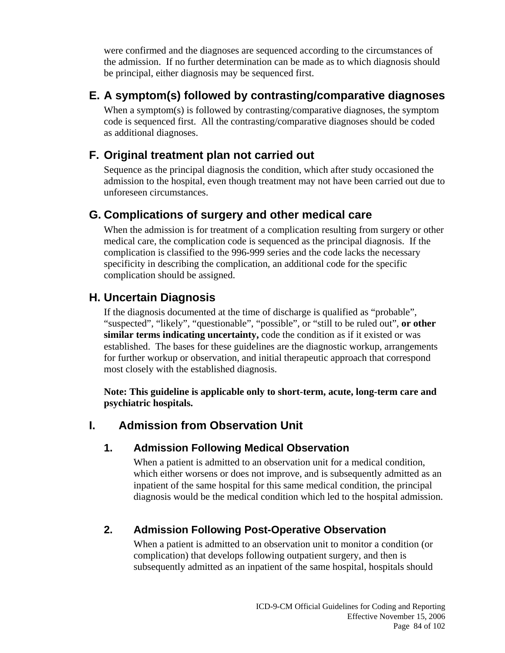were confirmed and the diagnoses are sequenced according to the circumstances of the admission. If no further determination can be made as to which diagnosis should be principal, either diagnosis may be sequenced first.

# **E. A symptom(s) followed by contrasting/comparative diagnoses**

When a symptom(s) is followed by contrasting/comparative diagnoses, the symptom code is sequenced first. All the contrasting/comparative diagnoses should be coded as additional diagnoses.

# **F. Original treatment plan not carried out**

Sequence as the principal diagnosis the condition, which after study occasioned the admission to the hospital, even though treatment may not have been carried out due to unforeseen circumstances.

# **G. Complications of surgery and other medical care**

When the admission is for treatment of a complication resulting from surgery or other medical care, the complication code is sequenced as the principal diagnosis. If the complication is classified to the 996-999 series and the code lacks the necessary specificity in describing the complication, an additional code for the specific complication should be assigned.

# **H. Uncertain Diagnosis**

If the diagnosis documented at the time of discharge is qualified as "probable", "suspected", "likely", "questionable", "possible", or "still to be ruled out", **or other similar terms indicating uncertainty,** code the condition as if it existed or was established. The bases for these guidelines are the diagnostic workup, arrangements for further workup or observation, and initial therapeutic approach that correspond most closely with the established diagnosis.

**Note: This guideline is applicable only to short-term, acute, long-term care and psychiatric hospitals.** 

## **I. Admission from Observation Unit**

## **1. Admission Following Medical Observation**

When a patient is admitted to an observation unit for a medical condition, which either worsens or does not improve, and is subsequently admitted as an inpatient of the same hospital for this same medical condition, the principal diagnosis would be the medical condition which led to the hospital admission.

## **2. Admission Following Post-Operative Observation**

When a patient is admitted to an observation unit to monitor a condition (or complication) that develops following outpatient surgery, and then is subsequently admitted as an inpatient of the same hospital, hospitals should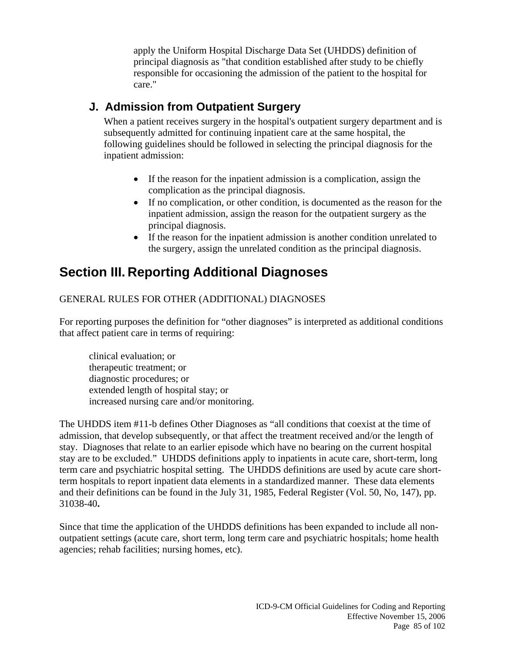apply the Uniform Hospital Discharge Data Set (UHDDS) definition of principal diagnosis as "that condition established after study to be chiefly responsible for occasioning the admission of the patient to the hospital for care."

## **J. Admission from Outpatient Surgery**

When a patient receives surgery in the hospital's outpatient surgery department and is subsequently admitted for continuing inpatient care at the same hospital, the following guidelines should be followed in selecting the principal diagnosis for the inpatient admission:

- If the reason for the inpatient admission is a complication, assign the complication as the principal diagnosis.
- If no complication, or other condition, is documented as the reason for the inpatient admission, assign the reason for the outpatient surgery as the principal diagnosis.
- If the reason for the inpatient admission is another condition unrelated to the surgery, assign the unrelated condition as the principal diagnosis.

# **Section III. Reporting Additional Diagnoses**

### GENERAL RULES FOR OTHER (ADDITIONAL) DIAGNOSES

For reporting purposes the definition for "other diagnoses" is interpreted as additional conditions that affect patient care in terms of requiring:

clinical evaluation; or therapeutic treatment; or diagnostic procedures; or extended length of hospital stay; or increased nursing care and/or monitoring.

The UHDDS item #11-b defines Other Diagnoses as "all conditions that coexist at the time of admission, that develop subsequently, or that affect the treatment received and/or the length of stay. Diagnoses that relate to an earlier episode which have no bearing on the current hospital stay are to be excluded." UHDDS definitions apply to inpatients in acute care, short-term, long term care and psychiatric hospital setting. The UHDDS definitions are used by acute care shortterm hospitals to report inpatient data elements in a standardized manner. These data elements and their definitions can be found in the July 31, 1985, Federal Register (Vol. 50, No, 147), pp. 31038-40**.** 

Since that time the application of the UHDDS definitions has been expanded to include all nonoutpatient settings (acute care, short term, long term care and psychiatric hospitals; home health agencies; rehab facilities; nursing homes, etc).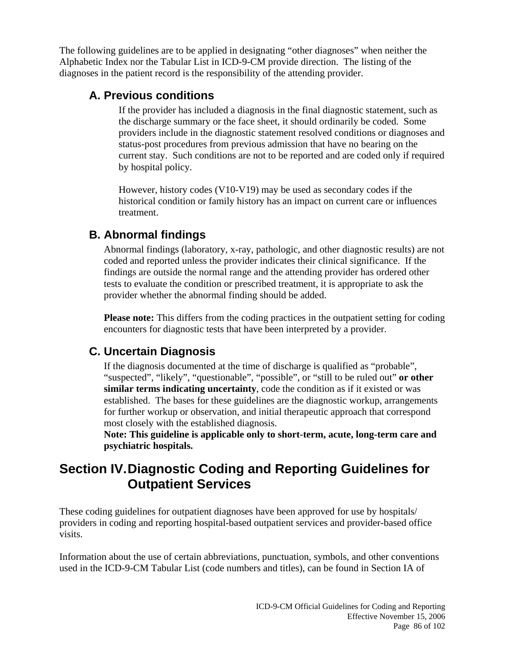The following guidelines are to be applied in designating "other diagnoses" when neither the Alphabetic Index nor the Tabular List in ICD-9-CM provide direction. The listing of the diagnoses in the patient record is the responsibility of the attending provider.

## **A. Previous conditions**

If the provider has included a diagnosis in the final diagnostic statement, such as the discharge summary or the face sheet, it should ordinarily be coded. Some providers include in the diagnostic statement resolved conditions or diagnoses and status-post procedures from previous admission that have no bearing on the current stay. Such conditions are not to be reported and are coded only if required by hospital policy.

However, history codes (V10-V19) may be used as secondary codes if the historical condition or family history has an impact on current care or influences treatment.

# **B. Abnormal findings**

Abnormal findings (laboratory, x-ray, pathologic, and other diagnostic results) are not coded and reported unless the provider indicates their clinical significance. If the findings are outside the normal range and the attending provider has ordered other tests to evaluate the condition or prescribed treatment, it is appropriate to ask the provider whether the abnormal finding should be added.

**Please note:** This differs from the coding practices in the outpatient setting for coding encounters for diagnostic tests that have been interpreted by a provider.

## **C. Uncertain Diagnosis**

If the diagnosis documented at the time of discharge is qualified as "probable", "suspected", "likely", "questionable", "possible", or "still to be ruled out" **or other similar terms indicating uncertainty**, code the condition as if it existed or was established. The bases for these guidelines are the diagnostic workup, arrangements for further workup or observation, and initial therapeutic approach that correspond most closely with the established diagnosis.

**Note: This guideline is applicable only to short-term, acute, long-term care and psychiatric hospitals.** 

# **Section IV. Diagnostic Coding and Reporting Guidelines for Outpatient Services**

These coding guidelines for outpatient diagnoses have been approved for use by hospitals/ providers in coding and reporting hospital-based outpatient services and provider-based office visits.

Information about the use of certain abbreviations, punctuation, symbols, and other conventions used in the ICD-9-CM Tabular List (code numbers and titles), can be found in Section IA of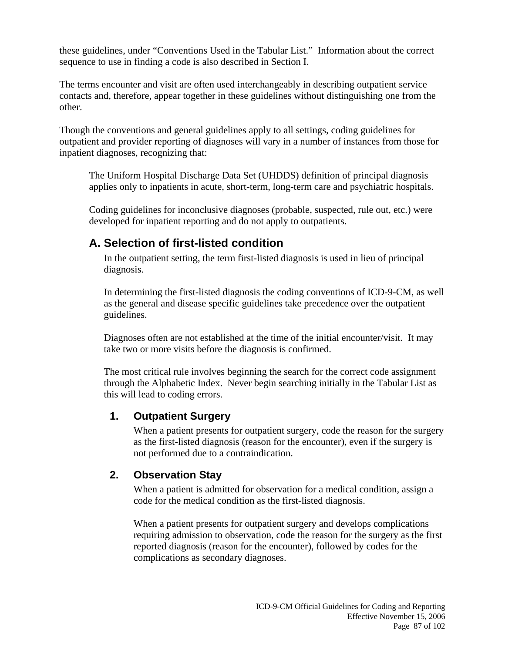these guidelines, under "Conventions Used in the Tabular List." Information about the correct sequence to use in finding a code is also described in Section I.

The terms encounter and visit are often used interchangeably in describing outpatient service contacts and, therefore, appear together in these guidelines without distinguishing one from the other.

Though the conventions and general guidelines apply to all settings, coding guidelines for outpatient and provider reporting of diagnoses will vary in a number of instances from those for inpatient diagnoses, recognizing that:

The Uniform Hospital Discharge Data Set (UHDDS) definition of principal diagnosis applies only to inpatients in acute, short-term, long-term care and psychiatric hospitals.

Coding guidelines for inconclusive diagnoses (probable, suspected, rule out, etc.) were developed for inpatient reporting and do not apply to outpatients.

# **A. Selection of first-listed condition**

In the outpatient setting, the term first-listed diagnosis is used in lieu of principal diagnosis.

In determining the first-listed diagnosis the coding conventions of ICD-9-CM, as well as the general and disease specific guidelines take precedence over the outpatient guidelines.

Diagnoses often are not established at the time of the initial encounter/visit. It may take two or more visits before the diagnosis is confirmed.

The most critical rule involves beginning the search for the correct code assignment through the Alphabetic Index. Never begin searching initially in the Tabular List as this will lead to coding errors.

## **1. Outpatient Surgery**

When a patient presents for outpatient surgery, code the reason for the surgery as the first-listed diagnosis (reason for the encounter), even if the surgery is not performed due to a contraindication.

## **2. Observation Stay**

When a patient is admitted for observation for a medical condition, assign a code for the medical condition as the first-listed diagnosis.

When a patient presents for outpatient surgery and develops complications requiring admission to observation, code the reason for the surgery as the first reported diagnosis (reason for the encounter), followed by codes for the complications as secondary diagnoses.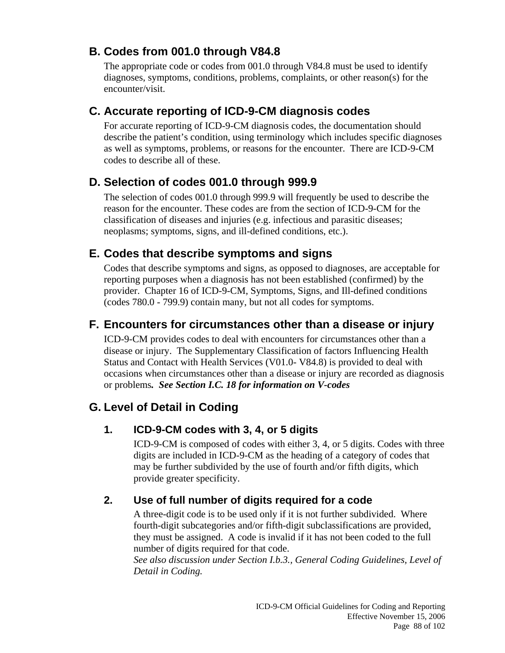# **B. Codes from 001.0 through V84.8**

The appropriate code or codes from 001.0 through V84.8 must be used to identify diagnoses, symptoms, conditions, problems, complaints, or other reason(s) for the encounter/visit.

## **C. Accurate reporting of ICD-9-CM diagnosis codes**

For accurate reporting of ICD-9-CM diagnosis codes, the documentation should describe the patient's condition, using terminology which includes specific diagnoses as well as symptoms, problems, or reasons for the encounter. There are ICD-9-CM codes to describe all of these.

## **D. Selection of codes 001.0 through 999.9**

The selection of codes 001.0 through 999.9 will frequently be used to describe the reason for the encounter. These codes are from the section of ICD-9-CM for the classification of diseases and injuries (e.g. infectious and parasitic diseases; neoplasms; symptoms, signs, and ill-defined conditions, etc.).

# **E. Codes that describe symptoms and signs**

Codes that describe symptoms and signs, as opposed to diagnoses, are acceptable for reporting purposes when a diagnosis has not been established (confirmed) by the provider. Chapter 16 of ICD-9-CM, Symptoms, Signs, and Ill-defined conditions (codes 780.0 - 799.9) contain many, but not all codes for symptoms.

## **F. Encounters for circumstances other than a disease or injury**

ICD-9-CM provides codes to deal with encounters for circumstances other than a disease or injury. The Supplementary Classification of factors Influencing Health Status and Contact with Health Services (V01.0- V84.8) is provided to deal with occasions when circumstances other than a disease or injury are recorded as diagnosis or problems*. See Section I.C. 18 for information on V-codes* 

# **G. Level of Detail in Coding**

## **1. ICD-9-CM codes with 3, 4, or 5 digits**

ICD-9-CM is composed of codes with either 3, 4, or 5 digits. Codes with three digits are included in ICD-9-CM as the heading of a category of codes that may be further subdivided by the use of fourth and/or fifth digits, which provide greater specificity.

## **2. Use of full number of digits required for a code**

A three-digit code is to be used only if it is not further subdivided. Where fourth-digit subcategories and/or fifth-digit subclassifications are provided, they must be assigned. A code is invalid if it has not been coded to the full number of digits required for that code.

*See also discussion under Section I.b.3., General Coding Guidelines, Level of Detail in Coding.*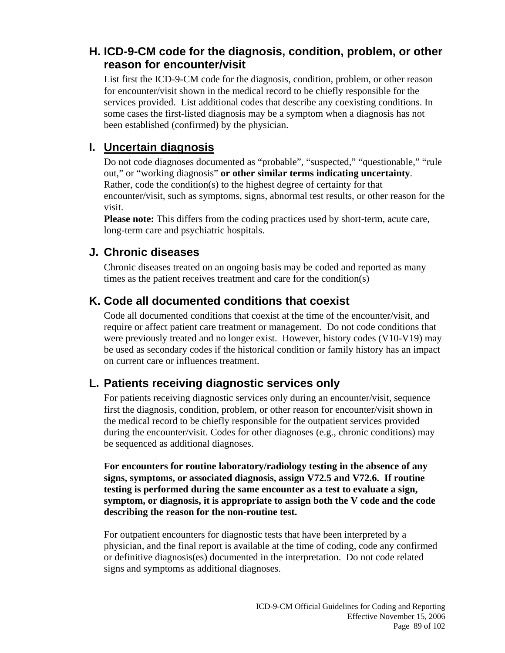# **H. ICD-9-CM code for the diagnosis, condition, problem, or other reason for encounter/visit**

List first the ICD-9-CM code for the diagnosis, condition, problem, or other reason for encounter/visit shown in the medical record to be chiefly responsible for the services provided. List additional codes that describe any coexisting conditions. In some cases the first-listed diagnosis may be a symptom when a diagnosis has not been established (confirmed) by the physician.

# **I. Uncertain diagnosis**

Do not code diagnoses documented as "probable", "suspected," "questionable," "rule out," or "working diagnosis" **or other similar terms indicating uncertainty**. Rather, code the condition(s) to the highest degree of certainty for that encounter/visit, such as symptoms, signs, abnormal test results, or other reason for the visit.

**Please note:** This differs from the coding practices used by short-term, acute care, long-term care and psychiatric hospitals.

## **J. Chronic diseases**

Chronic diseases treated on an ongoing basis may be coded and reported as many times as the patient receives treatment and care for the condition(s)

## **K. Code all documented conditions that coexist**

Code all documented conditions that coexist at the time of the encounter/visit, and require or affect patient care treatment or management. Do not code conditions that were previously treated and no longer exist. However, history codes (V10-V19) may be used as secondary codes if the historical condition or family history has an impact on current care or influences treatment.

## **L. Patients receiving diagnostic services only**

For patients receiving diagnostic services only during an encounter/visit, sequence first the diagnosis, condition, problem, or other reason for encounter/visit shown in the medical record to be chiefly responsible for the outpatient services provided during the encounter/visit. Codes for other diagnoses (e.g., chronic conditions) may be sequenced as additional diagnoses.

**For encounters for routine laboratory/radiology testing in the absence of any signs, symptoms, or associated diagnosis, assign V72.5 and V72.6. If routine testing is performed during the same encounter as a test to evaluate a sign, symptom, or diagnosis, it is appropriate to assign both the V code and the code describing the reason for the non-routine test.** 

For outpatient encounters for diagnostic tests that have been interpreted by a physician, and the final report is available at the time of coding, code any confirmed or definitive diagnosis(es) documented in the interpretation. Do not code related signs and symptoms as additional diagnoses.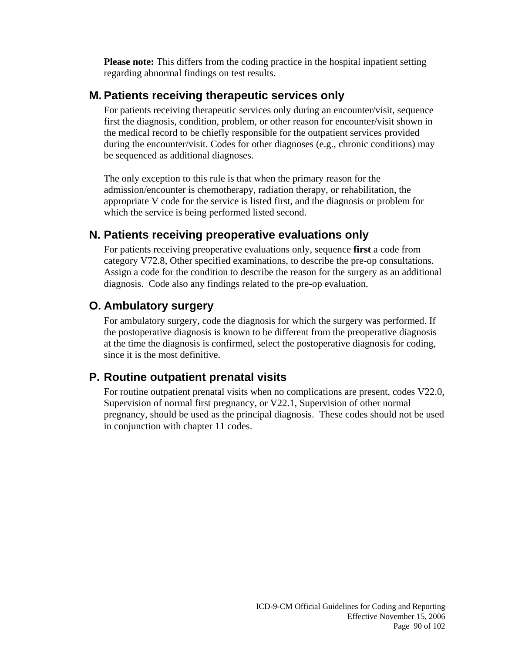**Please note:** This differs from the coding practice in the hospital inpatient setting regarding abnormal findings on test results.

### **M. Patients receiving therapeutic services only**

For patients receiving therapeutic services only during an encounter/visit, sequence first the diagnosis, condition, problem, or other reason for encounter/visit shown in the medical record to be chiefly responsible for the outpatient services provided during the encounter/visit. Codes for other diagnoses (e.g., chronic conditions) may be sequenced as additional diagnoses.

The only exception to this rule is that when the primary reason for the admission/encounter is chemotherapy, radiation therapy, or rehabilitation, the appropriate V code for the service is listed first, and the diagnosis or problem for which the service is being performed listed second.

## **N. Patients receiving preoperative evaluations only**

For patients receiving preoperative evaluations only, sequence **first** a code from category V72.8, Other specified examinations, to describe the pre-op consultations. Assign a code for the condition to describe the reason for the surgery as an additional diagnosis. Code also any findings related to the pre-op evaluation.

## **O. Ambulatory surgery**

For ambulatory surgery, code the diagnosis for which the surgery was performed. If the postoperative diagnosis is known to be different from the preoperative diagnosis at the time the diagnosis is confirmed, select the postoperative diagnosis for coding, since it is the most definitive.

## **P. Routine outpatient prenatal visits**

For routine outpatient prenatal visits when no complications are present, codes V22.0, Supervision of normal first pregnancy, or V22.1, Supervision of other normal pregnancy, should be used as the principal diagnosis. These codes should not be used in conjunction with chapter 11 codes.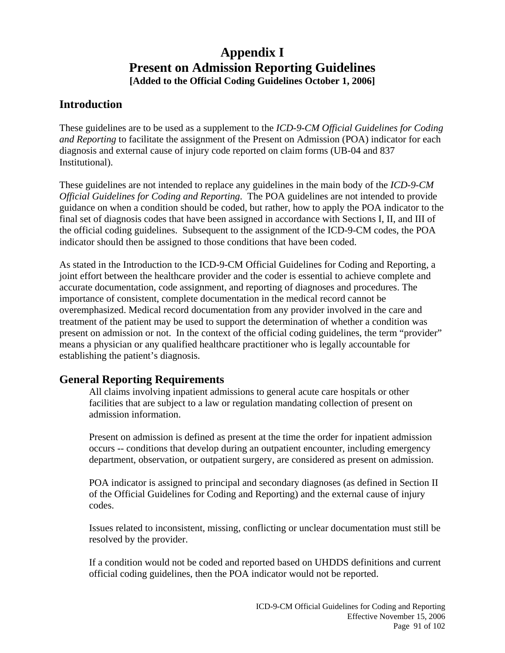# **Appendix I Present on Admission Reporting Guidelines [Added to the Official Coding Guidelines October 1, 2006]**

## **Introduction**

These guidelines are to be used as a supplement to the *ICD-9-CM Official Guidelines for Coding and Reporting* to facilitate the assignment of the Present on Admission (POA) indicator for each diagnosis and external cause of injury code reported on claim forms (UB-04 and 837 Institutional).

These guidelines are not intended to replace any guidelines in the main body of the *ICD-9-CM Official Guidelines for Coding and Reporting*. The POA guidelines are not intended to provide guidance on when a condition should be coded, but rather, how to apply the POA indicator to the final set of diagnosis codes that have been assigned in accordance with Sections I, II, and III of the official coding guidelines. Subsequent to the assignment of the ICD-9-CM codes, the POA indicator should then be assigned to those conditions that have been coded.

As stated in the Introduction to the ICD-9-CM Official Guidelines for Coding and Reporting, a joint effort between the healthcare provider and the coder is essential to achieve complete and accurate documentation, code assignment, and reporting of diagnoses and procedures. The importance of consistent, complete documentation in the medical record cannot be overemphasized. Medical record documentation from any provider involved in the care and treatment of the patient may be used to support the determination of whether a condition was present on admission or not. In the context of the official coding guidelines, the term "provider" means a physician or any qualified healthcare practitioner who is legally accountable for establishing the patient's diagnosis.

## **General Reporting Requirements**

All claims involving inpatient admissions to general acute care hospitals or other facilities that are subject to a law or regulation mandating collection of present on admission information.

Present on admission is defined as present at the time the order for inpatient admission occurs -- conditions that develop during an outpatient encounter, including emergency department, observation, or outpatient surgery, are considered as present on admission.

POA indicator is assigned to principal and secondary diagnoses (as defined in Section II of the Official Guidelines for Coding and Reporting) and the external cause of injury codes.

Issues related to inconsistent, missing, conflicting or unclear documentation must still be resolved by the provider.

If a condition would not be coded and reported based on UHDDS definitions and current official coding guidelines, then the POA indicator would not be reported.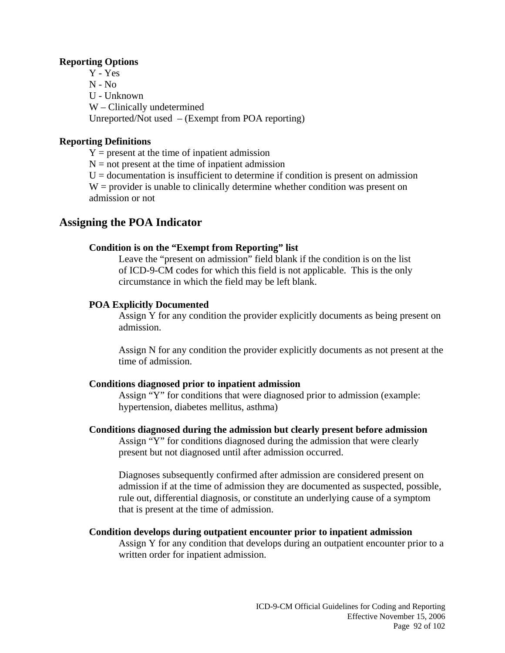#### **Reporting Options**

Y - Yes  $N - No$ U - Unknown W – Clinically undetermined Unreported/Not used – (Exempt from POA reporting)

#### **Reporting Definitions**

 $Y =$  present at the time of inpatient admission

 $N =$  not present at the time of inpatient admission

 $U =$  documentation is insufficient to determine if condition is present on admission

 $W =$  provider is unable to clinically determine whether condition was present on admission or not

#### **Assigning the POA Indicator**

#### **Condition is on the "Exempt from Reporting" list**

Leave the "present on admission" field blank if the condition is on the list of ICD-9-CM codes for which this field is not applicable. This is the only circumstance in which the field may be left blank.

#### **POA Explicitly Documented**

Assign Y for any condition the provider explicitly documents as being present on admission.

Assign N for any condition the provider explicitly documents as not present at the time of admission.

#### **Conditions diagnosed prior to inpatient admission**

Assign "Y" for conditions that were diagnosed prior to admission (example: hypertension, diabetes mellitus, asthma)

**Conditions diagnosed during the admission but clearly present before admission**  Assign "Y" for conditions diagnosed during the admission that were clearly

present but not diagnosed until after admission occurred.

Diagnoses subsequently confirmed after admission are considered present on admission if at the time of admission they are documented as suspected, possible, rule out, differential diagnosis, or constitute an underlying cause of a symptom that is present at the time of admission.

#### **Condition develops during outpatient encounter prior to inpatient admission**

Assign Y for any condition that develops during an outpatient encounter prior to a written order for inpatient admission.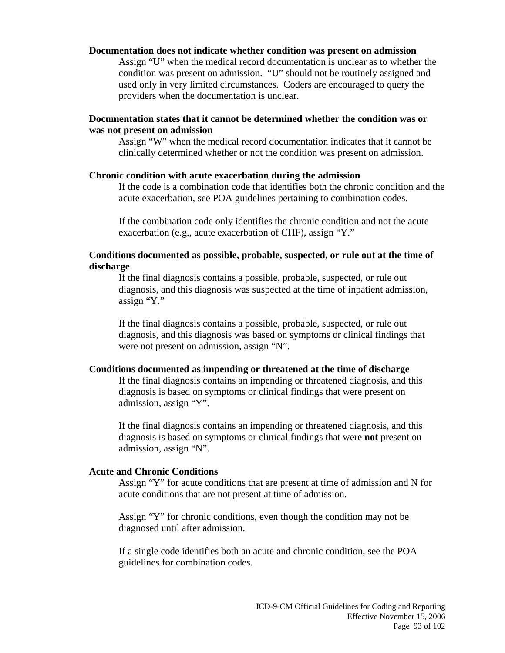#### **Documentation does not indicate whether condition was present on admission**

Assign "U" when the medical record documentation is unclear as to whether the condition was present on admission. "U" should not be routinely assigned and used only in very limited circumstances. Coders are encouraged to query the providers when the documentation is unclear.

#### **Documentation states that it cannot be determined whether the condition was or was not present on admission**

Assign "W" when the medical record documentation indicates that it cannot be clinically determined whether or not the condition was present on admission.

#### **Chronic condition with acute exacerbation during the admission**

If the code is a combination code that identifies both the chronic condition and the acute exacerbation, see POA guidelines pertaining to combination codes.

If the combination code only identifies the chronic condition and not the acute exacerbation (e.g., acute exacerbation of CHF), assign "Y."

#### **Conditions documented as possible, probable, suspected, or rule out at the time of discharge**

If the final diagnosis contains a possible, probable, suspected, or rule out diagnosis, and this diagnosis was suspected at the time of inpatient admission, assign "Y."

If the final diagnosis contains a possible, probable, suspected, or rule out diagnosis, and this diagnosis was based on symptoms or clinical findings that were not present on admission, assign "N".

#### **Conditions documented as impending or threatened at the time of discharge**

If the final diagnosis contains an impending or threatened diagnosis, and this diagnosis is based on symptoms or clinical findings that were present on admission, assign "Y".

If the final diagnosis contains an impending or threatened diagnosis, and this diagnosis is based on symptoms or clinical findings that were **not** present on admission, assign "N".

#### **Acute and Chronic Conditions**

Assign "Y" for acute conditions that are present at time of admission and N for acute conditions that are not present at time of admission.

Assign "Y" for chronic conditions, even though the condition may not be diagnosed until after admission.

If a single code identifies both an acute and chronic condition, see the POA guidelines for combination codes.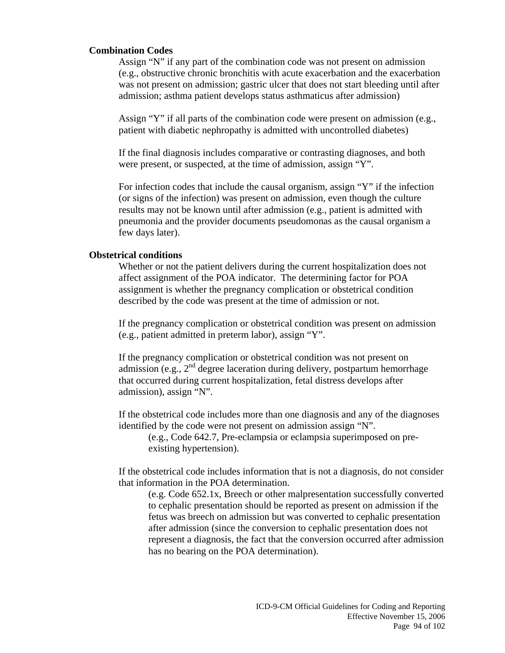#### **Combination Codes**

Assign "N" if any part of the combination code was not present on admission (e.g., obstructive chronic bronchitis with acute exacerbation and the exacerbation was not present on admission; gastric ulcer that does not start bleeding until after admission; asthma patient develops status asthmaticus after admission)

Assign "Y" if all parts of the combination code were present on admission (e.g., patient with diabetic nephropathy is admitted with uncontrolled diabetes)

If the final diagnosis includes comparative or contrasting diagnoses, and both were present, or suspected, at the time of admission, assign "Y".

For infection codes that include the causal organism, assign "Y" if the infection (or signs of the infection) was present on admission, even though the culture results may not be known until after admission (e.g., patient is admitted with pneumonia and the provider documents pseudomonas as the causal organism a few days later).

#### **Obstetrical conditions**

Whether or not the patient delivers during the current hospitalization does not affect assignment of the POA indicator. The determining factor for POA assignment is whether the pregnancy complication or obstetrical condition described by the code was present at the time of admission or not.

If the pregnancy complication or obstetrical condition was present on admission (e.g., patient admitted in preterm labor), assign "Y".

If the pregnancy complication or obstetrical condition was not present on admission (e.g.,  $2<sup>nd</sup>$  degree laceration during delivery, postpartum hemorrhage that occurred during current hospitalization, fetal distress develops after admission), assign "N".

If the obstetrical code includes more than one diagnosis and any of the diagnoses identified by the code were not present on admission assign "N".

(e.g., Code 642.7, Pre-eclampsia or eclampsia superimposed on preexisting hypertension).

If the obstetrical code includes information that is not a diagnosis, do not consider that information in the POA determination.

(e.g. Code 652.1x, Breech or other malpresentation successfully converted to cephalic presentation should be reported as present on admission if the fetus was breech on admission but was converted to cephalic presentation after admission (since the conversion to cephalic presentation does not represent a diagnosis, the fact that the conversion occurred after admission has no bearing on the POA determination).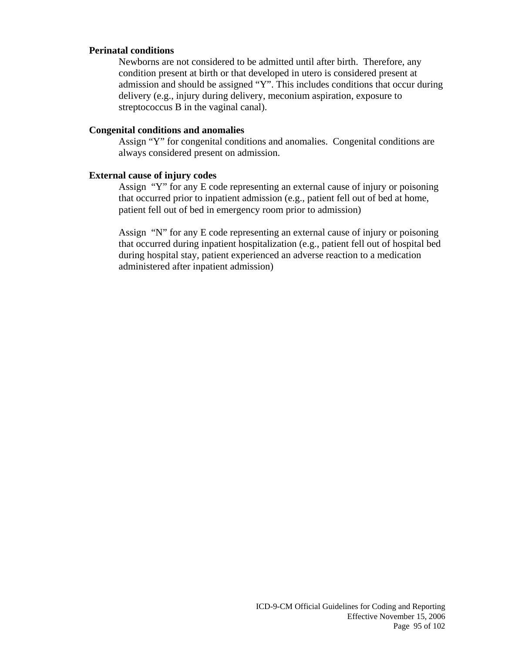#### **Perinatal conditions**

Newborns are not considered to be admitted until after birth. Therefore, any condition present at birth or that developed in utero is considered present at admission and should be assigned "Y". This includes conditions that occur during delivery (e.g., injury during delivery, meconium aspiration, exposure to streptococcus B in the vaginal canal).

#### **Congenital conditions and anomalies**

Assign "Y" for congenital conditions and anomalies. Congenital conditions are always considered present on admission.

#### **External cause of injury codes**

Assign "Y" for any E code representing an external cause of injury or poisoning that occurred prior to inpatient admission (e.g., patient fell out of bed at home, patient fell out of bed in emergency room prior to admission)

Assign "N" for any E code representing an external cause of injury or poisoning that occurred during inpatient hospitalization (e.g., patient fell out of hospital bed during hospital stay, patient experienced an adverse reaction to a medication administered after inpatient admission)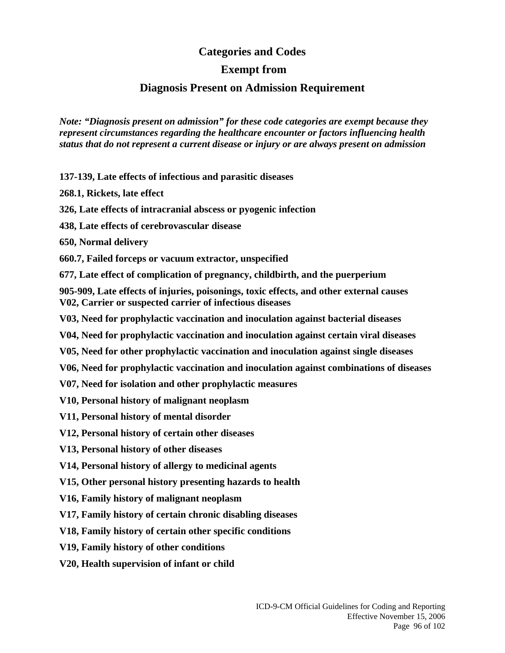## **Categories and Codes**

### **Exempt from**

## **Diagnosis Present on Admission Requirement**

*Note: "Diagnosis present on admission" for these code categories are exempt because they represent circumstances regarding the healthcare encounter or factors influencing health status that do not represent a current disease or injury or are always present on admission* 

**137-139, Late effects of infectious and parasitic diseases** 

**268.1, Rickets, late effect** 

**326, Late effects of intracranial abscess or pyogenic infection** 

**438, Late effects of cerebrovascular disease** 

**650, Normal delivery** 

**660.7, Failed forceps or vacuum extractor, unspecified** 

**677, Late effect of complication of pregnancy, childbirth, and the puerperium** 

**905-909, Late effects of injuries, poisonings, toxic effects, and other external causes V02, Carrier or suspected carrier of infectious diseases** 

**V03, Need for prophylactic vaccination and inoculation against bacterial diseases** 

**V04, Need for prophylactic vaccination and inoculation against certain viral diseases** 

**V05, Need for other prophylactic vaccination and inoculation against single diseases** 

**V06, Need for prophylactic vaccination and inoculation against combinations of diseases** 

**V07, Need for isolation and other prophylactic measures** 

**V10, Personal history of malignant neoplasm** 

**V11, Personal history of mental disorder** 

**V12, Personal history of certain other diseases** 

**V13, Personal history of other diseases** 

**V14, Personal history of allergy to medicinal agents** 

**V15, Other personal history presenting hazards to health** 

**V16, Family history of malignant neoplasm** 

**V17, Family history of certain chronic disabling diseases** 

**V18, Family history of certain other specific conditions** 

**V19, Family history of other conditions** 

**V20, Health supervision of infant or child**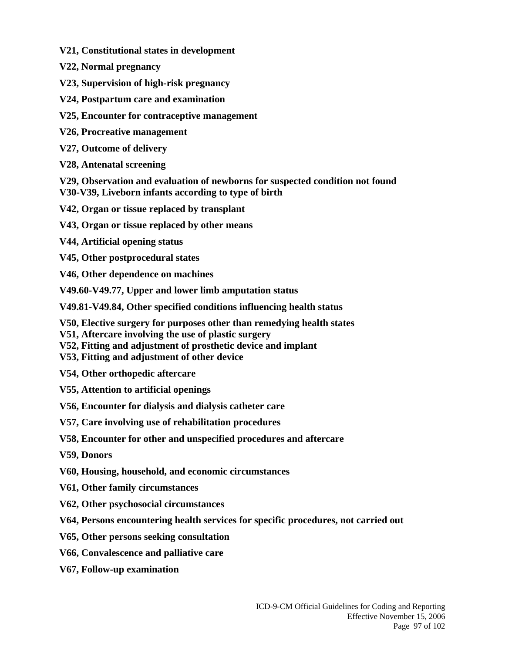- **V21, Constitutional states in development**
- **V22, Normal pregnancy**
- **V23, Supervision of high-risk pregnancy**
- **V24, Postpartum care and examination**
- **V25, Encounter for contraceptive management**
- **V26, Procreative management**
- **V27, Outcome of delivery**
- **V28, Antenatal screening**
- **V29, Observation and evaluation of newborns for suspected condition not found V30-V39, Liveborn infants according to type of birth**
- **V42, Organ or tissue replaced by transplant**
- **V43, Organ or tissue replaced by other means**
- **V44, Artificial opening status**
- **V45, Other postprocedural states**
- **V46, Other dependence on machines**
- **V49.60-V49.77, Upper and lower limb amputation status**
- **V49.81-V49.84, Other specified conditions influencing health status**
- **V50, Elective surgery for purposes other than remedying health states**
- **V51, Aftercare involving the use of plastic surgery**
- **V52, Fitting and adjustment of prosthetic device and implant**
- **V53, Fitting and adjustment of other device**
- **V54, Other orthopedic aftercare**
- **V55, Attention to artificial openings**
- **V56, Encounter for dialysis and dialysis catheter care**
- **V57, Care involving use of rehabilitation procedures**
- **V58, Encounter for other and unspecified procedures and aftercare**
- **V59, Donors**
- **V60, Housing, household, and economic circumstances**
- **V61, Other family circumstances**
- **V62, Other psychosocial circumstances**
- **V64, Persons encountering health services for specific procedures, not carried out**
- **V65, Other persons seeking consultation**
- **V66, Convalescence and palliative care**
- **V67, Follow-up examination**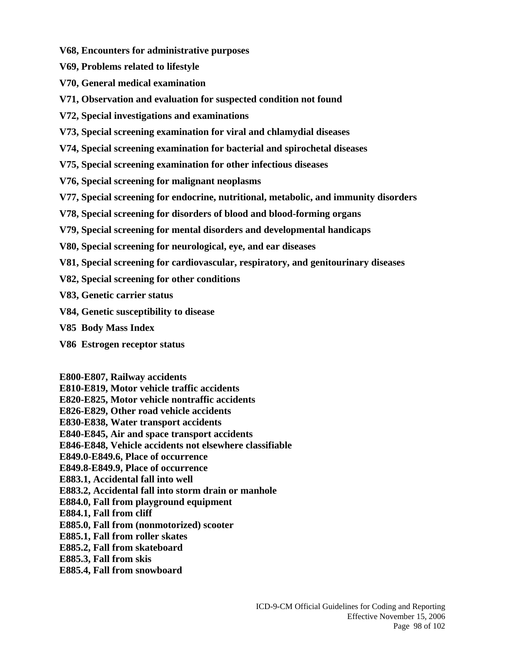- **V68, Encounters for administrative purposes**
- **V69, Problems related to lifestyle**
- **V70, General medical examination**
- **V71, Observation and evaluation for suspected condition not found**
- **V72, Special investigations and examinations**
- **V73, Special screening examination for viral and chlamydial diseases**
- **V74, Special screening examination for bacterial and spirochetal diseases**
- **V75, Special screening examination for other infectious diseases**
- **V76, Special screening for malignant neoplasms**
- **V77, Special screening for endocrine, nutritional, metabolic, and immunity disorders**
- **V78, Special screening for disorders of blood and blood-forming organs**
- **V79, Special screening for mental disorders and developmental handicaps**
- **V80, Special screening for neurological, eye, and ear diseases**
- **V81, Special screening for cardiovascular, respiratory, and genitourinary diseases**
- **V82, Special screening for other conditions**
- **V83, Genetic carrier status**
- **V84, Genetic susceptibility to disease**
- **V85 Body Mass Index**
- **V86 Estrogen receptor status**

**E800-E807, Railway accidents** 

**E810-E819, Motor vehicle traffic accidents** 

- **E820-E825, Motor vehicle nontraffic accidents**
- **E826-E829, Other road vehicle accidents**

**E830-E838, Water transport accidents** 

- **E840-E845, Air and space transport accidents**
- **E846-E848, Vehicle accidents not elsewhere classifiable**

**E849.0-E849.6, Place of occurrence** 

- **E849.8-E849.9, Place of occurrence**
- **E883.1, Accidental fall into well**
- **E883.2, Accidental fall into storm drain or manhole**
- **E884.0, Fall from playground equipment**
- **E884.1, Fall from cliff**
- **E885.0, Fall from (nonmotorized) scooter**
- **E885.1, Fall from roller skates**
- **E885.2, Fall from skateboard**
- **E885.3, Fall from skis**
- **E885.4, Fall from snowboard**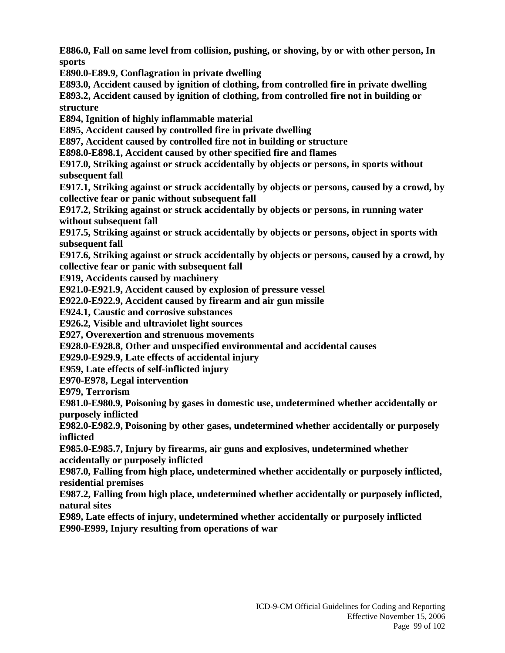**E886.0, Fall on same level from collision, pushing, or shoving, by or with other person, In sports** 

**E890.0-E89.9, Conflagration in private dwelling** 

**E893.0, Accident caused by ignition of clothing, from controlled fire in private dwelling E893.2, Accident caused by ignition of clothing, from controlled fire not in building or structure** 

**E894, Ignition of highly inflammable material** 

**E895, Accident caused by controlled fire in private dwelling** 

**E897, Accident caused by controlled fire not in building or structure** 

**E898.0-E898.1, Accident caused by other specified fire and flames** 

**E917.0, Striking against or struck accidentally by objects or persons, in sports without subsequent fall** 

**E917.1, Striking against or struck accidentally by objects or persons, caused by a crowd, by collective fear or panic without subsequent fall** 

**E917.2, Striking against or struck accidentally by objects or persons, in running water without subsequent fall** 

**E917.5, Striking against or struck accidentally by objects or persons, object in sports with subsequent fall** 

**E917.6, Striking against or struck accidentally by objects or persons, caused by a crowd, by collective fear or panic with subsequent fall** 

**E919, Accidents caused by machinery** 

**E921.0-E921.9, Accident caused by explosion of pressure vessel** 

**E922.0-E922.9, Accident caused by firearm and air gun missile** 

**E924.1, Caustic and corrosive substances** 

**E926.2, Visible and ultraviolet light sources** 

**E927, Overexertion and strenuous movements** 

**E928.0-E928.8, Other and unspecified environmental and accidental causes** 

**E929.0-E929.9, Late effects of accidental injury** 

**E959, Late effects of self-inflicted injury** 

**E970-E978, Legal intervention** 

**E979, Terrorism** 

**E981.0-E980.9, Poisoning by gases in domestic use, undetermined whether accidentally or purposely inflicted** 

**E982.0-E982.9, Poisoning by other gases, undetermined whether accidentally or purposely inflicted** 

**E985.0-E985.7, Injury by firearms, air guns and explosives, undetermined whether accidentally or purposely inflicted** 

**E987.0, Falling from high place, undetermined whether accidentally or purposely inflicted, residential premises** 

**E987.2, Falling from high place, undetermined whether accidentally or purposely inflicted, natural sites** 

**E989, Late effects of injury, undetermined whether accidentally or purposely inflicted E990-E999, Injury resulting from operations of war**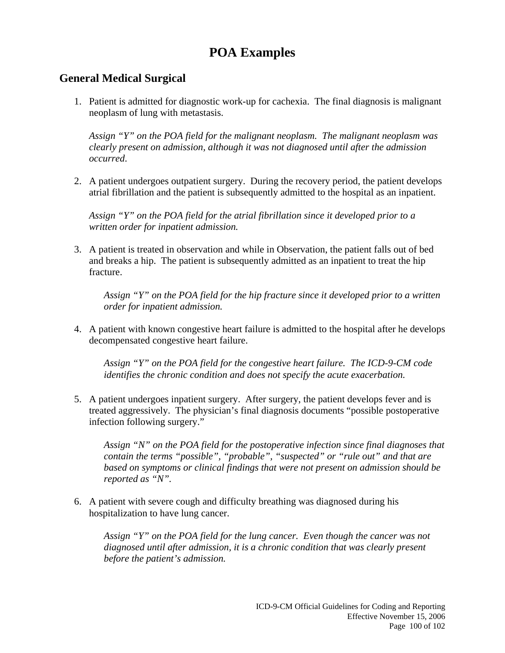# **POA Examples**

## **General Medical Surgical**

1. Patient is admitted for diagnostic work-up for cachexia. The final diagnosis is malignant neoplasm of lung with metastasis.

*Assign "Y" on the POA field for the malignant neoplasm. The malignant neoplasm was clearly present on admission, although it was not diagnosed until after the admission occurred*.

2. A patient undergoes outpatient surgery. During the recovery period, the patient develops atrial fibrillation and the patient is subsequently admitted to the hospital as an inpatient.

*Assign "Y" on the POA field for the atrial fibrillation since it developed prior to a written order for inpatient admission.* 

3. A patient is treated in observation and while in Observation, the patient falls out of bed and breaks a hip. The patient is subsequently admitted as an inpatient to treat the hip fracture.

*Assign "Y" on the POA field for the hip fracture since it developed prior to a written order for inpatient admission.* 

4. A patient with known congestive heart failure is admitted to the hospital after he develops decompensated congestive heart failure.

*Assign "Y" on the POA field for the congestive heart failure. The ICD-9-CM code identifies the chronic condition and does not specify the acute exacerbation.* 

5. A patient undergoes inpatient surgery. After surgery, the patient develops fever and is treated aggressively. The physician's final diagnosis documents "possible postoperative infection following surgery."

*Assign "N" on the POA field for the postoperative infection since final diagnoses that contain the terms "possible", "probable", "suspected" or "rule out" and that are based on symptoms or clinical findings that were not present on admission should be reported as "N".* 

6. A patient with severe cough and difficulty breathing was diagnosed during his hospitalization to have lung cancer.

*Assign "Y" on the POA field for the lung cancer. Even though the cancer was not diagnosed until after admission, it is a chronic condition that was clearly present before the patient's admission.*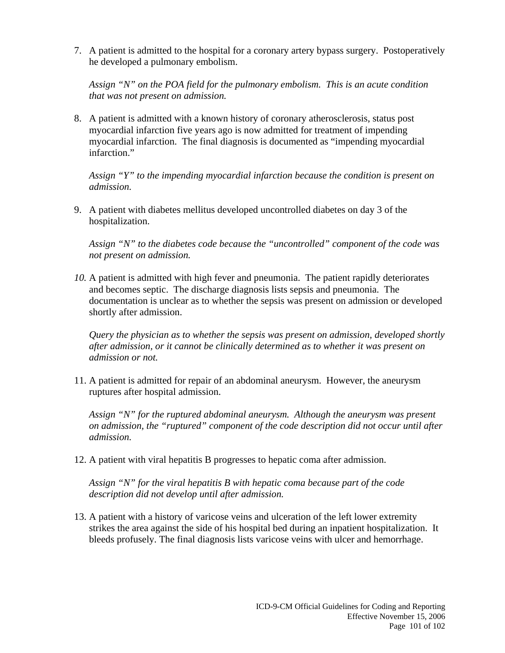7. A patient is admitted to the hospital for a coronary artery bypass surgery. Postoperatively he developed a pulmonary embolism.

*Assign "N" on the POA field for the pulmonary embolism. This is an acute condition that was not present on admission.* 

8. A patient is admitted with a known history of coronary atherosclerosis, status post myocardial infarction five years ago is now admitted for treatment of impending myocardial infarction. The final diagnosis is documented as "impending myocardial infarction."

*Assign "Y" to the impending myocardial infarction because the condition is present on admission.* 

9. A patient with diabetes mellitus developed uncontrolled diabetes on day 3 of the hospitalization.

*Assign "N" to the diabetes code because the "uncontrolled" component of the code was not present on admission.* 

*10.* A patient is admitted with high fever and pneumonia. The patient rapidly deteriorates and becomes septic. The discharge diagnosis lists sepsis and pneumonia. The documentation is unclear as to whether the sepsis was present on admission or developed shortly after admission.

*Query the physician as to whether the sepsis was present on admission, developed shortly after admission, or it cannot be clinically determined as to whether it was present on admission or not.* 

11. A patient is admitted for repair of an abdominal aneurysm. However, the aneurysm ruptures after hospital admission.

*Assign "N" for the ruptured abdominal aneurysm. Although the aneurysm was present on admission, the "ruptured" component of the code description did not occur until after admission.* 

12. A patient with viral hepatitis B progresses to hepatic coma after admission.

*Assign "N" for the viral hepatitis B with hepatic coma because part of the code description did not develop until after admission.* 

13. A patient with a history of varicose veins and ulceration of the left lower extremity strikes the area against the side of his hospital bed during an inpatient hospitalization. It bleeds profusely. The final diagnosis lists varicose veins with ulcer and hemorrhage.